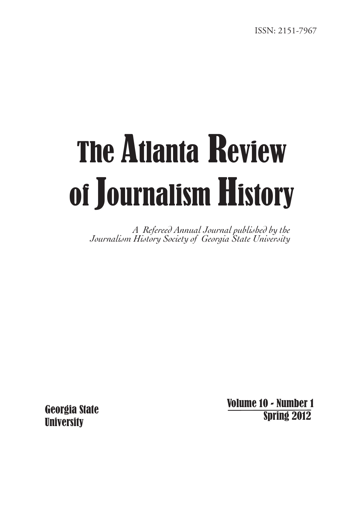# The Atlanta Review of Journalism History

*A Refereed Annual Journal published by the Journalism History Society of Georgia State University*

Georgia State **University** 

 Volume 10 - Number 1 Spring 2012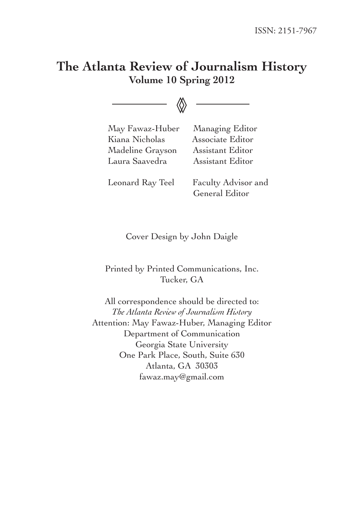# **The Atlanta Review of Journalism History Volume 10 Spring 2012**

◊◊

 May Fawaz-Huber Managing Editor Kiana Nicholas Associate Editor Madeline Grayson Assistant Editor Laura Saavedra Assistant Editor

 Leonard Ray Teel Faculty Advisor and General Editor

Cover Design by John Daigle

Printed by Printed Communications, Inc. Tucker, GA

All correspondence should be directed to: *The Atlanta Review of Journalism History* Attention: May Fawaz-Huber, Managing Editor Department of Communication Georgia State University One Park Place, South, Suite 630 Atlanta, GA 30303 fawaz.may@gmail.com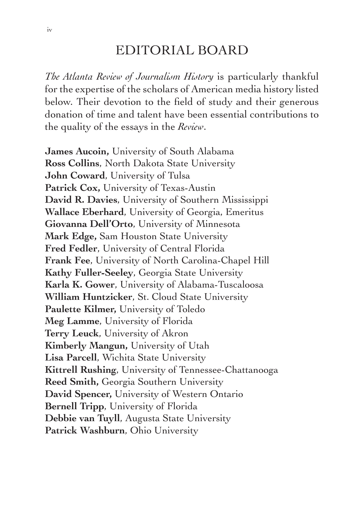# EDITORIAL BOARD

*The Atlanta Review of Journalism History* is particularly thankful for the expertise of the scholars of American media history listed below. Their devotion to the field of study and their generous donation of time and talent have been essential contributions to the quality of the essays in the *Review*.

**James Aucoin,** University of South Alabama **Ross Collins**, North Dakota State University **John Coward**, University of Tulsa **Patrick Cox,** University of Texas-Austin **David R. Davies**, University of Southern Mississippi **Wallace Eberhard**, University of Georgia, Emeritus **Giovanna Dell'Orto**, University of Minnesota **Mark Edge,** Sam Houston State University **Fred Fedler**, University of Central Florida **Frank Fee**, University of North Carolina-Chapel Hill **Kathy Fuller-Seeley**, Georgia State University **Karla K. Gower**, University of Alabama-Tuscaloosa **William Huntzicker**, St. Cloud State University **Paulette Kilmer,** University of Toledo **Meg Lamme**, University of Florida **Terry Leuck**, University of Akron **Kimberly Mangun,** University of Utah **Lisa Parcell**, Wichita State University **Kittrell Rushing**, University of Tennessee-Chattanooga **Reed Smith,** Georgia Southern University **David Spencer,** University of Western Ontario **Bernell Tripp**, University of Florida **Debbie van Tuyll**, Augusta State University **Patrick Washburn**, Ohio University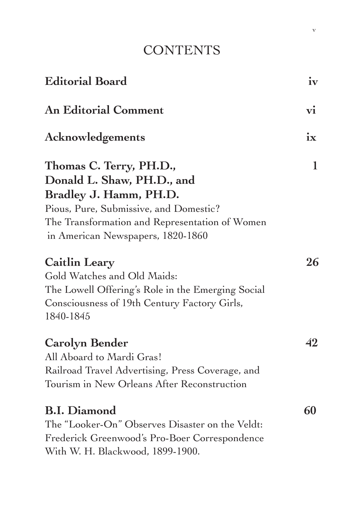# **CONTENTS**

| <b>Editorial Board</b>                                                                                                                                                                                           | iv |
|------------------------------------------------------------------------------------------------------------------------------------------------------------------------------------------------------------------|----|
| <b>An Editorial Comment</b>                                                                                                                                                                                      | vi |
| Acknowledgements                                                                                                                                                                                                 | ix |
| Thomas C. Terry, PH.D.,<br>Donald L. Shaw, PH.D., and<br>Bradley J. Hamm, PH.D.<br>Pious, Pure, Submissive, and Domestic?<br>The Transformation and Representation of Women<br>in American Newspapers, 1820-1860 | 1  |
| Caitlin Leary<br>Gold Watches and Old Maids:<br>The Lowell Offering's Role in the Emerging Social<br>Consciousness of 19th Century Factory Girls,<br>1840-1845                                                   | 26 |
| <b>Carolyn Bender</b><br>All Aboard to Mardi Gras!<br>Railroad Travel Advertising, Press Coverage, and<br>Tourism in New Orleans After Reconstruction                                                            | 42 |
| <b>B.I. Diamond</b><br>The "Looker-On" Observes Disaster on the Veldt:<br>Frederick Greenwood's Pro-Boer Correspondence<br>With W. H. Blackwood, 1899-1900.                                                      | 60 |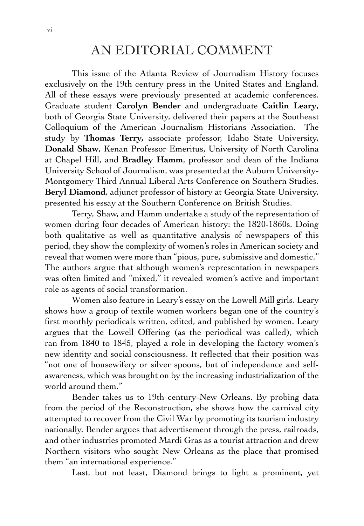# AN EDITORIAL COMMENT

This issue of the Atlanta Review of Journalism History focuses exclusively on the 19th century press in the United States and England. All of these essays were previously presented at academic conferences. Graduate student **Carolyn Bender** and undergraduate **Caitlin Leary**, both of Georgia State University, delivered their papers at the Southeast Colloquium of the American Journalism Historians Association. The study by **Thomas Terry,** associate professor, Idaho State University, **Donald Shaw**, Kenan Professor Emeritus, University of North Carolina at Chapel Hill, and **Bradley Hamm**, professor and dean of the Indiana University School of Journalism, was presented at the Auburn University-Montgomery Third Annual Liberal Arts Conference on Southern Studies. **Beryl Diamond**, adjunct professor of history at Georgia State University, presented his essay at the Southern Conference on British Studies.

Terry, Shaw, and Hamm undertake a study of the representation of women during four decades of American history: the 1820-1860s. Doing both qualitative as well as quantitative analysis of newspapers of this period, they show the complexity of women's roles in American society and reveal that women were more than "pious, pure, submissive and domestic." The authors argue that although women's representation in newspapers was often limited and "mixed," it revealed women's active and important role as agents of social transformation.

Women also feature in Leary's essay on the Lowell Mill girls. Leary shows how a group of textile women workers began one of the country's first monthly periodicals written, edited, and published by women. Leary argues that the Lowell Offering (as the periodical was called), which ran from 1840 to 1845, played a role in developing the factory women's new identity and social consciousness. It reflected that their position was "not one of housewifery or silver spoons, but of independence and selfawareness, which was brought on by the increasing industrialization of the world around them."

Bender takes us to 19th century-New Orleans. By probing data from the period of the Reconstruction, she shows how the carnival city attempted to recover from the Civil War by promoting its tourism industry nationally. Bender argues that advertisement through the press, railroads, and other industries promoted Mardi Gras as a tourist attraction and drew Northern visitors who sought New Orleans as the place that promised them "an international experience."

Last, but not least, Diamond brings to light a prominent, yet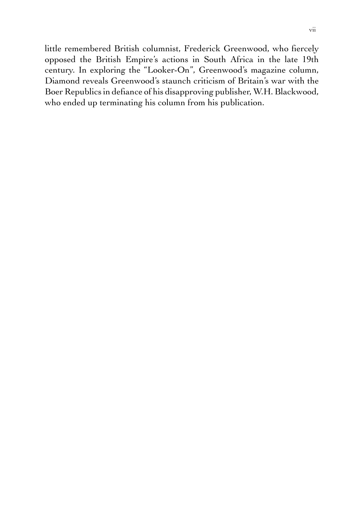little remembered British columnist, Frederick Greenwood, who fiercely opposed the British Empire's actions in South Africa in the late 19th century. In exploring the "Looker-On", Greenwood's magazine column, Diamond reveals Greenwood's staunch criticism of Britain's war with the Boer Republics in defiance of his disapproving publisher, W.H. Blackwood, who ended up terminating his column from his publication.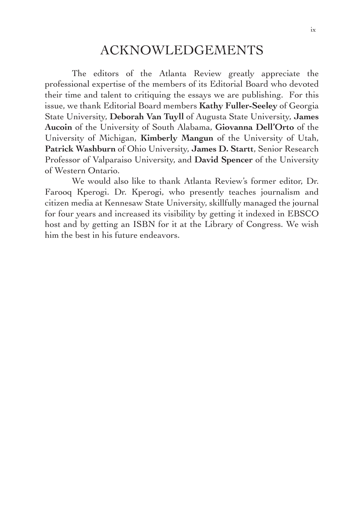# ACKNOWLEDGEMENTS

The editors of the Atlanta Review greatly appreciate the professional expertise of the members of its Editorial Board who devoted their time and talent to critiquing the essays we are publishing. For this issue, we thank Editorial Board members **Kathy Fuller-Seeley** of Georgia State University, **Deborah Van Tuyll** of Augusta State University, **James Aucoin** of the University of South Alabama, **Giovanna Dell'Orto** of the University of Michigan, **Kimberly Mangun** of the University of Utah, **Patrick Washburn** of Ohio University, **James D. Startt**, Senior Research Professor of Valparaiso University, and **David Spencer** of the University of Western Ontario.

We would also like to thank Atlanta Review's former editor, Dr. Farooq Kperogi. Dr. Kperogi, who presently teaches journalism and citizen media at Kennesaw State University, skillfully managed the journal for four years and increased its visibility by getting it indexed in EBSCO host and by getting an ISBN for it at the Library of Congress. We wish him the best in his future endeavors.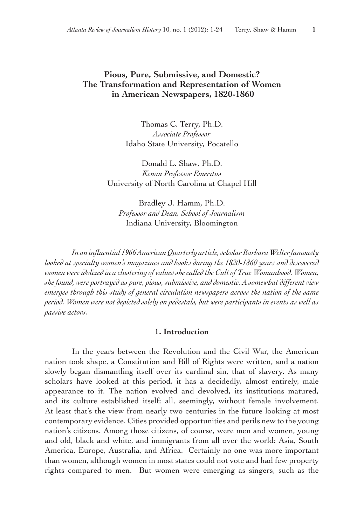#### **Pious, Pure, Submissive, and Domestic? The Transformation and Representation of Women in American Newspapers, 1820-1860**

Thomas C. Terry, Ph.D. *Associate Professor* Idaho State University, Pocatello

Donald L. Shaw, Ph.D. *Kenan Professor Emeritus* University of North Carolina at Chapel Hill

Bradley J. Hamm, Ph.D. *Professor and Dean, School of Journalism* Indiana University, Bloomington

 *In an influential 1966AmericanQuarterly article,scholarBarbaraWelterfamously looked at specialty women's magazines and books during the 1820-1860 years and discovered women were idolized in a clustering ofvalues she called the Cultof True Womanhood. Women, she found, were portrayed as pure, pious, submissive, and domestic. A somewhat different view emerges through this study of general circulation newspapers across the nation of the same period. Women were not depicted solely on pedestals, but were participants in events as well as passive actors.*

#### **1. Introduction**

In the years between the Revolution and the Civil War, the American nation took shape, a Constitution and Bill of Rights were written, and a nation slowly began dismantling itself over its cardinal sin, that of slavery. As many scholars have looked at this period, it has a decidedly, almost entirely, male appearance to it. The nation evolved and devolved, its institutions matured, and its culture established itself; all, seemingly, without female involvement. At least that's the view from nearly two centuries in the future looking at most contemporary evidence. Cities provided opportunities and perils new to the young nation's citizens. Among those citizens, of course, were men and women, young and old, black and white, and immigrants from all over the world: Asia, South America, Europe, Australia, and Africa. Certainly no one was more important than women, although women in most states could not vote and had few property rights compared to men. But women were emerging as singers, such as the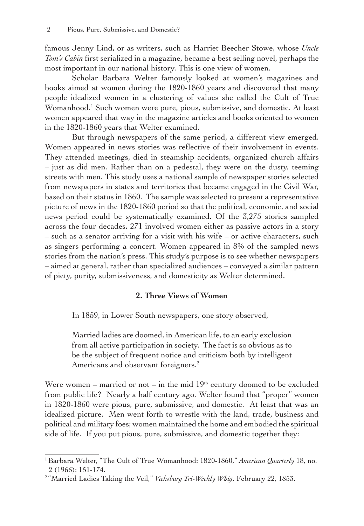famous Jenny Lind, or as writers, such as Harriet Beecher Stowe, whose *Uncle Tom's Cabin* first serialized in a magazine, became a best selling novel, perhaps the most important in our national history. This is one view of women.

Scholar Barbara Welter famously looked at women's magazines and books aimed at women during the 1820-1860 years and discovered that many people idealized women in a clustering of values she called the Cult of True Womanhood.<sup>1</sup> Such women were pure, pious, submissive, and domestic. At least women appeared that way in the magazine articles and books oriented to women in the 1820-1860 years that Welter examined.

But through newspapers of the same period, a different view emerged. Women appeared in news stories was reflective of their involvement in events. They attended meetings, died in steamship accidents, organized church affairs – just as did men. Rather than on a pedestal, they were on the dusty, teeming streets with men. This study uses a national sample of newspaper stories selected from newspapers in states and territories that became engaged in the Civil War, based on their status in 1860. The sample was selected to present a representative picture of news in the 1820-1860 period so that the political, economic, and social news period could be systematically examined. Of the 3,275 stories sampled across the four decades, 271 involved women either as passive actors in a story – such as a senator arriving for a visit with his wife – or active characters, such as singers performing a concert. Women appeared in 8% of the sampled news stories from the nation's press. This study's purpose is to see whether newspapers – aimed at general, rather than specialized audiences – conveyed a similar pattern of piety, purity, submissiveness, and domesticity as Welter determined.

#### **2. Three Views of Women**

In 1859, in Lower South newspapers, one story observed,

Married ladies are doomed, in American life, to an early exclusion from all active participation in society. The fact is so obvious as to be the subject of frequent notice and criticism both by intelligent Americans and observant foreigners.<sup>2</sup>

Were women – married or not – in the mid  $19<sup>th</sup>$  century doomed to be excluded from public life? Nearly a half century ago, Welter found that "proper" women in 1820-1860 were pious, pure, submissive, and domestic. At least that was an idealized picture. Men went forth to wrestle with the land, trade, business and political and military foes; women maintained the home and embodied the spiritual side of life. If you put pious, pure, submissive, and domestic together they:

<sup>1</sup>Barbara Welter, "The Cult of True Womanhood: 1820-1860," *American Quarterly* 18, no. 2 (1966): 151-174.

<sup>2</sup> "Married Ladies Taking the Veil," *Vicksburg Tri-Weekly Whig*, February 22, 1853.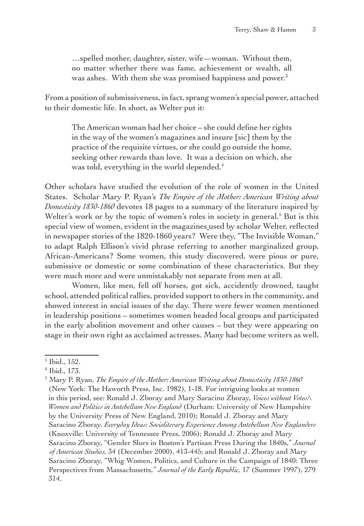…spelled mother, daughter, sister, wife—woman. Without them, no matter whether there was fame, achievement or wealth, all was ashes. With them she was promised happiness and power.<sup>3</sup>

From a position of submissiveness, in fact, sprang women's special power, attached to their domestic life. In short, as Welter put it:

The American woman had her choice – she could define her rights in the way of the women's magazines and insure [sic] them by the practice of the requisite virtues, or she could go outside the home, seeking other rewards than love. It was a decision on which, she was told, everything in the world depended.<sup>4</sup>

Other scholars have studied the evolution of the role of women in the United States. Scholar Mary P. Ryan's *The Empire of the Mother: American Writing about Domesticity 1830-1860* devotes 18 pages to a summary of the literature inspired by Welter's work or by the topic of women's roles in society in general.<sup>5</sup> But is this special view of women, evident in the magazines used by scholar Welter, reflected in newspaper stories of the 1820-1860 years? Were they, "The Invisible Woman," to adapt Ralph Ellison's vivid phrase referring to another marginalized group, African-Americans? Some women, this study discovered, were pious or pure, submissive or domestic or some combination of these characteristics. But they were much more and were unmistakably not separate from men at all.

Women, like men, fell off horses, got sick, accidently drowned, taught school, attended political rallies, provided support to others in the community, and showed interest in social issues of the day. There were fewer women mentioned in leadership positions – sometimes women headed local groups and participated in the early abolition movement and other causes – but they were appearing on stage in their own right as acclaimed actresses. Many had become writers as well,

<sup>3</sup> Ibid., 152.

<sup>4</sup> Ibid., 173.

<sup>5</sup> Mary P. Ryan, *The Empire of the Mother: American Writing about Domesticity 1830-1860* (New York: The Haworth Press, Inc. 1982), 1-18. For intriguing looks at women in this period, see: Ronald J. Zboray and Mary Saracino Zboray, *Voices without Votes:\ Women and Politics in Antebellum New England* (Durham: University of New Hampshire by the University Press of New England, 2010); Ronald J. Zboray and Mary Saracino Zboray, *Everyday Ideas: Socioliterary Experience Among Antebellum New Englanders* (Knoxville: University of Tennessee Press, 2006); Ronald J. Zboray and Mary Saracino Zboray, "Gender Slurs in Boston's Partisan Press During the 1840s," *Journal of American Studies,* 34 (December 2000), 413-445; and Ronald J. Zboray and Mary Saracino Zboray, "Whig Women, Politics, and Culture in the Campaign of 1840: Three Perspectives from Massachusetts," *Journal of the Early Republic,* 17 (Summer 1997), 279 314.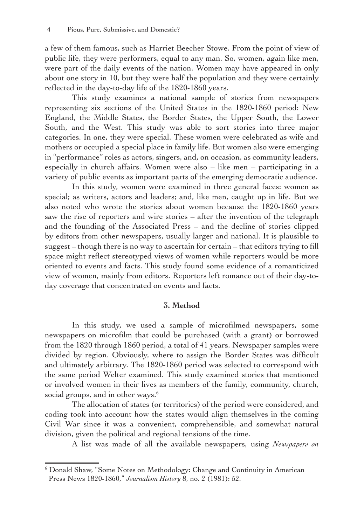a few of them famous, such as Harriet Beecher Stowe. From the point of view of public life, they were performers, equal to any man. So, women, again like men, were part of the daily events of the nation. Women may have appeared in only about one story in 10, but they were half the population and they were certainly reflected in the day-to-day life of the 1820-1860 years.

This study examines a national sample of stories from newspapers representing six sections of the United States in the 1820-1860 period: New England, the Middle States, the Border States, the Upper South, the Lower South, and the West. This study was able to sort stories into three major categories. In one, they were special. These women were celebrated as wife and mothers or occupied a special place in family life. But women also were emerging in "performance" roles as actors, singers, and, on occasion, as community leaders, especially in church affairs. Women were also – like men – participating in a variety of public events as important parts of the emerging democratic audience.

In this study, women were examined in three general faces: women as special; as writers, actors and leaders; and, like men, caught up in life. But we also noted who wrote the stories about women because the 1820-1860 years saw the rise of reporters and wire stories – after the invention of the telegraph and the founding of the Associated Press – and the decline of stories clipped by editors from other newspapers, usually larger and national. It is plausible to suggest – though there is no way to ascertain for certain – that editors trying to fill space might reflect stereotyped views of women while reporters would be more oriented to events and facts. This study found some evidence of a romanticized view of women, mainly from editors. Reporters left romance out of their day-today coverage that concentrated on events and facts.

#### **3. Method**

In this study, we used a sample of microfilmed newspapers, some newspapers on microfilm that could be purchased (with a grant) or borrowed from the 1820 through 1860 period, a total of 41 years. Newspaper samples were divided by region. Obviously, where to assign the Border States was difficult and ultimately arbitrary. The 1820-1860 period was selected to correspond with the same period Welter examined. This study examined stories that mentioned or involved women in their lives as members of the family, community, church, social groups, and in other ways. $6$ 

The allocation of states (or territories) of the period were considered, and coding took into account how the states would align themselves in the coming Civil War since it was a convenient, comprehensible, and somewhat natural division, given the political and regional tensions of the time.

A list was made of all the available newspapers, using *Newspapers on*

<sup>6</sup> Donald Shaw, "Some Notes on Methodology: Change and Continuity in American Press News 1820-1860," *Journalism History* 8, no. 2 (1981): 52.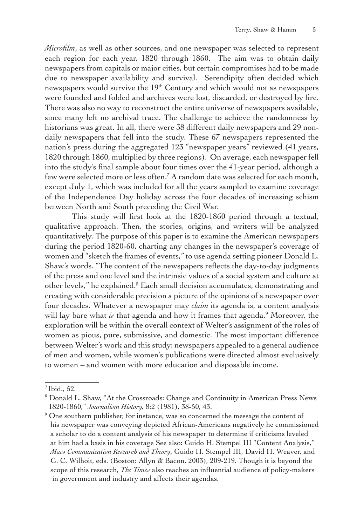*Microfilm*, as well as other sources, and one newspaper was selected to represent each region for each year, 1820 through 1860. The aim was to obtain daily newspapers from capitals or major cities, but certain compromises had to be made due to newspaper availability and survival. Serendipity often decided which newspapers would survive the 19<sup>th</sup> Century and which would not as newspapers were founded and folded and archives were lost, discarded, or destroyed by fire. There was also no way to reconstruct the entire universe of newspapers available, since many left no archival trace. The challenge to achieve the randomness by historians was great. In all, there were 38 different daily newspapers and 29 nondaily newspapers that fell into the study. These 67 newspapers represented the nation's press during the aggregated 123 "newspaper years" reviewed (41 years, 1820 through 1860, multiplied by three regions). On average, each newspaper fell into the study's final sample about four times over the 41-year period, although a few were selected more or less often.7 A random date was selected for each month, except July 1, which was included for all the years sampled to examine coverage of the Independence Day holiday across the four decades of increasing schism between North and South preceding the Civil War.

This study will first look at the 1820-1860 period through a textual, qualitative approach. Then, the stories, origins, and writers will be analyzed quantitatively. The purpose of this paper is to examine the American newspapers during the period 1820-60, charting any changes in the newspaper's coverage of women and "sketch the frames of events," to use agenda setting pioneer Donald L. Shaw's words. "The content of the newspapers reflects the day-to-day judgments of the press and one level and the intrinsic values of a social system and culture at other levels," he explained.<sup>8</sup> Each small decision accumulates, demonstrating and creating with considerable precision a picture of the opinions of a newspaper over four decades. Whatever a newspaper may *claim* its agenda is, a content analysis will lay bare what *is* that agenda and how it frames that agenda.9 Moreover, the exploration will be within the overall context of Welter's assignment of the roles of women as pious, pure, submissive, and domestic. The most important difference between Welter's work and this study: newspapers appealed to a general audience of men and women, while women's publications were directed almost exclusively to women – and women with more education and disposable income.

 $<sup>7</sup>$  Ibid., 52.</sup>

<sup>8</sup> Donald L. Shaw, "At the Crossroads: Change and Continuity in American Press News 1820-1860," *Journalism History,* 8:2 (1981), 38-50, 43.

<sup>&</sup>lt;sup>9</sup> One southern publisher, for instance, was so concerned the message the content of his newspaper was conveying depicted African-Americans negatively he commissioned a scholar to do a content analysis of his newspaper to determine if criticisms leveled at him had a basis in his coverage See also: Guido H. Stempel III "Content Analysis," *Mass Communication Research and Theory*, Guido H. Stempel III, David H. Weaver, and G. C. Wilhoit, eds. (Boston: Allyn & Bacon, 2003), 209-219. Though it is beyond the scope of this research, *The Times* also reaches an influential audience of policy-makers in government and industry and affects their agendas.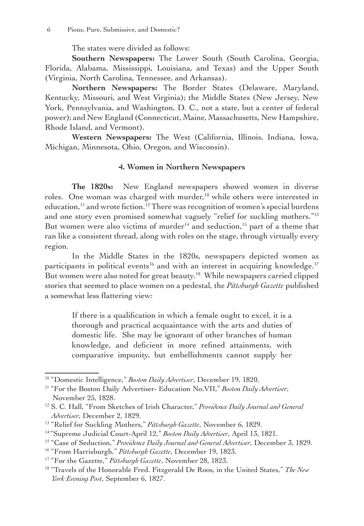The states were divided as follows:

**Southern Newspapers:** The Lower South (South Carolina, Georgia, Florida, Alabama, Mississippi, Louisiana, and Texas) and the Upper South (Virginia, North Carolina, Tennessee, and Arkansas).

**Northern Newspapers:** The Border States (Delaware, Maryland, Kentucky, Missouri, and West Virginia); the Middle States (New Jersey, New York, Pennsylvania, and Washington, D. C., not a state, but a center of federal power); and New England (Connecticut, Maine, Massachusetts, New Hampshire, Rhode Island, and Vermont).

**Western Newspapers:** The West (California, Illinois, Indiana, Iowa, Michigan, Minnesota, Ohio, Oregon, and Wisconsin).

#### **4. Women in Northern Newspapers**

**The 1820s:** New England newspapers showed women in diverse roles. One woman was charged with murder,<sup>10</sup> while others were interested in education,<sup>11</sup> and wrote fiction.<sup>12</sup> There was recognition of women's special burdens and one story even promised somewhat vaguely "relief for suckling mothers."<sup>13</sup> But women were also victims of murder<sup>14</sup> and seduction,<sup>15</sup> part of a theme that ran like a consistent thread, along with roles on the stage, through virtually every region.

In the Middle States in the 1820s, newspapers depicted women as participants in political events<sup>16</sup> and with an interest in acquiring knowledge.<sup>17</sup> But women were also noted for great beauty.<sup>18</sup> While newspapers carried clipped stories that seemed to place women on a pedestal, the *Pittsburgh Gazette* published a somewhat less flattering view:

If there is a qualification in which a female ought to excel, it is a thorough and practical acquaintance with the arts and duties of domestic life. She may be ignorant of other branches of human knowledge, and deficient in more refined attainments, with comparative impunity, but embellishments cannot supply her

<sup>10</sup> "Domestic Intelligence," *Boston Daily Advertiser*, December 19, 1820.

<sup>11</sup> "For the Boston Daily Advertiser- Education No.VII," *Boston Daily Advertiser*, November 25, 1828.

<sup>12</sup> S. C. Hall, "From Sketches of Irish Character," *Providence Daily Journal and General Advertiser*, December 2, 1829.

<sup>13</sup> "Relief for Suckling Mothers," *Pittsburgh Gazette*, November 6, 1829.

<sup>14</sup> "Supreme Judicial Court-April 12," *Boston Daily Advertiser*, April 13, 1821.

<sup>15</sup> "Case of Seduction," *Providence Daily Journal and General Advertiser*, December 3, 1829.

<sup>16</sup> "From Harrisburgh," *Pittsburgh Gazette*, December 19, 1823.

<sup>17</sup> "For the Gazette," *Pittsburgh Gazette*, November 28, 1823.

<sup>18</sup> "Travels of the Honorable Fred. Fitzgerald De Roos, in the United States," *The New York Evening Post*, September 6, 1827.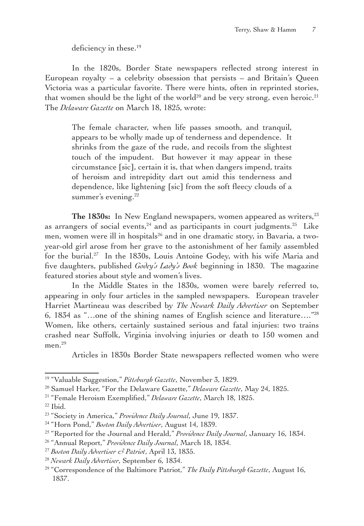deficiency in these.<sup>19</sup>

In the 1820s, Border State newspapers reflected strong interest in European royalty – a celebrity obsession that persists – and Britain's Queen Victoria was a particular favorite. There were hints, often in reprinted stories, that women should be the light of the world<sup>20</sup> and be very strong, even heroic.<sup>21</sup> The *Delaware Gazette* on March 18, 1825, wrote:

The female character, when life passes smooth, and tranquil, appears to be wholly made up of tenderness and dependence. It shrinks from the gaze of the rude, and recoils from the slightest touch of the impudent. But however it may appear in these circumstance [sic], certain it is, that when dangers impend, traits of heroism and intrepidity dart out amid this tenderness and dependence, like lightening [sic] from the soft fleecy clouds of a summer's evening.<sup>22</sup>

The 1830s: In New England newspapers, women appeared as writers,<sup>23</sup> as arrangers of social events, $24$  and as participants in court judgments.<sup>25</sup> Like men, women were ill in hospitals<sup>26</sup> and in one dramatic story, in Bavaria, a twoyear-old girl arose from her grave to the astonishment of her family assembled for the burial.<sup>27</sup> In the 1830s, Louis Antoine Godey, with his wife Maria and five daughters, published *Godey's Lady's Book* beginning in 1830. The magazine featured stories about style and women's lives.

In the Middle States in the 1830s, women were barely referred to, appearing in only four articles in the sampled newspapers. European traveler Harriet Martineau was described by *The Newark Daily Advertiser* on September 6, 1834 as "…one of the shining names of English science and literature…."28 Women, like others, certainly sustained serious and fatal injuries: two trains crashed near Suffolk, Virginia involving injuries or death to 150 women and men. $^{29}$ 

Articles in 1830s Border State newspapers reflected women who were

<sup>19</sup> "Valuable Suggestion," *Pittsburgh Gazette*, November 3, 1829.

<sup>20</sup> Samuel Harker, "For the Delaware Gazette," *Delaware Gazette*, May 24, 1825.

<sup>21</sup> "Female Heroism Exemplified," *Delaware Gazette*, March 18, 1825.

 $22$  Ibid.

<sup>23</sup> "Society in America," *Providence Daily Journal*, June 19, 1837.

<sup>24</sup> "Horn Pond," *Boston Daily Advertiser*, August 14, 1839.

<sup>25</sup> "Reported for the Journal and Herald," *Providence Daily Journal*, January 16, 1834.

<sup>26</sup> "Annual Report," *Providence Daily Journal*, March 18, 1834.

<sup>27</sup> *Boston Daily Advertiser & Patriot*, April 13, 1835.

<sup>28</sup> *Newark Daily Advertiser*, September 6, 1834.

<sup>29</sup> "Correspondence of the Baltimore Patriot," *The Daily Pittsburgh Gazette*, August 16, 1837.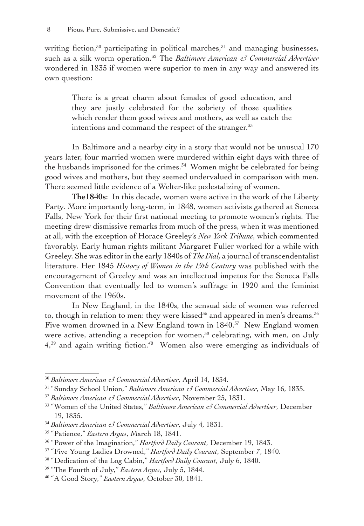writing fiction, $30$  participating in political marches, $31$  and managing businesses, such as a silk worm operation.32 The *Baltimore American & Commercial Advertiser* wondered in 1835 if women were superior to men in any way and answered its own question:

There is a great charm about females of good education, and they are justly celebrated for the sobriety of those qualities which render them good wives and mothers, as well as catch the intentions and command the respect of the stranger.<sup>33</sup>

In Baltimore and a nearby city in a story that would not be unusual 170 years later, four married women were murdered within eight days with three of the husbands imprisoned for the crimes.<sup>34</sup> Women might be celebrated for being good wives and mothers, but they seemed undervalued in comparison with men. There seemed little evidence of a Welter-like pedestalizing of women.

**The1840s**: In this decade, women were active in the work of the Liberty Party. More importantly long-term, in 1848, women activists gathered at Seneca Falls, New York for their first national meeting to promote women's rights. The meeting drew dismissive remarks from much of the press, when it was mentioned at all, with the exception of Horace Greeley's *New York Tribune*, which commented favorably*.* Early human rights militant Margaret Fuller worked for a while with Greeley. She was editor in the early 1840s of *The Dial,* a journal of transcendentalist literature. Her 1845 *History of Women in the 19th Century* was published with the encouragement of Greeley and was an intellectual impetus for the Seneca Falls Convention that eventually led to women's suffrage in 1920 and the feminist movement of the 1960s.

In New England, in the 1840s, the sensual side of women was referred to, though in relation to men: they were kissed<sup>35</sup> and appeared in men's dreams.<sup>36</sup> Five women drowned in a New England town in 1840.<sup>37</sup> New England women were active, attending a reception for women,<sup>38</sup> celebrating, with men, on July  $4<sup>39</sup>$  and again writing fiction.<sup>40</sup> Women also were emerging as individuals of

<sup>30</sup> *Baltimore American & Commercial Advertiser*, April 14, 1834.

<sup>31</sup> "Sunday School Union," *Baltimore American & Commercial Advertiser*, May 16, 1835.

<sup>32</sup> *Baltimore American & Commercial Advertiser*, November 25, 1831.

<sup>33</sup> "Women of the United States," *Baltimore American & Commercial Advertiser*, December 19, 1835.

<sup>34</sup> *Baltimore American & Commercial Advertiser*, July 4, 1831.

<sup>35</sup> "Patience," *Eastern Argus*, March 18, 1841.

<sup>36</sup> "Power of the Imagination," *Hartford Daily Courant*, December 19, 1843.

<sup>37</sup> "Five Young Ladies Drowned," *Hartford Daily Courant*, September 7, 1840.

<sup>38</sup> "Dedication of the Log Cabin," *Hartford Daily Courant*, July 6, 1840.

<sup>39</sup> "The Fourth of July," *Eastern Argus*, July 5, 1844.

<sup>40</sup> "A Good Story," *Eastern Argus*, October 30, 1841.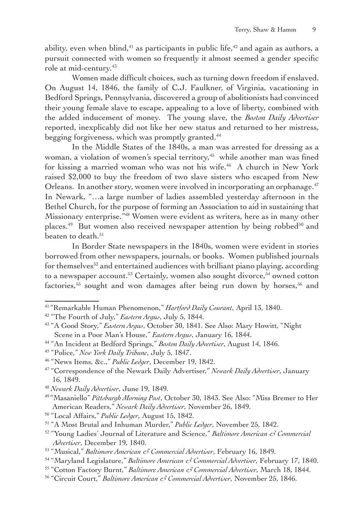ability, even when blind,  $41$  as participants in public life,  $42$  and again as authors, a pursuit connected with women so frequently it almost seemed a gender specific role at mid-century.<sup>43</sup>

Women made difficult choices, such as turning down freedom if enslaved. On August 14, 1846, the family of C.J. Faulkner, of Virginia, vacationing in Bedford Springs, Pennsylvania, discovered a group of abolitionists had convinced their young female slave to escape, appealing to a love of liberty, combined with the added inducement of money. The young slave, the *Boston Daily Advertiser* reported, inexplicably did not like her new status and returned to her mistress, begging forgiveness, which was promptly granted.<sup>44</sup>

In the Middle States of the 1840s, a man was arrested for dressing as a woman, a violation of women's special territory,<sup>45</sup> while another man was fined for kissing a married woman who was not his wife.<sup>46</sup> A church in New York raised \$2,000 to buy the freedom of two slave sisters who escaped from New Orleans. In another story, women were involved in incorporating an orphanage.<sup>47</sup> In Newark, "…a large number of ladies assembled yesterday afternoon in the Bethel Church, for the purpose of forming an Association to aid in sustaining that Missionary enterprise."48 Women were evident as writers, here as in many other places.<sup>49</sup> But women also received newspaper attention by being robbed<sup>50</sup> and beaten to death.<sup>51</sup>

In Border State newspapers in the 1840s, women were evident in stories borrowed from other newspapers, journals, or books. Women published journals for themselves<sup>52</sup> and entertained audiences with brilliant piano playing, according to a newspaper account.<sup>53</sup> Certainly, women also sought divorce,<sup>54</sup> owned cotton factories,<sup>55</sup> sought and won damages after being run down by horses,<sup>56</sup> and

<sup>41</sup> "Remarkable Human Phenomenon," *Hartford Daily Courant*, April 13, 1840.

<sup>42</sup> "The Fourth of July," *Eastern Argus*, July 5, 1844.

<sup>43</sup> "A Good Story," *Eastern Argus*, October 30, 1841. See Also: Mary Howitt, "Night Scene in a Poor Man's House," *Eastern Argus*, January 16, 1844.

<sup>44</sup> "An Incident at Bedford Springs," *Boston Daily Advertiser*, August 14, 1846.

<sup>45</sup> "Police," *New York Daily Tribune*, July 5, 1847.

<sup>46</sup> "News Items, &c.," *Public Ledger*, December 19, 1842.

<sup>47</sup> "Correspondence of the Newark Daily Advertiser," *Newark Daily Advertiser*, January 16, 1849.

<sup>48</sup> *Newark Daily Advertiser*, June 19, 1849.

<sup>49</sup> "Masaniello" *Pittsburgh Morning Post*, October 30, 1843. See Also: "Miss Bremer to Her American Readers," *Newark Daily Advertiser*, November 26, 1849.

<sup>50</sup> "Local Affairs," *Public Ledger*, August 15, 1842.

<sup>51</sup> "A Most Brutal and Inhuman Murder," *Public Ledger*, November 25, 1842.

<sup>52</sup> "Young Ladies' Journal of Literature and Science," *Baltimore American & Commercial Advertiser*, December 19, 1840.

<sup>53</sup> "Musical," *Baltimore American & Commercial Advertiser*, February 16, 1849.

<sup>54</sup> "Maryland Legislature," *Baltimore American & Commercial Advertiser*, February 17, 1840.

<sup>55</sup> "Cotton Factory Burnt," *Baltimore American & Commercial Advertiser*, March 18, 1844.

<sup>56</sup> "Circuit Court," *Baltimore American & Commercial Advertiser*, November 25, 1846.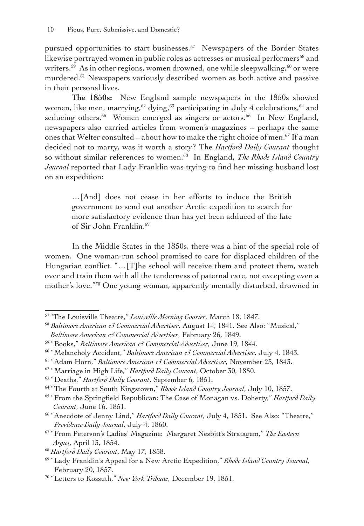pursued opportunities to start businesses.<sup>57</sup> Newspapers of the Border States likewise portrayed women in public roles as actresses or musical performers<sup>58</sup> and writers.<sup>59</sup> As in other regions, women drowned, one while sleepwalking,  $60$  or were murdered.<sup>61</sup> Newspapers variously described women as both active and passive in their personal lives.

**The 1850s:** New England sample newspapers in the 1850s showed women, like men, marrying,  $62$  dying,  $63$  participating in July 4 celebrations,  $64$  and seducing others.<sup>65</sup> Women emerged as singers or actors.<sup>66</sup> In New England, newspapers also carried articles from women's magazines – perhaps the same ones that Welter consulted – about how to make the right choice of men.<sup>67</sup> If a man decided not to marry, was it worth a story? The *Hartford Daily Courant* thought so without similar references to women.<sup>68</sup> In England, *The Rhode Island Country Journal* reported that Lady Franklin was trying to find her missing husband lost on an expedition:

…[And] does not cease in her efforts to induce the British government to send out another Arctic expedition to search for more satisfactory evidence than has yet been adduced of the fate of Sir John Franklin.69

In the Middle States in the 1850s, there was a hint of the special role of women. One woman-run school promised to care for displaced children of the Hungarian conflict. "…[T]he school will receive them and protect them, watch over and train them with all the tenderness of paternal care, not excepting even a mother's love."70 One young woman, apparently mentally disturbed, drowned in

<sup>61</sup> "Adam Horn," *Baltimore American & Commercial Advertiser*, November 25, 1843.

<sup>57</sup> "The Louisville Theatre," *Louisville Morning Courier*, March 18, 1847.

<sup>58</sup> *Baltimore American & Commercial Advertiser*, August 14, 1841. See Also: "Musical," *Baltimore American & Commercial Advertiser*, February 26, 1849.

<sup>59</sup> "Books," *Baltimore American & Commercial Advertiser*, June 19, 1844.

<sup>60</sup> "Melancholy Accident," *Baltimore American & Commercial Advertiser*, July 4, 1843.

<sup>62</sup> "Marriage in High Life," *Hartford Daily Courant*, October 30, 1850.

<sup>63</sup> "Deaths," *Hartford Daily Courant*, September 6, 1851.

<sup>64</sup> "The Fourth at South Kingstown," *Rhode Island Country Journal*, July 10, 1857.

<sup>65</sup> "From the Springfield Republican: The Case of Monagan vs. Doherty," *Hartford Daily Courant*, June 16, 1851.

<sup>66</sup> "Anecdote of Jenny Lind," *Hartford Daily Courant*, July 4, 1851. See Also: "Theatre," *Providence Daily Journal*, July 4, 1860.

<sup>67</sup> "From Peterson's Ladies' Magazine: Margaret Nesbitt's Stratagem," *The Eastern Argus*, April 13, 1854.

<sup>68</sup> *Hartford Daily Courant*, May 17, 1858.

<sup>69</sup> "Lady Franklin's Appeal for a New Arctic Expedition," *Rhode Island Country Journal*, February 20, 1857.

<sup>70</sup> "Letters to Kossuth," *New York Tribune*, December 19, 1851.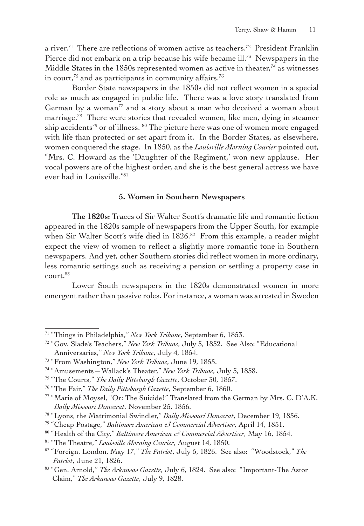a river.<sup>71</sup> There are reflections of women active as teachers.<sup>72</sup> President Franklin Pierce did not embark on a trip because his wife became ill.<sup>73</sup> Newspapers in the Middle States in the  $1850s$  represented women as active in theater,<sup>74</sup> as witnesses in court, $75$  and as participants in community affairs. $76$ 

Border State newspapers in the 1850s did not reflect women in a special role as much as engaged in public life. There was a love story translated from German by a woman<sup>77</sup> and a story about a man who deceived a woman about marriage.<sup>78</sup> There were stories that revealed women, like men, dying in steamer ship accidents<sup>79</sup> or of illness. <sup>80</sup> The picture here was one of women more engaged with life than protected or set apart from it. In the Border States, as elsewhere, women conquered the stage. In 1850, as the *Louisville Morning Courier* pointed out, "Mrs. C. Howard as the 'Daughter of the Regiment,' won new applause. Her vocal powers are of the highest order, and she is the best general actress we have ever had in Louisville."81

#### **5. Women in Southern Newspapers**

**The 1820s:** Traces of Sir Walter Scott's dramatic life and romantic fiction appeared in the 1820s sample of newspapers from the Upper South, for example when Sir Walter Scott's wife died in 1826.<sup>82</sup> From this example, a reader might expect the view of women to reflect a slightly more romantic tone in Southern newspapers. And yet, other Southern stories did reflect women in more ordinary, less romantic settings such as receiving a pension or settling a property case in  $contr<sup>83</sup>$ 

Lower South newspapers in the 1820s demonstrated women in more emergent rather than passive roles. For instance, a woman was arrested in Sweden

<sup>71</sup> "Things in Philadelphia," *New York Tribune*, September 6, 1853.

<sup>72</sup> "Gov. Slade's Teachers," *New York Tribune*, July 5, 1852. See Also: "Educational Anniversaries," *New York Tribune*, July 4, 1854.

<sup>73</sup> "From Washington," *New York Tribune*, June 19, 1855.

<sup>74</sup> "Amusements—Wallack's Theater," *New York Tribune*, July 5, 1858.

<sup>75</sup> "The Courts," *The Daily Pittsburgh Gazette*, October 30, 1857.

<sup>76</sup> "The Fair," *The Daily Pittsburgh Gazette*, September 6, 1860.

<sup>77</sup> "Marie of Moysel, "Or: The Suicide!" Translated from the German by Mrs. C. D'A.K. *Daily Missouri Democrat*, November 25, 1856.

<sup>78</sup> "Lyons, the Matrimonial Swindler," *Daily Missouri Democrat*, December 19, 1856.

<sup>79</sup> "Cheap Postage," *Baltimore American & Commercial Advertiser*, April 14, 1851.

<sup>80</sup> "Health of the City," *Baltimore American & Commercial Advertiser*, May 16, 1854.

<sup>81</sup> "The Theatre," *Louisville Morning Courier*, August 14, 1850.

<sup>82</sup> "Foreign. London, May 17," *The Patriot*, July 5, 1826. See also: "Woodstock," *The Patriot*, June 21, 1826.

<sup>83</sup> "Gen. Arnold," *The Arkansas Gazette*, July 6, 1824. See also: "Important-The Astor Claim," *The Arkansas Gazette*, July 9, 1828.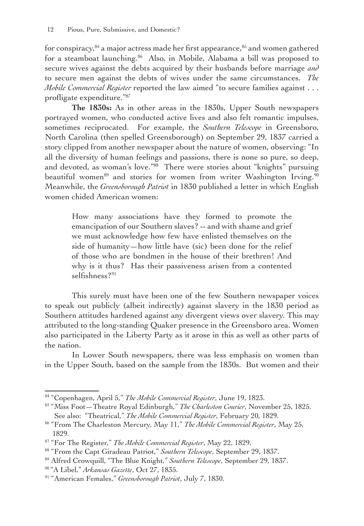for conspiracy,<sup>84</sup> a major actress made her first appearance,<sup>85</sup> and women gathered for a steamboat launching.<sup>86</sup> Also, in Mobile, Alabama a bill was proposed to secure wives against the debts acquired by their husbands before marriage *and* to secure men against the debts of wives under the same circumstances. *The Mobile Commercial Register* reported the law aimed "to secure families against . . . profligate expenditure."87

**The 1830s:** As in other areas in the 1830s, Upper South newspapers portrayed women, who conducted active lives and also felt romantic impulses, sometimes reciprocated. For example, the *Southern Telescope* in Greensboro, North Carolina (then spelled Greensborough) on September 29, 1837 carried a story clipped from another newspaper about the nature of women, observing: "In all the diversity of human feelings and passions, there is none so pure, so deep, and devoted, as woman's love."88 There were stories about "knights" pursuing beautiful women<sup>89</sup> and stories for women from writer Washington Irving.<sup>90</sup> Meanwhile, the *Greensborough Patriot* in 1830 published a letter in which English women chided American women:

How many associations have they formed to promote the emancipation of our Southern slaves? -- and with shame and grief we must acknowledge how few have enlisted themselves on the side of humanity—how little have (sic) been done for the relief of those who are bondmen in the house of their brethren! And why is it thus? Has their passiveness arisen from a contented selfishness?<sup>91</sup>

This surely must have been one of the few Southern newspaper voices to speak out publicly (albeit indirectly) against slavery in the 1830 period as Southern attitudes hardened against any divergent views over slavery. This may attributed to the long-standing Quaker presence in the Greensboro area. Women also participated in the Liberty Party as it arose in this as well as other parts of the nation.

In Lower South newspapers, there was less emphasis on women than in the Upper South, based on the sample from the 1830s. But women and their

<sup>84</sup> "Copenhagen, April 5," *The Mobile Commercial Register*, June 19, 1823.

<sup>85</sup> "Miss Foot—Theatre Royal Edinburgh," *The Charleston Courier*, November 25, 1825. See also: "Theatrical," *The Mobile Commercial Register*, February 20, 1829.

<sup>86</sup> "From The Charleston Mercury, May 11," *The Mobile Commercial Register*, May 25, 1829.

<sup>87</sup> "For The Register," *The Mobile Commercial Register*, May 22, 1829.

<sup>88</sup> "From the Capt Giradeau Patriot," *Southern Telescope*, September 29, 1837.

<sup>89</sup> Alfred Crowquill, "The Blue Knight," *Southern Telescope*, September 29, 1837.

<sup>90</sup> "A Libel," *Arkansas Gazette*, Oct 27, 1835.

<sup>91</sup> "American Females," *Greensborough Patriot*, July 7, 1830.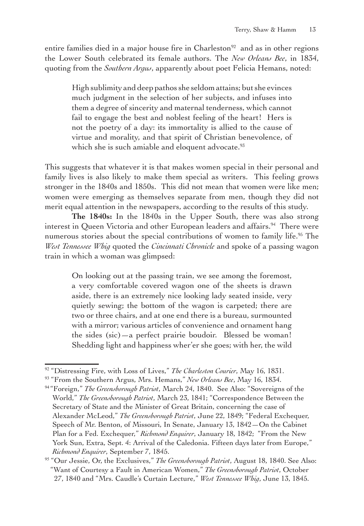entire families died in a major house fire in  $Charleston<sup>92</sup>$  and as in other regions the Lower South celebrated its female authors. The *New Orleans Bee*, in 1834, quoting from the *Southern Argus*, apparently about poet Felicia Hemans, noted:

High sublimity and deep pathos she seldom attains; but she evinces much judgment in the selection of her subjects, and infuses into them a degree of sincerity and maternal tenderness, which cannot fail to engage the best and noblest feeling of the heart! Hers is not the poetry of a day: its immortality is allied to the cause of virtue and morality, and that spirit of Christian benevolence, of which she is such amiable and eloquent advocate.<sup>93</sup>

This suggests that whatever it is that makes women special in their personal and family lives is also likely to make them special as writers. This feeling grows stronger in the 1840s and 1850s. This did not mean that women were like men; women were emerging as themselves separate from men, though they did not merit equal attention in the newspapers, according to the results of this study.

**The 1840s:** In the 1840s in the Upper South, there was also strong interest in Queen Victoria and other European leaders and affairs.<sup>94</sup> There were numerous stories about the special contributions of women to family life.<sup>95</sup> The *West Tennessee Whig* quoted the *Cincinnati Chronicle* and spoke of a passing wagon train in which a woman was glimpsed:

On looking out at the passing train, we see among the foremost, a very comfortable covered wagon one of the sheets is drawn aside, there is an extremely nice looking lady seated inside, very quietly sewing; the bottom of the wagon is carpeted; there are two or three chairs, and at one end there is a bureau, surmounted with a mirror; various articles of convenience and ornament hang the sides (sic)—a perfect prairie boudoir. Blessed be woman! Shedding light and happiness wher'er she goes; with her, the wild

<sup>92</sup> "Distressing Fire, with Loss of Lives," *The Charleston Courier*, May 16, 1831.

<sup>93</sup> "From the Southern Argus, Mrs. Hemans," *New Orleans Bee*, May 16, 1834.

<sup>94</sup> "Foreign," *The Greensborough Patriot*, March 24, 1840. See Also: "Sovereigns of the World," *The Greensborough Patriot*, March 23, 1841; "Correspondence Between the Secretary of State and the Minister of Great Britain, concerning the case of Alexander McLeod," *The Greensborough Patriot*, June 22, 1849; "Federal Exchequer, Speech of Mr. Benton, of Missouri, In Senate, January 13, 1842—On the Cabinet Plan for a Fed. Exchequer," *Richmond Enquirer*, January 18, 1842; "From the New York Sun, Extra, Sept. 4: Arrival of the Caledonia. Fifteen days later from Europe," *Richmond Enquirer*, September 7, 1845.

<sup>95</sup> "Our Jessie, Or, the Exclusives," *The Greensborough Patriot*, August 18, 1840. See Also: "Want of Courtesy a Fault in American Women," *The Greensborough Patriot*, October 27, 1840 and "Mrs. Caudle's Curtain Lecture," *West Tennessee Whig*, June 13, 1845.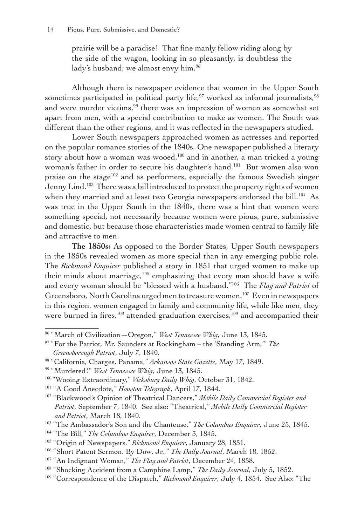prairie will be a paradise! That fine manly fellow riding along by the side of the wagon, looking in so pleasantly, is doubtless the lady's husband; we almost envy him.<sup>96</sup>

Although there is newspaper evidence that women in the Upper South sometimes participated in political party life,<sup>97</sup> worked as informal journalists,<sup>98</sup> and were murder victims,<sup>99</sup> there was an impression of women as somewhat set apart from men, with a special contribution to make as women. The South was different than the other regions, and it was reflected in the newspapers studied.

Lower South newspapers approached women as actresses and reported on the popular romance stories of the 1840s. One newspaper published a literary story about how a woman was wooed, $100$  and in another, a man tricked a young woman's father in order to secure his daughter's hand.<sup>101</sup> But women also won praise on the stage<sup>102</sup> and as performers, especially the famous Swedish singer Jenny Lind.<sup>103</sup> There was a bill introduced to protect the property rights of women when they married and at least two Georgia newspapers endorsed the bill.<sup>104</sup> As was true in the Upper South in the 1840s, there was a hint that women were something special, not necessarily because women were pious, pure, submissive and domestic, but because those characteristics made women central to family life and attractive to men.

**The 1850s:** As opposed to the Border States, Upper South newspapers in the 1850s revealed women as more special than in any emerging public role. The *Richmond Enquirer* published a story in 1851 that urged women to make up their minds about marriage,105 emphasizing that every man should have a wife and every woman should be "blessed with a husband."106 The *Flag and Patriot* of Greensboro, North Carolina urged men to treasure women.<sup>107</sup> Even in newspapers in this region, women engaged in family and community life, while like men, they were burned in fires,<sup>108</sup> attended graduation exercises,<sup>109</sup> and accompanied their

<sup>96</sup> "March of Civilization—Oregon," *West Tennessee Whig*, June 13, 1845.

<sup>97</sup> "For the Patriot, Mr. Saunders at Rockingham – the 'Standing Arm,'" *The Greensborough Patriot*, July 7, 1840.

<sup>98</sup> "California, Charges, Panama," *Arkansas State Gazette*, May 17, 1849.

<sup>99</sup> "Murdered!" *West Tennessee Whig*, June 13, 1845.

<sup>100</sup> "Wooing Extraordinary," *Vicksburg Daily Whig*, October 31, 1842.

<sup>101</sup> "A Good Anecdote," *Houston Telegraph*, April 17, 1844.

<sup>102</sup> "Blackwood's Opinion of Theatrical Dancers," *Mobile Daily Commercial Register and Patriot*, September 7, 1840. See also: "Theatrical," *Mobile Daily Commercial Register and Patriot*, March 18, 1840.

<sup>103</sup> "The Ambassador's Son and the Chanteuse," *The Columbus Enquirer*, June 25, 1845.

<sup>104</sup> "The Bill," *The Columbus Enquirer*, December 3, 1845.

<sup>105</sup> "Origin of Newspapers," *Richmond Enquirer*, January 28, 1851.

<sup>106</sup> "Short Patent Sermon. By Dow, Jr.," *The Daily Journal*, March 18, 1852.

<sup>107</sup> "An Indignant Woman," *The Flag and Patriot*, December 24, 1858.

<sup>108</sup> "Shocking Accident from a Camphine Lamp," *The Daily Journal*, July 5, 1852.

<sup>&</sup>lt;sup>109</sup> "Correspondence of the Dispatch," *Richmond Enquirer*, July 4, 1854. See Also: "The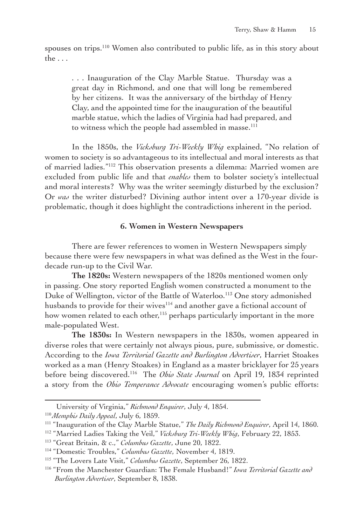spouses on trips.<sup>110</sup> Women also contributed to public life, as in this story about the . . .

. . . Inauguration of the Clay Marble Statue. Thursday was a great day in Richmond, and one that will long be remembered by her citizens. It was the anniversary of the birthday of Henry Clay, and the appointed time for the inauguration of the beautiful marble statue, which the ladies of Virginia had had prepared, and to witness which the people had assembled in masse.<sup>111</sup>

In the 1850s, the *Vicksburg Tri-Weekly Whig* explained, "No relation of women to society is so advantageous to its intellectual and moral interests as that of married ladies."112 This observation presents a dilemma: Married women are excluded from public life and that *enables* them to bolster society's intellectual and moral interests? Why was the writer seemingly disturbed by the exclusion? Or *was* the writer disturbed? Divining author intent over a 170-year divide is problematic, though it does highlight the contradictions inherent in the period.

#### **6. Women in Western Newspapers**

There are fewer references to women in Western Newspapers simply because there were few newspapers in what was defined as the West in the fourdecade run-up to the Civil War.

**The 1820s:** Western newspapers of the 1820s mentioned women only in passing. One story reported English women constructed a monument to the Duke of Wellington, victor of the Battle of Waterloo.<sup>113</sup> One story admonished husbands to provide for their wives<sup>114</sup> and another gave a fictional account of how women related to each other,<sup>115</sup> perhaps particularly important in the more male-populated West.

**The 1830s:** In Western newspapers in the 1830s, women appeared in diverse roles that were certainly not always pious, pure, submissive, or domestic. According to the *Iowa Territorial Gazette and Burlington Advertiser*, Harriet Stoakes worked as a man (Henry Stoakes) in England as a master bricklayer for 25 years before being discovered.116 The *Ohio State Journal* on April 19, 1834 reprinted a story from the *Ohio Temperance Advocate* encouraging women's public efforts:

University of Virginia," *Richmond Enquirer*, July 4, 1854.

<sup>110</sup>*Memphis Daily Appeal*, July 6, 1859.

<sup>111</sup> "Inauguration of the Clay Marble Statue," *The Daily Richmond Enquirer*, April 14, 1860.

<sup>112</sup> "Married Ladies Taking the Veil," *Vicksburg Tri-Weekly Whig*, February 22, 1853.

<sup>113</sup> "Great Britain, & c.," *Columbus Gazette*, June 20, 1822.

<sup>114</sup> "Domestic Troubles," *Columbus Gazette*, November 4, 1819.

<sup>115</sup> "The Lovers Late Visit," *Columbus Gazette*, September 26, 1822.

<sup>116</sup> "From the Manchester Guardian: The Female Husband!" *Iowa Territorial Gazette and Burlington Advertiser*, September 8, 1838.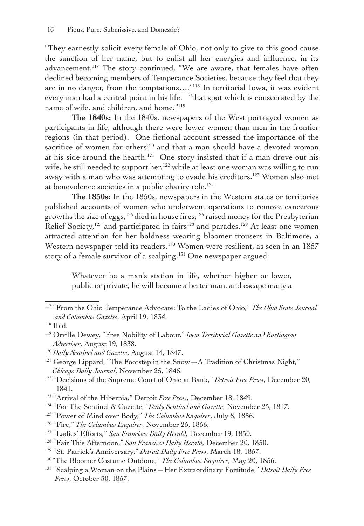"They earnestly solicit every female of Ohio, not only to give to this good cause the sanction of her name, but to enlist all her energies and influence, in its advancement.<sup>117</sup> The story continued, "We are aware, that females have often declined becoming members of Temperance Societies, because they feel that they are in no danger, from the temptations…."118 In territorial Iowa, it was evident every man had a central point in his life, "that spot which is consecrated by the name of wife, and children, and home."119

**The 1840s:** In the 1840s, newspapers of the West portrayed women as participants in life, although there were fewer women than men in the frontier regions (in that period). One fictional account stressed the importance of the sacrifice of women for others<sup>120</sup> and that a man should have a devoted woman at his side around the hearth.<sup>121</sup> One story insisted that if a man drove out his wife, he still needed to support her,<sup>122</sup> while at least one woman was willing to run away with a man who was attempting to evade his creditors.<sup>123</sup> Women also met at benevolence societies in a public charity role.<sup>124</sup>

**The 1850s:** In the 1850s, newspapers in the Western states or territories published accounts of women who underwent operations to remove cancerous growths the size of eggs,<sup>125</sup> died in house fires,<sup>126</sup> raised money for the Presbyterian Relief Society,<sup>127</sup> and participated in fairs<sup>128</sup> and parades.<sup>129</sup> At least one women attracted attention for her boldness wearing bloomer trousers in Baltimore, a Western newspaper told its readers.<sup>130</sup> Women were resilient, as seen in an 1857 story of a female survivor of a scalping.<sup>131</sup> One newspaper argued:

Whatever be a man's station in life, whether higher or lower, public or private, he will become a better man, and escape many a

<sup>126</sup> "Fire," *The Columbus Enquirer*, November 25, 1856.

- <sup>128</sup> "Fair This Afternoon," *San Francisco Daily Herald*, December 20, 1850.
- <sup>129</sup> "St. Patrick's Anniversary," *Detroit Daily Free Press*, March 18, 1857.

<sup>117</sup> "From the Ohio Temperance Advocate: To the Ladies of Ohio," *The Ohio State Journal and Columbus Gazette*, April 19, 1834.

<sup>118</sup> Ibid.

<sup>119</sup> Orville Dewey, "Free Nobility of Labour," *Iowa Territorial Gazette and Burlington Advertiser*, August 19, 1838.

<sup>120</sup> *Daily Sentinel and Gazette*, August 14, 1847.

<sup>&</sup>lt;sup>121</sup> George Lippard, "The Footstep in the Snow-A Tradition of Christmas Night," *Chicago Daily Journal*, November 25, 1846.

<sup>122</sup> "Decisions of the Supreme Court of Ohio at Bank," *Detroit Free Press*, December 20, 1841.

<sup>123</sup> "Arrival of the Hibernia," Detroit *Free Press*, December 18, 1849.

<sup>124</sup> "For The Sentinel & Gazette," *Daily Sentinel and Gazette*, November 25, 1847.

<sup>125</sup> "Power of Mind over Body," *The Columbus Enquirer*, July 8, 1856.

<sup>127</sup> "Ladies' Efforts," *San Francisco Daily Herald*, December 19, 1850.

<sup>130</sup> "The Bloomer Costume Outdone," *The Columbus Enquirer*, May 20, 1856.

<sup>131</sup> "Scalping a Woman on the Plains—Her Extraordinary Fortitude," *Detroit Daily Free Press*, October 30, 1857.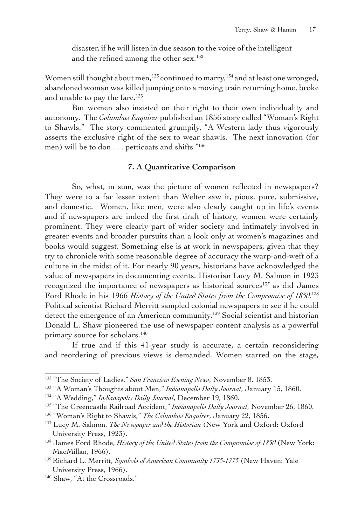disaster, if he will listen in due season to the voice of the intelligent and the refined among the other sex.<sup>132</sup>

Women still thought about men,<sup>133</sup> continued to marry,<sup>134</sup> and at least one wronged, abandoned woman was killed jumping onto a moving train returning home, broke and unable to pay the fare.<sup>135</sup>

But women also insisted on their right to their own individuality and autonomy. The *Columbus Enquirer* published an 1856 story called "Woman's Right to Shawls." The story commented grumpily, "A Western lady thus vigorously asserts the exclusive right of the sex to wear shawls. The next innovation (for men) will be to don . . . petticoats and shifts."136

#### **7. A Quantitative Comparison**

So, what, in sum, was the picture of women reflected in newspapers? They were to a far lesser extent than Welter saw it, pious, pure, submissive, and domestic. Women, like men, were also clearly caught up in life's events and if newspapers are indeed the first draft of history, women were certainly prominent. They were clearly part of wider society and intimately involved in greater events and broader pursuits than a look only at women's magazines and books would suggest. Something else is at work in newspapers, given that they try to chronicle with some reasonable degree of accuracy the warp-and-weft of a culture in the midst of it. For nearly 90 years, historians have acknowledged the value of newspapers in documenting events. Historian Lucy M. Salmon in 1923 recognized the importance of newspapers as historical sources<sup>137</sup> as did James Ford Rhode in his 1966 *History of the United States from the Compromise of 1850.*<sup>138</sup> Political scientist Richard Merritt sampled colonial newspapers to see if he could detect the emergence of an American community.<sup>139</sup> Social scientist and historian Donald L. Shaw pioneered the use of newspaper content analysis as a powerful primary source for scholars.<sup>140</sup>

If true and if this 41-year study is accurate, a certain reconsidering and reordering of previous views is demanded. Women starred on the stage,

<sup>132</sup> "The Society of Ladies," *San Francisco Evening News*, November 8, 1853.

<sup>133</sup> "A Woman's Thoughts about Men," *Indianapolis Daily Journal*, January 15, 1860.

<sup>134</sup> "A Wedding," *Indianapolis Daily Journal*, December 19, 1860.

<sup>135</sup> "The Greencastle Railroad Accident," *Indianapolis Daily Journal*, November 26, 1860.

<sup>136</sup> "Woman's Right to Shawls," *The Columbus Enquirer*, January 22, 1856.

<sup>137</sup> Lucy M. Salmon, *The Newspaper and the Historian* (New York and Oxford: Oxford University Press, 1923).

<sup>138</sup> James Ford Rhode, *History of the United States from the Compromise of 1850* (New York: MacMillan, 1966).

<sup>139</sup> Richard L. Merritt, *Symbols of American Community 1735-1775* (New Haven: Yale University Press, 1966).

<sup>140</sup> Shaw, "At the Crossroads."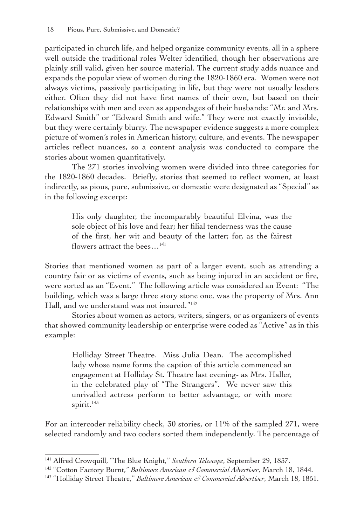participated in church life, and helped organize community events, all in a sphere well outside the traditional roles Welter identified, though her observations are plainly still valid, given her source material. The current study adds nuance and expands the popular view of women during the 1820-1860 era. Women were not always victims, passively participating in life, but they were not usually leaders either. Often they did not have first names of their own, but based on their relationships with men and even as appendages of their husbands: "Mr. and Mrs. Edward Smith" or "Edward Smith and wife." They were not exactly invisible, but they were certainly blurry. The newspaper evidence suggests a more complex picture of women's roles in American history, culture, and events. The newspaper articles reflect nuances, so a content analysis was conducted to compare the stories about women quantitatively.

The 271 stories involving women were divided into three categories for the 1820-1860 decades. Briefly, stories that seemed to reflect women, at least indirectly, as pious, pure, submissive, or domestic were designated as "Special" as in the following excerpt:

His only daughter, the incomparably beautiful Elvina, was the sole object of his love and fear; her filial tenderness was the cause of the first, her wit and beauty of the latter; for, as the fairest flowers attract the bees...<sup>141</sup>

Stories that mentioned women as part of a larger event, such as attending a country fair or as victims of events, such as being injured in an accident or fire, were sorted as an "Event." The following article was considered an Event: "The building, which was a large three story stone one, was the property of Mrs. Ann Hall, and we understand was not insured."142

Stories about women as actors, writers, singers, or as organizers of events that showed community leadership or enterprise were coded as "Active" as in this example:

Holliday Street Theatre. Miss Julia Dean. The accomplished lady whose name forms the caption of this article commenced an engagement at Holliday St. Theatre last evening- as Mrs. Haller, in the celebrated play of "The Strangers". We never saw this unrivalled actress perform to better advantage, or with more spirit.<sup>143</sup>

For an intercoder reliability check, 30 stories, or 11% of the sampled 271, were selected randomly and two coders sorted them independently. The percentage of

<sup>141</sup> Alfred Crowquill, "The Blue Knight," *Southern Telescope*, September 29, 1837.

<sup>142</sup> "Cotton Factory Burnt," *Baltimore American & Commercial Advertiser*, March 18, 1844.

<sup>143</sup> "Holliday Street Theatre," *Baltimore American & Commercial Advertiser*, March 18, 1851.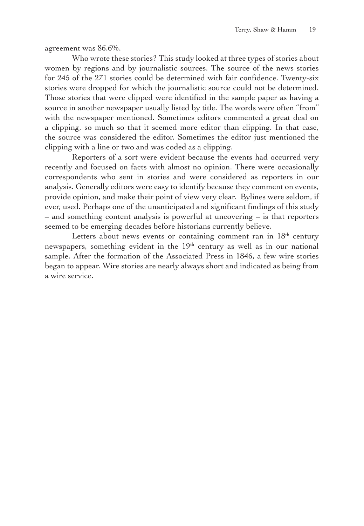agreement was 86.6%.

Who wrote these stories? This study looked at three types of stories about women by regions and by journalistic sources. The source of the news stories for 245 of the 271 stories could be determined with fair confidence. Twenty-six stories were dropped for which the journalistic source could not be determined. Those stories that were clipped were identified in the sample paper as having a source in another newspaper usually listed by title. The words were often "from" with the newspaper mentioned. Sometimes editors commented a great deal on a clipping, so much so that it seemed more editor than clipping. In that case, the source was considered the editor. Sometimes the editor just mentioned the clipping with a line or two and was coded as a clipping.

Reporters of a sort were evident because the events had occurred very recently and focused on facts with almost no opinion. There were occasionally correspondents who sent in stories and were considered as reporters in our analysis. Generally editors were easy to identify because they comment on events, provide opinion, and make their point of view very clear. Bylines were seldom, if ever, used. Perhaps one of the unanticipated and significant findings of this study – and something content analysis is powerful at uncovering – is that reporters seemed to be emerging decades before historians currently believe.

Letters about news events or containing comment ran in  $18<sup>th</sup>$  century newspapers, something evident in the 19<sup>th</sup> century as well as in our national sample. After the formation of the Associated Press in 1846, a few wire stories began to appear. Wire stories are nearly always short and indicated as being from a wire service.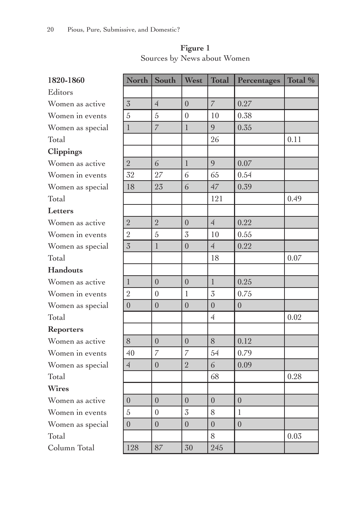| 1820-1860        | North          | South          | West             | <b>Total</b>   | Percentages    | Total % |
|------------------|----------------|----------------|------------------|----------------|----------------|---------|
| Editors          |                |                |                  |                |                |         |
| Women as active  | 3              | $\overline{4}$ | $\overline{0}$   | $\overline{7}$ | 0.27           |         |
| Women in events  | 5              | 5              | $\boldsymbol{0}$ | 10             | 0.38           |         |
| Women as special | $\mathbf{1}$   | $\overline{7}$ | $\mathbf{1}$     | 9              | 0.35           |         |
| Total            |                |                |                  | 26             |                | 0.11    |
| Clippings        |                |                |                  |                |                |         |
| Women as active  | $\overline{2}$ | 6              | $\mathbf{1}$     | 9              | 0.07           |         |
| Women in events  | 32             | 27             | 6                | 65             | 0.54           |         |
| Women as special | 18             | 23             | 6                | 47             | 0.39           |         |
| Total            |                |                |                  | 121            |                | 0.49    |
| Letters          |                |                |                  |                |                |         |
| Women as active  | $\overline{2}$ | $\overline{2}$ | $\overline{0}$   | $\overline{4}$ | 0.22           |         |
| Women in events  | $\overline{2}$ | 5              | 3                | 10             | 0.55           |         |
| Women as special | 3              | $\mathbf{1}$   | $\overline{0}$   | $\overline{4}$ | 0.22           |         |
| Total            |                |                |                  | 18             |                | 0.07    |
| <b>Handouts</b>  |                |                |                  |                |                |         |
| Women as active  | $\mathbf{1}$   | $\overline{0}$ | $\overline{0}$   | $\mathbf{1}$   | 0.25           |         |
| Women in events  | $\overline{2}$ | $\theta$       | $\mathbf{1}$     | 3              | 0.75           |         |
| Women as special | $\overline{0}$ | $\theta$       | $\theta$         | $\overline{0}$ | $\overline{0}$ |         |
| Total            |                |                |                  | $\overline{4}$ |                | 0.02    |
| <b>Reporters</b> |                |                |                  |                |                |         |
| Women as active  | 8              | $\theta$       | $\theta$         | 8              | 0.12           |         |
| Women in events  | 40             | $\overline{7}$ | $\overline{7}$   | 54             | 0.79           |         |
| Women as special | $\overline{4}$ | $\overline{0}$ | $\overline{2}$   | 6              | 0.09           |         |
| Total            |                |                |                  | 68             |                | 0.28    |
| <b>Wires</b>     |                |                |                  |                |                |         |
| Women as active  | $\theta$       | $\overline{0}$ | $\overline{0}$   | $\overline{0}$ | $\overline{0}$ |         |
| Women in events  | 5              | $\overline{0}$ | 3                | 8              | $\mathbf{1}$   |         |
| Women as special | $\overline{0}$ | $\overline{0}$ | $\overline{0}$   | $\overline{0}$ | $\overline{0}$ |         |
| Total            |                |                |                  | 8              |                | 0.03    |
| Column Total     | 128            | 87             | 30               | 245            |                |         |

**Figure 1** Sources by News about Women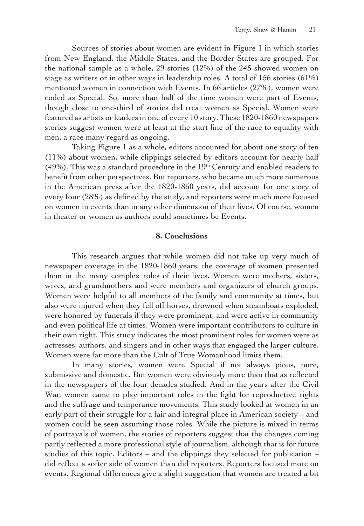Sources of stories about women are evident in Figure 1 in which stories from New England, the Middle States, and the Border States are grouped. For the national sample as a whole, 29 stories (12%) of the 245 showed women on stage as writers or in other ways in leadership roles. A total of 156 stories (61%) mentioned women in connection with Events. In 66 articles (27%), women were coded as Special. So, more than half of the time women were part of Events, though close to one-third of stories did treat women as Special. Women were featured as artists or leaders in one of every 10 story. These 1820-1860 newspapers stories suggest women were at least at the start line of the race to equality with men, a race many regard as ongoing.

Taking Figure 1 as a whole, editors accounted for about one story of ten (11%) about women, while clippings selected by editors account for nearly half (49%). This was a standard procedure in the 19th Century and enabled readers to benefit from other perspectives. But reporters, who became much more numerous in the American press after the 1820-1860 years, did account for one story of every four (28%) as defined by the study, and reporters were much more focused on women in events than in any other dimension of their lives. Of course, women in theater or women as authors could sometimes be Events.

#### **8. Conclusions**

This research argues that while women did not take up very much of newspaper coverage in the 1820-1860 years, the coverage of women presented them in the many complex roles of their lives. Women were mothers, sisters, wives, and grandmothers and were members and organizers of church groups. Women were helpful to all members of the family and community at times, but also were injured when they fell off horses, drowned when steamboats exploded, were honored by funerals if they were prominent, and were active in community and even political life at times. Women were important contributors to culture in their own right. This study indicates the most prominent roles for women were as actresses, authors, and singers and in other ways that engaged the larger culture. Women were far more than the Cult of True Womanhood limits them.

In many stories, women were Special if not always pious, pure, submissive and domestic. But women were obviously more than that as reflected in the newspapers of the four decades studied. And in the years after the Civil War, women came to play important roles in the fight for reproductive rights and the suffrage and temperance movements. This study looked at women in an early part of their struggle for a fair and integral place in American society – and women could be seen assuming those roles. While the picture is mixed in terms of portrayals of women, the stories of reporters suggest that the changes coming partly reflected a more professional style of journalism, although that is for future studies of this topic. Editors – and the clippings they selected for publication – did reflect a softer side of women than did reporters. Reporters focused more on events. Regional differences give a slight suggestion that women are treated a bit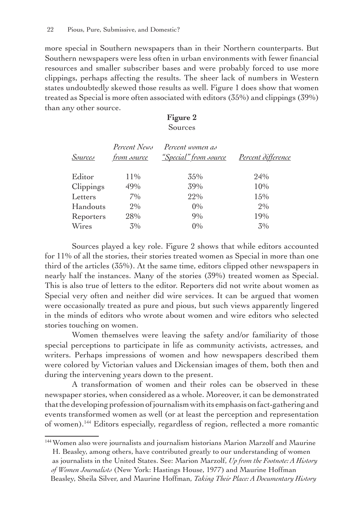more special in Southern newspapers than in their Northern counterparts. But Southern newspapers were less often in urban environments with fewer financial resources and smaller subscriber bases and were probably forced to use more clippings, perhaps affecting the results. The sheer lack of numbers in Western states undoubtedly skewed those results as well. Figure 1 does show that women treated as Special is more often associated with editors (35%) and clippings (39%) than any other source.

#### **Figure 2** Sources

| Sources   | Percent News<br><u>from source</u> | Percent women as<br><i>"Special" from source</i> | Percent difference |
|-----------|------------------------------------|--------------------------------------------------|--------------------|
| Editor    | 11\%                               | 35%                                              | 24%                |
| Clippings | 49%                                | 39%                                              | 10%                |
| Letters   | 7%                                 | 22%                                              | 15%                |
| Handouts  | 2%                                 | $0\%$                                            | $2\%$              |
| Reporters | 28%                                | 9%                                               | 19%                |
| Wires     | $3\%$                              | $0\%$                                            | 3%                 |

Sources played a key role. Figure 2 shows that while editors accounted for 11% of all the stories, their stories treated women as Special in more than one third of the articles (35%). At the same time, editors clipped other newspapers in nearly half the instances. Many of the stories (39%) treated women as Special. This is also true of letters to the editor. Reporters did not write about women as Special very often and neither did wire services. It can be argued that women were occasionally treated as pure and pious, but such views apparently lingered in the minds of editors who wrote about women and wire editors who selected stories touching on women.

Women themselves were leaving the safety and/or familiarity of those special perceptions to participate in life as community activists, actresses, and writers. Perhaps impressions of women and how newspapers described them were colored by Victorian values and Dickensian images of them, both then and during the intervening years down to the present.

A transformation of women and their roles can be observed in these newspaper stories, when considered as a whole. Moreover, it can be demonstrated that the developing profession of journalism with its emphasis on fact-gathering and events transformed women as well (or at least the perception and representation of women).144 Editors especially, regardless of region, reflected a more romantic

<sup>144</sup>Women also were journalists and journalism historians Marion Marzolf and Maurine H. Beasley, among others, have contributed greatly to our understanding of women as journalists in the United States. See: Marion Marzolf, *Up from the Footnote: A History of Women Journalists* (New York: Hastings House, 1977) and Maurine Hoffman Beasley, Sheila Silver, and Maurine Hoffman, *Taking Their Place: A Documentary History*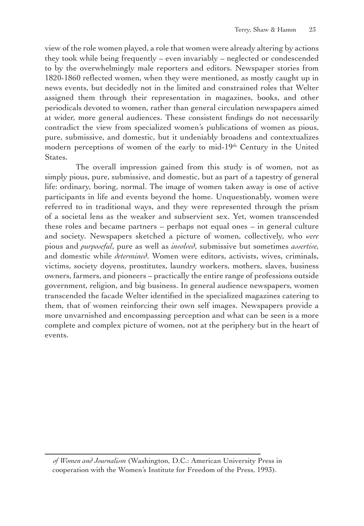view of the role women played, a role that women were already altering by actions they took while being frequently – even invariably – neglected or condescended to by the overwhelmingly male reporters and editors. Newspaper stories from 1820-1860 reflected women, when they were mentioned, as mostly caught up in news events, but decidedly not in the limited and constrained roles that Welter assigned them through their representation in magazines, books, and other periodicals devoted to women, rather than general circulation newspapers aimed at wider, more general audiences. These consistent findings do not necessarily contradict the view from specialized women's publications of women as pious, pure, submissive, and domestic, but it undeniably broadens and contextualizes modern perceptions of women of the early to mid-19<sup>th</sup> Century in the United States.

 The overall impression gained from this study is of women, not as simply pious, pure, submissive, and domestic, but as part of a tapestry of general life: ordinary, boring, normal. The image of women taken away is one of active participants in life and events beyond the home. Unquestionably, women were referred to in traditional ways, and they were represented through the prism of a societal lens as the weaker and subservient sex. Yet, women transcended these roles and became partners – perhaps not equal ones – in general culture and society. Newspapers sketched a picture of women, collectively, who *were* pious and *purposeful*, pure as well as *involved*, submissive but sometimes *assertive,* and domestic while *determined*. Women were editors, activists, wives, criminals, victims, society doyens, prostitutes, laundry workers, mothers, slaves, business owners, farmers, and pioneers – practically the entire range of professions outside government, religion, and big business. In general audience newspapers, women transcended the facade Welter identified in the specialized magazines catering to them, that of women reinforcing their own self images. Newspapers provide a more unvarnished and encompassing perception and what can be seen is a more complete and complex picture of women, not at the periphery but in the heart of events.

*of Women and Journalism* (Washington, D.C.: American University Press in cooperation with the Women's Institute for Freedom of the Press, 1993).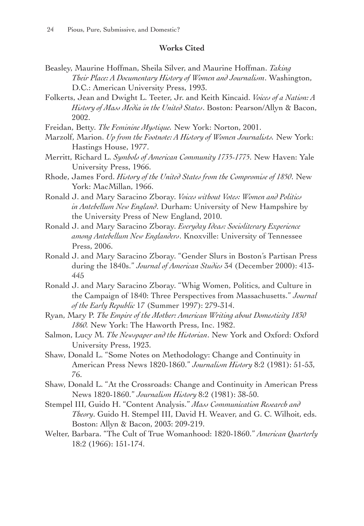#### **Works Cited**

- Beasley, Maurine Hoffman, Sheila Silver, and Maurine Hoffman. *Taking Their Place: A Documentary History of Women and Journalism*. Washington, D.C.: American University Press, 1993.
- Folkerts, Jean and Dwight L. Teeter, Jr. and Keith Kincaid. *Voices of a Nation: A History of Mass Media in the United States*. Boston: Pearson/Allyn & Bacon, 2002.
- Freidan, Betty. *The Feminine Mystique.* New York: Norton, 2001.
- Marzolf, Marion. *Up from the Footnote: A History of Women Journalists.* New York: Hastings House, 1977.
- Merritt, Richard L. *Symbols of American Community 1735-1775*. New Haven: Yale University Press, 1966.
- Rhode, James Ford. *History of the United States from the Compromise of 1850*. New York: MacMillan, 1966.
- Ronald J. and Mary Saracino Zboray. *Voices without Votes: Women and Politics in Antebellum New England*. Durham: University of New Hampshire by the University Press of New England, 2010.
- Ronald J. and Mary Saracino Zboray. *Everyday Ideas: Socioliterary Experience among Antebellum New Englanders*. Knoxville: University of Tennessee Press, 2006.
- Ronald J. and Mary Saracino Zboray. "Gender Slurs in Boston's Partisan Press during the 1840s." *Journal of American Studies* 34 (December 2000): 413- 445
- Ronald J. and Mary Saracino Zboray. "Whig Women, Politics, and Culture in the Campaign of 1840: Three Perspectives from Massachusetts." *Journal of the Early Republic* 17 (Summer 1997): 279-314.
- Ryan, Mary P. *The Empire of the Mother: American Writing about Domesticity 1830 1860.* New York: The Haworth Press, Inc. 1982.
- Salmon, Lucy M. *The Newspaper and the Historian*. New York and Oxford: Oxford University Press, 1923.
- Shaw, Donald L. "Some Notes on Methodology: Change and Continuity in American Press News 1820-1860." *Journalism History* 8:2 (1981): 51-53, 76.
- Shaw, Donald L. "At the Crossroads: Change and Continuity in American Press News 1820-1860." *Journalism History* 8:2 (1981): 38-50.
- Stempel III, Guido H. "Content Analysis." *Mass Communication Research and Theory*. Guido H. Stempel III, David H. Weaver, and G. C. Wilhoit, eds. Boston: Allyn & Bacon, 2003: 209-219.
- Welter, Barbara. "The Cult of True Womanhood: 1820-1860." *American Quarterly* 18:2 (1966): 151-174.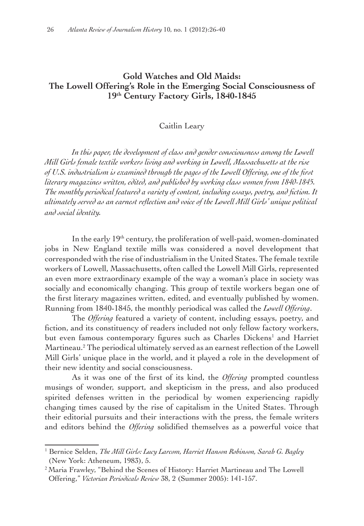#### **Gold Watches and Old Maids: The Lowell Offering's Role in the Emerging Social Consciousness of 19th Century Factory Girls, 1840-1845**

#### Caitlin Leary

In this paper, the development of class and gender consciousness among the Lowell *Mill Girls female textile workers living and working in Lowell, Massachusetts at the rise of U.S. industrialism is examined through the pages of the Lowell Offering, one of the first literary magazines written, edited, and published by working class women from 1840-1845. The monthly periodical featured a variety of content, including essays, poetry, and fiction. It ultimately served as an earnest reflection and voice of the Lowell Mill Girls' unique political and social identity.*

In the early 19<sup>th</sup> century, the proliferation of well-paid, women-dominated jobs in New England textile mills was considered a novel development that corresponded with the rise of industrialism in the United States. The female textile workers of Lowell, Massachusetts, often called the Lowell Mill Girls, represented an even more extraordinary example of the way a woman's place in society was socially and economically changing. This group of textile workers began one of the first literary magazines written, edited, and eventually published by women. Running from 1840-1845, the monthly periodical was called the *Lowell Offering*.

The *Offering* featured a variety of content, including essays, poetry, and fiction, and its constituency of readers included not only fellow factory workers, but even famous contemporary figures such as Charles Dickens<sup>1</sup> and Harriet Martineau.2 The periodical ultimately served as an earnest reflection of the Lowell Mill Girls' unique place in the world, and it played a role in the development of their new identity and social consciousness.

As it was one of the first of its kind, the *Offering* prompted countless musings of wonder, support, and skepticism in the press, and also produced spirited defenses written in the periodical by women experiencing rapidly changing times caused by the rise of capitalism in the United States. Through their editorial pursuits and their interactions with the press, the female writers and editors behind the *Offering* solidified themselves as a powerful voice that

<sup>1</sup> Bernice Selden, *The Mill Girls: Lucy Larcom, Harriet Hanson Robinson, Sarah G. Bagley* (New York: Atheneum, 1983), 5.

<sup>&</sup>lt;sup>2</sup> Maria Frawley, "Behind the Scenes of History: Harriet Martineau and The Lowell Offering," *Victorian Periodicals Review* 38, 2 (Summer 2005): 141-157.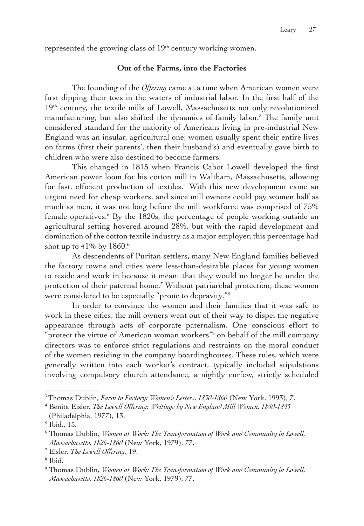represented the growing class of 19<sup>th</sup> century working women.

## **Out of the Farms, into the Factories**

The founding of the *Offering* came at a time when American women were first dipping their toes in the waters of industrial labor. In the first half of the 19<sup>th</sup> century, the textile mills of Lowell, Massachusetts not only revolutionized manufacturing, but also shifted the dynamics of family labor.3 The family unit considered standard for the majority of Americans living in pre-industrial New England was an insular, agricultural one; women usually spent their entire lives on farms (first their parents', then their husband's) and eventually gave birth to children who were also destined to become farmers.

This changed in 1815 when Francis Cabot Lowell developed the first American power loom for his cotton mill in Waltham, Massachusetts, allowing for fast, efficient production of textiles.<sup>4</sup> With this new development came an urgent need for cheap workers, and since mill owners could pay women half as much as men, it was not long before the mill workforce was comprised of 75% female operatives.<sup>5</sup> By the 1820s, the percentage of people working outside an agricultural setting hovered around 28%, but with the rapid development and domination of the cotton textile industry as a major employer, this percentage had shot up to 41% by 1860.**<sup>6</sup>**

As descendents of Puritan settlers, many New England families believed the factory towns and cities were less-than-desirable places for young women to reside and work in because it meant that they would no longer be under the protection of their paternal home.<sup>7</sup> Without patriarchal protection, these women were considered to be especially "prone to depravity."8

In order to convince the women and their families that it was safe to work in these cities, the mill owners went out of their way to dispel the negative appearance through acts of corporate paternalism. One conscious effort to "protect the virtue of American woman workers"<sup>9</sup> on behalf of the mill company directors was to enforce strict regulations and restraints on the moral conduct of the women residing in the company boardinghouses. These rules, which were generally written into each worker's contract, typically included stipulations involving compulsory church attendance, a nightly curfew, strictly scheduled

<sup>3</sup>Thomas Dublin, *Farm to Factory: Women's Letters, 1830-1860* (New York, 1993), 7.

<sup>4</sup> Benita Eisler, *The Lowell Offering: Writings by New England Mill Women, 1840-1845* (Philadelphia, 1977), 13.

<sup>5</sup> Ibid., 15.

<sup>6</sup> Thomas Dublin, *Women at Work: The Transformation of Work and Community in Lowell, Massachusetts, 1826-1860* (New York, 1979), 77.

<sup>7</sup> Eisler, *The Lowell Offering*, 19.

<sup>8</sup> Ibid.

<sup>9</sup> Thomas Dublin, *Women at Work: The Transformation of Work and Community in Lowell, Massachusetts, 1826-1860* (New York, 1979), 77.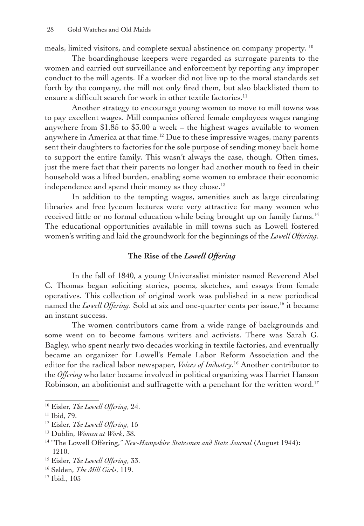meals, limited visitors, and complete sexual abstinence on company property. 10

The boardinghouse keepers were regarded as surrogate parents to the women and carried out surveillance and enforcement by reporting any improper conduct to the mill agents. If a worker did not live up to the moral standards set forth by the company, the mill not only fired them, but also blacklisted them to ensure a difficult search for work in other textile factories.<sup>11</sup>

Another strategy to encourage young women to move to mill towns was to pay excellent wages. Mill companies offered female employees wages ranging anywhere from \$1.85 to \$3.00 a week – the highest wages available to women anywhere in America at that time.<sup>12</sup> Due to these impressive wages, many parents sent their daughters to factories for the sole purpose of sending money back home to support the entire family. This wasn't always the case, though. Often times, just the mere fact that their parents no longer had another mouth to feed in their household was a lifted burden, enabling some women to embrace their economic independence and spend their money as they chose.<sup>13</sup>

In addition to the tempting wages, amenities such as large circulating libraries and free lyceum lectures were very attractive for many women who received little or no formal education while being brought up on family farms.<sup>14</sup> The educational opportunities available in mill towns such as Lowell fostered women's writing and laid the groundwork for the beginnings of the *Lowell Offering*.

### **The Rise of the** *Lowell Offering*

In the fall of 1840, a young Universalist minister named Reverend Abel C. Thomas began soliciting stories, poems, sketches, and essays from female operatives. This collection of original work was published in a new periodical named the *Lowell Offering*. Sold at six and one-quarter cents per issue,<sup>15</sup> it became an instant success.

The women contributors came from a wide range of backgrounds and some went on to become famous writers and activists. There was Sarah G. Bagley, who spent nearly two decades working in textile factories, and eventually became an organizer for Lowell's Female Labor Reform Association and the editor for the radical labor newspaper, *Voices of Industry*. 16 Another contributor to the *Offering* who later became involved in political organizing was Harriet Hanson Robinson, an abolitionist and suffragette with a penchant for the written word.<sup>17</sup>

<sup>13</sup> Dublin, *Women at Work*, 38.

<sup>15</sup> Eisler, *The Lowell Offering*, 33.

<sup>10</sup> Eisler, *The Lowell Offering*, 24.

<sup>11</sup> Ibid, 79.

<sup>12</sup> Eisler, *The Lowell Offering*, 15

<sup>14</sup> "The Lowell Offering," *New-Hampshire Statesmen and State Journal* (August 1944): 1210.

<sup>16</sup> Selden, *The Mill Girls*, 119.

<sup>17</sup> Ibid., 103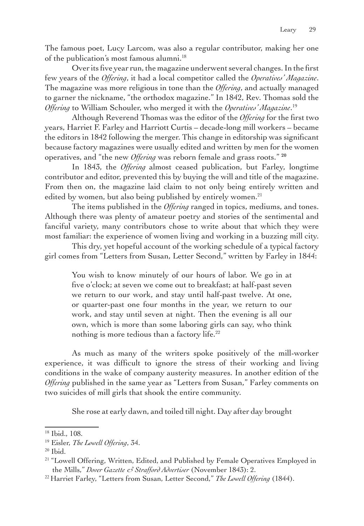The famous poet, Lucy Larcom, was also a regular contributor, making her one of the publication's most famous alumni.<sup>18</sup>

Over its five year run, the magazine underwent several changes. In the first few years of the *Offering*, it had a local competitor called the *Operatives' Magazine*. The magazine was more religious in tone than the *Offering*, and actually managed to garner the nickname, "the orthodox magazine." In 1842, Rev. Thomas sold the *Offering* to William Schouler, who merged it with the *Operatives' Magazine*. 19

Although Reverend Thomas was the editor of the *Offering* for the first two years, Harriet F. Farley and Harriott Curtis – decade-long mill workers – became the editors in 1842 following the merger. This change in editorship was significant because factory magazines were usually edited and written by men for the women operatives, and "the new *Offering* was reborn female and grass roots." **<sup>20</sup>**

In 1843, the *Offering* almost ceased publication, but Farley, longtime contributor and editor, prevented this by buying the will and title of the magazine. From then on, the magazine laid claim to not only being entirely written and edited by women, but also being published by entirely women.<sup>21</sup>

The items published in the *Offering* ranged in topics, mediums, and tones. Although there was plenty of amateur poetry and stories of the sentimental and fanciful variety, many contributors chose to write about that which they were most familiar: the experience of women living and working in a buzzing mill city.

This dry, yet hopeful account of the working schedule of a typical factory girl comes from "Letters from Susan, Letter Second," written by Farley in 1844:

You wish to know minutely of our hours of labor. We go in at five o'clock; at seven we come out to breakfast; at half-past seven we return to our work, and stay until half-past twelve. At one, or quarter-past one four months in the year, we return to our work, and stay until seven at night. Then the evening is all our own, which is more than some laboring girls can say, who think nothing is more tedious than a factory life.<sup>22</sup>

As much as many of the writers spoke positively of the mill-worker experience, it was difficult to ignore the stress of their working and living conditions in the wake of company austerity measures. In another edition of the *Offering* published in the same year as "Letters from Susan," Farley comments on two suicides of mill girls that shook the entire community.

She rose at early dawn, and toiled till night. Day after day brought

<sup>18</sup> Ibid., 108.

<sup>19</sup> Eisler, *The Lowell Offering*, 34.

<sup>20</sup> Ibid.

<sup>&</sup>lt;sup>21</sup> "Lowell Offering, Written, Edited, and Published by Female Operatives Employed in the Mills," *Dover Gazette & Strafford Advertiser* (November 1843): 2.

<sup>22</sup> Harriet Farley, "Letters from Susan, Letter Second," *The Lowell Offering* (1844).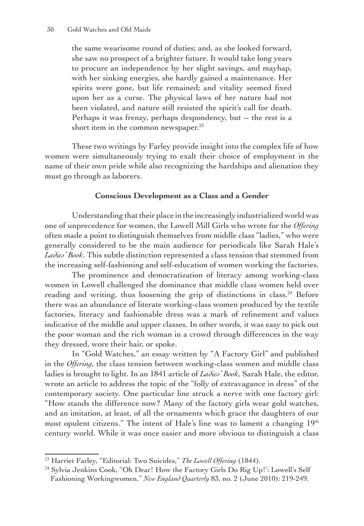the same wearisome round of duties; and, as she looked forward, she saw no prospect of a brighter future. It would take long years to procure an independence by her slight savings, and mayhap, with her sinking energies, she hardly gained a maintenance. Her spirits were gone, but life remained; and vitality seemed fixed upon her as a curse. The physical laws of her nature had not been violated, and nature still resisted the spirit's call for death. Perhaps it was frenzy, perhaps despondency, but -- the rest is a short item in the common newspaper.<sup>23</sup>

These two writings by Farley provide insight into the complex life of how women were simultaneously trying to exalt their choice of employment in the name of their own pride while also recognizing the hardships and alienation they must go through as laborers.

## **Conscious Development as a Class and a Gender**

Understanding that their place in the increasingly industrialized world was one of unprecedence for women, the Lowell Mill Girls who wrote for the *Offering* often made a point to distinguish themselves from middle class "ladies," who were generally considered to be the main audience for periodicals like Sarah Hale's *Ladies' Book*. This subtle distinction represented a class tension that stemmed from the increasing self-fashioning and self-education of women working the factories.

The prominence and democratization of literacy among working-class women in Lowell challenged the dominance that middle class women held over reading and writing, thus loosening the grip of distinctions in class.<sup>24</sup> Before there was an abundance of literate working-class women produced by the textile factories, literacy and fashionable dress was a mark of refinement and values indicative of the middle and upper classes. In other words, it was easy to pick out the poor woman and the rich woman in a crowd through differences in the way they dressed, wore their hair, or spoke.

In "Gold Watches," an essay written by "A Factory Girl" and published in the *Offering*, the class tension between working-class women and middle class ladies is brought to light. In an 1841 article of *Ladies' Book,* Sarah Hale, the editor, wrote an article to address the topic of the "folly of extravagance in dress" of the contemporary society. One particular line struck a nerve with one factory girl: "How stands the difference now? Many of the factory girls wear gold watches, and an imitation, at least, of all the ornaments which grace the daughters of our most opulent citizens." The intent of Hale's line was to lament a changing 19<sup>th</sup> century world. While it was once easier and more obvious to distinguish a class

<sup>23</sup> Harriet Farley, "Editorial: Two Suicides," *The Lowell Offering* (1844).

<sup>24</sup> Sylvia Jenkins Cook, ''Oh Dear! How the Factory Girls Do Rig Up!': Lowell's Self Fashioning Workingwomen," *New England Quarterly* 83, no. 2 (June 2010): 219-249.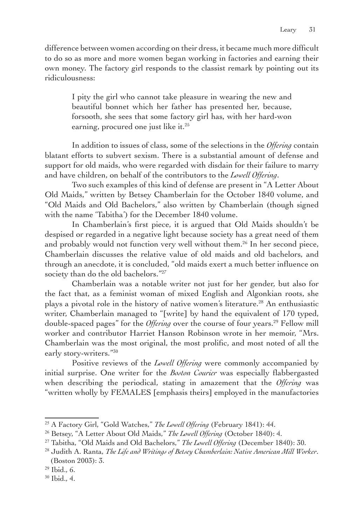difference between women according on their dress, it became much more difficult to do so as more and more women began working in factories and earning their own money. The factory girl responds to the classist remark by pointing out its ridiculousness:

I pity the girl who cannot take pleasure in wearing the new and beautiful bonnet which her father has presented her, because, forsooth, she sees that some factory girl has, with her hard-won earning, procured one just like it.<sup>25</sup>

In addition to issues of class, some of the selections in the *Offering* contain blatant efforts to subvert sexism. There is a substantial amount of defense and support for old maids, who were regarded with disdain for their failure to marry and have children, on behalf of the contributors to the *Lowell Offering*.

Two such examples of this kind of defense are present in "A Letter About Old Maids," written by Betsey Chamberlain for the October 1840 volume, and "Old Maids and Old Bachelors," also written by Chamberlain (though signed with the name 'Tabitha') for the December 1840 volume.

In Chamberlain's first piece, it is argued that Old Maids shouldn't be despised or regarded in a negative light because society has a great need of them and probably would not function very well without them.26 In her second piece, Chamberlain discusses the relative value of old maids and old bachelors, and through an anecdote, it is concluded, "old maids exert a much better influence on society than do the old bachelors."<sup>27</sup>

Chamberlain was a notable writer not just for her gender, but also for the fact that, as a feminist woman of mixed English and Algonkian roots, she plays a pivotal role in the history of native women's literature.28 An enthusiastic writer, Chamberlain managed to "[write] by hand the equivalent of 170 typed, double-spaced pages" for the *Offering* over the course of four years.29 Fellow mill worker and contributor Harriet Hanson Robinson wrote in her memoir, "Mrs. Chamberlain was the most original, the most prolific, and most noted of all the early story-writers."30

Positive reviews of the *Lowell Offering* were commonly accompanied by initial surprise. One writer for the *Boston Courier* was especially flabbergasted when describing the periodical, stating in amazement that the *Offering* was "written wholly by FEMALES [emphasis theirs] employed in the manufactories

<sup>25</sup> A Factory Girl, "Gold Watches," *The Lowell Offering* (February 1841): 44.

<sup>26</sup> Betsey, "A Letter About Old Maids," *The Lowell Offering* (October 1840): 4.

<sup>27</sup> Tabitha, "Old Maids and Old Bachelors," *The Lowell Offering* (December 1840): 30.

<sup>28</sup> Judith A. Ranta, *The Life and Writings of Betsey Chamberlain: Native American Mill Worker*. (Boston 2003): 3.

<sup>29</sup> Ibid., 6.

<sup>30</sup> Ibid., 4.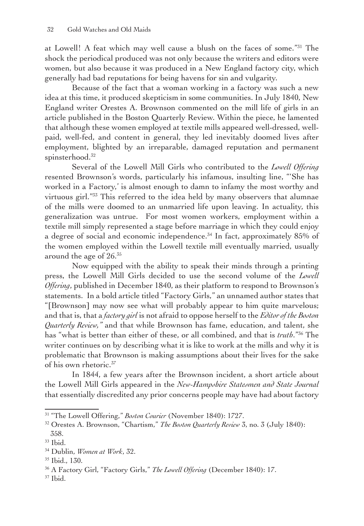at Lowell! A feat which may well cause a blush on the faces of some."31 The shock the periodical produced was not only because the writers and editors were women, but also because it was produced in a New England factory city, which generally had bad reputations for being havens for sin and vulgarity.

Because of the fact that a woman working in a factory was such a new idea at this time, it produced skepticism in some communities. In July 1840, New England writer Orestes A. Brownson commented on the mill life of girls in an article published in the Boston Quarterly Review. Within the piece, he lamented that although these women employed at textile mills appeared well-dressed, wellpaid, well-fed, and content in general, they led inevitably doomed lives after employment, blighted by an irreparable, damaged reputation and permanent spinsterhood.<sup>32</sup>

Several of the Lowell Mill Girls who contributed to the *Lowell Offering* resented Brownson's words, particularly his infamous, insulting line, "'She has worked in a Factory,' is almost enough to damn to infamy the most worthy and virtuous girl."<sup>33</sup> This referred to the idea held by many observers that alumnae of the mills were doomed to an unmarried life upon leaving. In actuality, this generalization was untrue. For most women workers, employment within a textile mill simply represented a stage before marriage in which they could enjoy a degree of social and economic independence.<sup>34</sup> In fact, approximately 85% of the women employed within the Lowell textile mill eventually married, usually around the age of 26.35

Now equipped with the ability to speak their minds through a printing press, the Lowell Mill Girls decided to use the second volume of the *Lowell Offering*, published in December 1840, as their platform to respond to Brownson's statements. In a bold article titled "Factory Girls," an unnamed author states that "[Brownson] may now see what will probably appear to him quite marvelous; and that is, that a *factory girl* is not afraid to oppose herself to the *Editorof the Boston Quarterly Review,"* and that while Brownson has fame, education, and talent, she has "what is better than either of these, or all combined, and that is *truth*."36 The writer continues on by describing what it is like to work at the mills and why it is problematic that Brownson is making assumptions about their lives for the sake of his own rhetoric.37

In 1844, a few years after the Brownson incident, a short article about the Lowell Mill Girls appeared in the *New-Hampshire Statesmen and State Journal* that essentially discredited any prior concerns people may have had about factory

<sup>31</sup> "The Lowell Offering," *Boston Courier* (November 1840): 1727.

<sup>32</sup> Orestes A. Brownson, "Chartism," *The Boston Quarterly Review* 3, no. 3 (July 1840): 358.

 $33$  Ibid.

<sup>34</sup> Dublin, *Women at Work*, 32.

<sup>35</sup> Ibid., 130.

<sup>36</sup> A Factory Girl, "Factory Girls," *The Lowell Offering* (December 1840): 17.

<sup>37</sup> Ibid.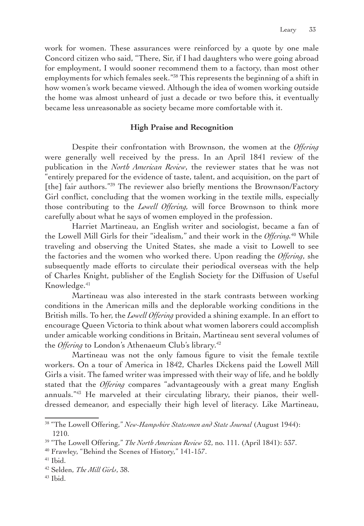work for women. These assurances were reinforced by a quote by one male Concord citizen who said, "There, Sir, if I had daughters who were going abroad for employment, I would sooner recommend them to a factory, than most other employments for which females seek."38 This represents the beginning of a shift in how women's work became viewed. Although the idea of women working outside the home was almost unheard of just a decade or two before this, it eventually became less unreasonable as society became more comfortable with it.

## **High Praise and Recognition**

Despite their confrontation with Brownson, the women at the *Offering* were generally well received by the press. In an April 1841 review of the publication in the *North American Review*, the reviewer states that he was not "entirely prepared for the evidence of taste, talent, and acquisition, on the part of [the] fair authors."<sup>39</sup> The reviewer also briefly mentions the Brownson/Factory Girl conflict, concluding that the women working in the textile mills, especially those contributing to the *Lowell Offering,* will force Brownson to think more carefully about what he says of women employed in the profession.

Harriet Martineau, an English writer and sociologist, became a fan of the Lowell Mill Girls for their "idealism," and their work in the *Offering.*40 While traveling and observing the United States, she made a visit to Lowell to see the factories and the women who worked there. Upon reading the *Offering*, she subsequently made efforts to circulate their periodical overseas with the help of Charles Knight, publisher of the English Society for the Diffusion of Useful Knowledge.<sup>41</sup>

Martineau was also interested in the stark contrasts between working conditions in the American mills and the deplorable working conditions in the British mills. To her, the *Lowell Offering* provided a shining example. In an effort to encourage Queen Victoria to think about what women laborers could accomplish under amicable working conditions in Britain, Martineau sent several volumes of the *Offering* to London's Athenaeum Club's library.<sup>42</sup>

Martineau was not the only famous figure to visit the female textile workers. On a tour of America in 1842, Charles Dickens paid the Lowell Mill Girls a visit. The famed writer was impressed with their way of life, and he boldly stated that the *Offering* compares "advantageously with a great many English annuals."43 He marveled at their circulating library, their pianos, their welldressed demeanor, and especially their high level of literacy. Like Martineau,

 $43$  Ibid.

<sup>38</sup> "The Lowell Offering," *New-Hampshire Statesmen and State Journal* (August 1944): 1210.

<sup>39</sup> "The Lowell Offering," *The North American Review* 52, no. 111. (April 1841): 537.

<sup>40</sup> Frawley, "Behind the Scenes of History," 141-157.

 $41$  Ibid.

<sup>42</sup> Selden, *The Mill Girls*, 38.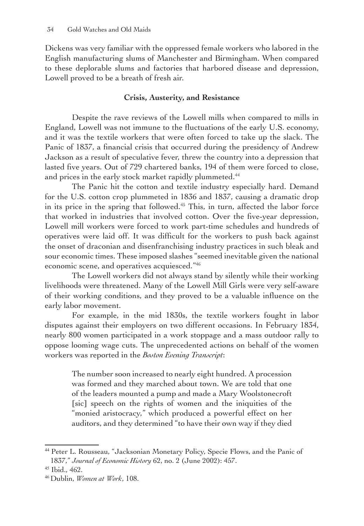Dickens was very familiar with the oppressed female workers who labored in the English manufacturing slums of Manchester and Birmingham. When compared to these deplorable slums and factories that harbored disease and depression, Lowell proved to be a breath of fresh air.

# **Crisis, Austerity, and Resistance**

Despite the rave reviews of the Lowell mills when compared to mills in England, Lowell was not immune to the fluctuations of the early U.S. economy, and it was the textile workers that were often forced to take up the slack. The Panic of 1837, a financial crisis that occurred during the presidency of Andrew Jackson as a result of speculative fever, threw the country into a depression that lasted five years. Out of 729 chartered banks, 194 of them were forced to close, and prices in the early stock market rapidly plummeted.<sup>44</sup>

The Panic hit the cotton and textile industry especially hard. Demand for the U.S. cotton crop plummeted in 1836 and 1837, causing a dramatic drop in its price in the spring that followed.<sup>45</sup> This, in turn, affected the labor force that worked in industries that involved cotton. Over the five-year depression, Lowell mill workers were forced to work part-time schedules and hundreds of operatives were laid off. It was difficult for the workers to push back against the onset of draconian and disenfranchising industry practices in such bleak and sour economic times. These imposed slashes "seemed inevitable given the national economic scene, and operatives acquiesced."46

The Lowell workers did not always stand by silently while their working livelihoods were threatened. Many of the Lowell Mill Girls were very self-aware of their working conditions, and they proved to be a valuable influence on the early labor movement.

For example, in the mid 1830s, the textile workers fought in labor disputes against their employers on two different occasions. In February 1834, nearly 800 women participated in a work stoppage and a mass outdoor rally to oppose looming wage cuts. The unprecedented actions on behalf of the women workers was reported in the *Boston Evening Transcript*:

The number soon increased to nearly eight hundred. A procession was formed and they marched about town. We are told that one of the leaders mounted a pump and made a Mary Woolstonecroft [sic] speech on the rights of women and the iniquities of the "monied aristocracy," which produced a powerful effect on her auditors, and they determined "to have their own way if they died

<sup>44</sup> Peter L. Rousseau, "Jacksonian Monetary Policy, Specie Flows, and the Panic of 1837," *Journal of Economic History* 62, no. 2 (June 2002): 457.

<sup>45</sup> Ibid., 462.

<sup>46</sup> Dublin, *Women at Work*, 108.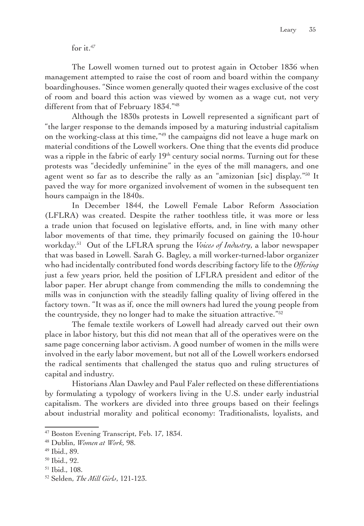for it. $47$ 

The Lowell women turned out to protest again in October 1836 when management attempted to raise the cost of room and board within the company boardinghouses. "Since women generally quoted their wages exclusive of the cost of room and board this action was viewed by women as a wage cut, not very different from that of February 1834."48

Although the 1830s protests in Lowell represented a significant part of "the larger response to the demands imposed by a maturing industrial capitalism on the working-class at this time,"49 the campaigns did not leave a huge mark on material conditions of the Lowell workers. One thing that the events did produce was a ripple in the fabric of early  $19<sup>th</sup>$  century social norms. Turning out for these protests was "decidedly unfeminine" in the eyes of the mill managers, and one agent went so far as to describe the rally as an "amizonian [sic] display."50 It paved the way for more organized involvement of women in the subsequent ten hours campaign in the 1840s.

In December 1844, the Lowell Female Labor Reform Association (LFLRA) was created. Despite the rather toothless title, it was more or less a trade union that focused on legislative efforts, and, in line with many other labor movements of that time, they primarily focused on gaining the 10-hour workday.51 Out of the LFLRA sprung the *Voices of Industry*, a labor newspaper that was based in Lowell. Sarah G. Bagley, a mill worker-turned-labor organizer who had incidentally contributed fond words describing factory life to the *Offering* just a few years prior, held the position of LFLRA president and editor of the labor paper. Her abrupt change from commending the mills to condemning the mills was in conjunction with the steadily falling quality of living offered in the factory town. "It was as if, once the mill owners had lured the young people from the countryside, they no longer had to make the situation attractive."52

The female textile workers of Lowell had already carved out their own place in labor history, but this did not mean that all of the operatives were on the same page concerning labor activism. A good number of women in the mills were involved in the early labor movement, but not all of the Lowell workers endorsed the radical sentiments that challenged the status quo and ruling structures of capital and industry.

Historians Alan Dawley and Paul Faler reflected on these differentiations by formulating a typology of workers living in the U.S. under early industrial capitalism. The workers are divided into three groups based on their feelings about industrial morality and political economy: Traditionalists, loyalists, and

<sup>&</sup>lt;sup>47</sup> Boston Evening Transcript, Feb. 17, 1834.

<sup>48</sup> Dublin, *Women at Work,* 98.

<sup>49</sup> Ibid., 89.

<sup>50</sup> Ibid., 92.

<sup>51</sup> Ibid., 108.

<sup>52</sup> Selden, *The Mill Girls*, 121-123.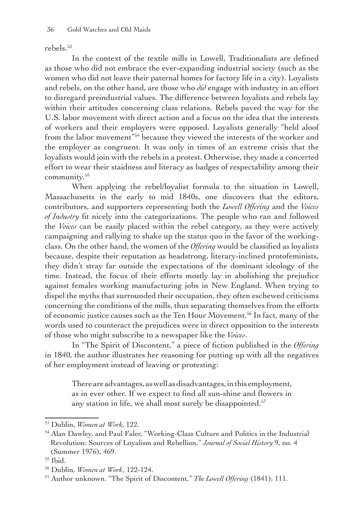rebels.53

In the context of the textile mills in Lowell, Traditionalists are defined as those who did not embrace the ever-expanding industrial society (such as the women who did not leave their paternal homes for factory life in a city). Loyalists and rebels, on the other hand, are those who *did* engage with industry in an effort to disregard preindustrial values. The difference between loyalists and rebels lay within their attitudes concerning class relations. Rebels paved the way for the U.S. labor movement with direct action and a focus on the idea that the interests of workers and their employers were opposed. Loyalists generally "held aloof from the labor movement"<sup>54</sup> because they viewed the interests of the worker and the employer as congruent. It was only in times of an extreme crisis that the loyalists would join with the rebels in a protest. Otherwise, they made a concerted effort to wear their staidness and literacy as badges of respectability among their community.<sup>55</sup>

When applying the rebel/loyalist formula to the situation in Lowell, Massachusetts in the early to mid 1840s, one discovers that the editors, contributors, and supporters representing both the *Lowell Offering* and the *Voices of Industry* fit nicely into the categorizations. The people who ran and followed the *Voices* can be easily placed within the rebel category, as they were actively campaigning and rallying to shake up the status quo in the favor of the workingclass. On the other hand, the women of the *Offering* would be classified as loyalists because, despite their reputation as headstrong, literary-inclined protofeminists, they didn't stray far outside the expectations of the dominant ideology of the time. Instead, the focus of their efforts mostly lay in abolishing the prejudice against females working manufacturing jobs in New England. When trying to dispel the myths that surrounded their occupation, they often eschewed criticisms concerning the conditions of the mills, thus separating themselves from the efforts of economic justice causes such as the Ten Hour Movement.56 In fact, many of the words used to counteract the prejudices were in direct opposition to the interests of those who might subscribe to a newspaper like the *Voices*.

In "The Spirit of Discontent," a piece of fiction published in the *Offering* in 1840, the author illustrates her reasoning for putting up with all the negatives of her employment instead of leaving or protesting:

There are advantages, as well as disadvantages, in this employment, as in ever other. If we expect to find all sun-shine and flowers in any station in life, we shall most surely be disappointed.<sup>57</sup>

<sup>53</sup> Dublin, *Women at Work,* 122.

<sup>54</sup> Alan Dawley, and Paul Faler, "Working-Class Culture and Politics in the Industrial Revolution: Sources of Loyalism and Rebellion," *Journal of Social History* 9, no. 4 (Summer 1976), 469.

<sup>55</sup> Ibid.

<sup>56</sup> Dublin, *Women at Work*, 122-124.

<sup>57</sup> Author unknown. "The Spirit of Discontent," *The Lowell Offering* (1841): 111.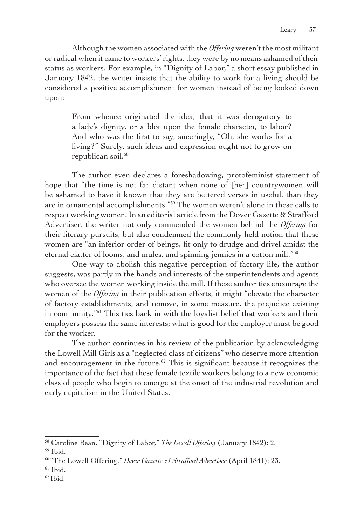Although the women associated with the *Offering* weren't the most militant or radical when it came to workers' rights, they were by no means ashamed of their status as workers. For example, in "Dignity of Labor," a short essay published in January 1842, the writer insists that the ability to work for a living should be considered a positive accomplishment for women instead of being looked down upon:

From whence originated the idea, that it was derogatory to a lady's dignity, or a blot upon the female character, to labor? And who was the first to say, sneeringly, "Oh, she works for a living?" Surely, such ideas and expression ought not to grow on republican soil.<sup>58</sup>

The author even declares a foreshadowing, protofeminist statement of hope that "the time is not far distant when none of [her] countrywomen will be ashamed to have it known that they are bettered verses in useful, than they are in ornamental accomplishments."59 The women weren't alone in these calls to respect working women. In an editorial article from the Dover Gazette & Strafford Advertiser, the writer not only commended the women behind the *Offering* for their literary pursuits, but also condemned the commonly held notion that these women are "an inferior order of beings, fit only to drudge and drivel amidst the eternal clatter of looms, and mules, and spinning jennies in a cotton mill."<sup>60</sup>

One way to abolish this negative perception of factory life, the author suggests, was partly in the hands and interests of the superintendents and agents who oversee the women working inside the mill. If these authorities encourage the women of the *Offering* in their publication efforts, it might "elevate the character of factory establishments, and remove, in some measure, the prejudice existing in community."61 This ties back in with the loyalist belief that workers and their employers possess the same interests; what is good for the employer must be good for the worker.

The author continues in his review of the publication by acknowledging the Lowell Mill Girls as a "neglected class of citizens" who deserve more attention and encouragement in the future.<sup>62</sup> This is significant because it recognizes the importance of the fact that these female textile workers belong to a new economic class of people who begin to emerge at the onset of the industrial revolution and early capitalism in the United States.

<sup>58</sup> Caroline Bean, "Dignity of Labor," *The Lowell Offering* (January 1842): 2.

<sup>59</sup> Ibid.

<sup>60</sup> "The Lowell Offering," *Dover Gazette & Strafford Advertiser* (April 1841): 23.

 $61$  Ibid.

 $62$  Ibid.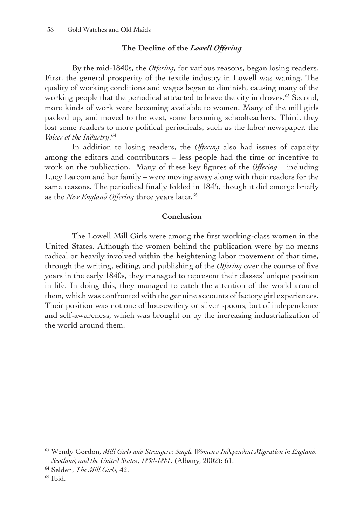# **The Decline of the** *Lowell Offering*

By the mid-1840s, the *Offering*, for various reasons, began losing readers. First, the general prosperity of the textile industry in Lowell was waning. The quality of working conditions and wages began to diminish, causing many of the working people that the periodical attracted to leave the city in droves.<sup>63</sup> Second, more kinds of work were becoming available to women. Many of the mill girls packed up, and moved to the west, some becoming schoolteachers. Third, they lost some readers to more political periodicals, such as the labor newspaper, the *Voices of the Industry*. 64

In addition to losing readers, the *Offering* also had issues of capacity among the editors and contributors – less people had the time or incentive to work on the publication. Many of these key figures of the *Offering* – including Lucy Larcom and her family – were moving away along with their readers for the same reasons. The periodical finally folded in 1845, though it did emerge briefly as the *New England Offering* three years later.65

## **Conclusion**

The Lowell Mill Girls were among the first working-class women in the United States. Although the women behind the publication were by no means radical or heavily involved within the heightening labor movement of that time, through the writing, editing, and publishing of the *Offering* over the course of five years in the early 1840s, they managed to represent their classes' unique position in life. In doing this, they managed to catch the attention of the world around them, which was confronted with the genuine accounts of factory girl experiences. Their position was not one of housewifery or silver spoons, but of independence and self-awareness, which was brought on by the increasing industrialization of the world around them.

<sup>63</sup> Wendy Gordon, *Mill Girls and Strangers: Single Women's Independent Migration in England, Scotland, and the United States*, *1850-1881*. (Albany, 2002): 61.

<sup>64</sup> Selden, *The Mill Girls,* 42.

 $65$  Ibid.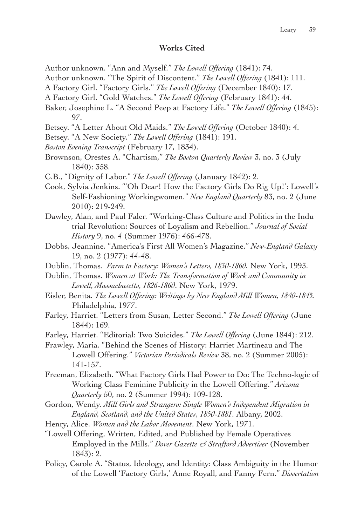### **Works Cited**

- Author unknown. "Ann and Myself." *The Lowell Offering* (1841): 74.
- Author unknown. "The Spirit of Discontent." *The Lowell Offering* (1841): 111.
- A Factory Girl. "Factory Girls." *The Lowell Offering* (December 1840): 17.
- A Factory Girl. "Gold Watches." *The Lowell Offering* (February 1841): 44.
- Baker, Josephine L. "A Second Peep at Factory Life." *The Lowell Offering* (1845): 97.
- Betsey. "A Letter About Old Maids." *The Lowell Offering* (October 1840): 4.
- Betsey. "A New Society." *The Lowell Offering* (1841): 191.
- *Boston Evening Transcript* (February 17, 1834).
- Brownson, Orestes A. "Chartism," *The Boston Quarterly Review* 3, no. 3 (July 1840): 358.
- C.B., "Dignity of Labor." *The Lowell Offering* (January 1842): 2.
- Cook, Sylvia Jenkins. "'Oh Dear! How the Factory Girls Do Rig Up!': Lowell's Self-Fashioning Workingwomen." *New England Quarterly* 83, no. 2 (June 2010): 219-249.
- Dawley, Alan, and Paul Faler. "Working-Class Culture and Politics in the Indu trial Revolution: Sources of Loyalism and Rebellion." *Journal of Social History* 9, no. 4 (Summer 1976): 466-478.
- Dobbs, Jeannine. "America's First All Women's Magazine." *New-England Galaxy* 19, no. 2 (1977): 44-48.
- Dublin, Thomas. *Farm to Factory: Women's Letters, 1830-1860.* New York, 1993.
- Dublin, Thomas. *Women at Work: The Transformation of Work and Community in Lowell, Massachusetts, 1826-1860*. New York, 1979.
- Eisler, Benita. *The Lowell Offering: Writings by New England Mill Women, 1840-1845.* Philadelphia, 1977.
- Farley, Harriet. "Letters from Susan, Letter Second." *The Lowell Offering* (June 1844): 169.
- Farley, Harriet. "Editorial: Two Suicides." *The Lowell Offering* (June 1844): 212.
- Frawley, Maria. "Behind the Scenes of History: Harriet Martineau and The Lowell Offering." *Victorian Periodicals Review* 38, no. 2 (Summer 2005): 141-157.
- Freeman, Elizabeth. "What Factory Girls Had Power to Do: The Techno-logic of Working Class Feminine Publicity in the Lowell Offering." *Arizona Quarterly* 50, no. 2 (Summer 1994): 109-128.

Gordon, Wendy. *Mill Girls and Strangers: Single Women's Independent Migration in England, Scotland, and the United States*, *1850-1881*. Albany, 2002.

- Henry, Alice. *Women and the Labor Movement*. New York, 1971.
- "Lowell Offering, Written, Edited, and Published by Female Operatives Employed in the Mills." *Dover Gazette & Strafford Advertiser* (November 1843): 2.
- Policy, Carole A. "Status, Ideology, and Identity: Class Ambiguity in the Humor of the Lowell 'Factory Girls,' Anne Royall, and Fanny Fern." *Dissertation*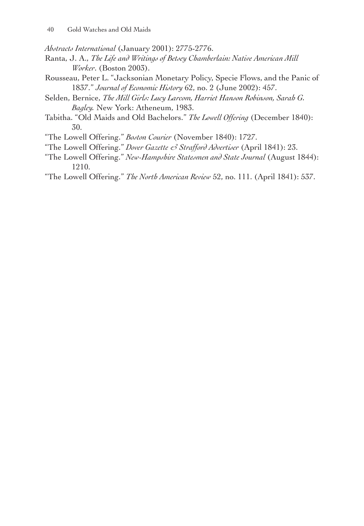*Abstracts International* (January 2001): 2775-2776.

- Ranta, J. A., *The Life and Writings of Betsey Chamberlain: Native American Mill Worker.* (Boston 2003).
- Rousseau, Peter L. "Jacksonian Monetary Policy, Specie Flows, and the Panic of 1837." *Journal of Economic History* 62, no. 2 (June 2002): 457.
- Selden, Bernice, *The Mill Girls: Lucy Larcom, Harriet Hanson Robinson, Sarah G. Bagley.* New York: Atheneum, 1983.
- Tabitha. "Old Maids and Old Bachelors." *The Lowell Offering* (December 1840): 30.
- "The Lowell Offering." *Boston Courier* (November 1840): 1727.
- "The Lowell Offering." *Dover Gazette & Strafford Advertiser* (April 1841): 23.
- "The Lowell Offering." *New-Hampshire Statesmen and State Journal* (August 1844): 1210.
- "The Lowell Offering." *The North American Review* 52, no. 111. (April 1841): 537.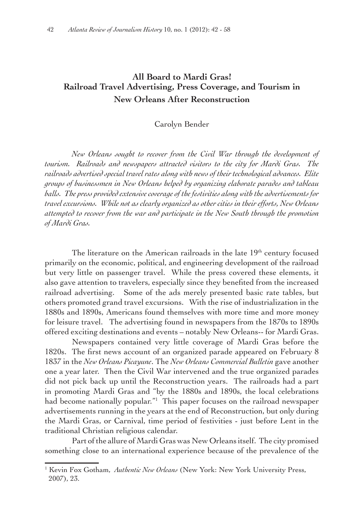# **All Board to Mardi Gras! Railroad Travel Advertising, Press Coverage, and Tourism in New Orleans After Reconstruction**

Carolyn Bender

*New Orleans sought to recover from the Civil War through the development of tourism. Railroads and newspapers attracted visitors to the city for Mardi Gras. The railroads advertised special travel rates along with news of their technological advances. Elite groups of businessmen in New Orleans helped by organizing elaborate parades and tableau balls. The press provided extensive coverageof the festivities along with the advertisements for travel excursions. While not as clearly organized as other cities in their efforts, New Orleans attempted to recover from the war and participate in the New South through the promotion of Mardi Gras.*

The literature on the American railroads in the late 19<sup>th</sup> century focused primarily on the economic, political, and engineering development of the railroad but very little on passenger travel. While the press covered these elements, it also gave attention to travelers, especially since they benefited from the increased railroad advertising. Some of the ads merely presented basic rate tables, but others promoted grand travel excursions. With the rise of industrialization in the 1880s and 1890s, Americans found themselves with more time and more money for leisure travel. The advertising found in newspapers from the 1870s to 1890s offered exciting destinations and events – notably New Orleans-- for Mardi Gras.

Newspapers contained very little coverage of Mardi Gras before the 1820s. The first news account of an organized parade appeared on February 8 1837 in the *New Orleans Picayune*. The *New Orleans Commercial Bulletin* gave another one a year later. Then the Civil War intervened and the true organized parades did not pick back up until the Reconstruction years. The railroads had a part in promoting Mardi Gras and "by the 1880s and 1890s, the local celebrations had become nationally popular."<sup>1</sup> This paper focuses on the railroad newspaper advertisements running in the years at the end of Reconstruction, but only during the Mardi Gras, or Carnival, time period of festivities - just before Lent in the traditional Christian religious calendar.

Part of the allure of Mardi Gras was New Orleans itself. The city promised something close to an international experience because of the prevalence of the

<sup>1</sup> Kevin Fox Gotham, *Authentic New Orleans* (New York: New York University Press, 2007), 23.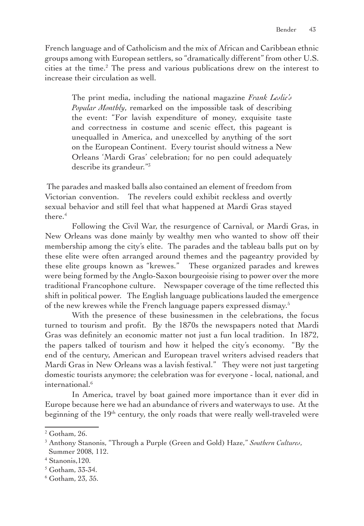French language and of Catholicism and the mix of African and Caribbean ethnic groups among with European settlers, so "dramatically different" from other U.S. cities at the time.<sup>2</sup> The press and various publications drew on the interest to increase their circulation as well.

The print media, including the national magazine *Frank Leslie's Popular Monthly*, remarked on the impossible task of describing the event: "For lavish expenditure of money, exquisite taste and correctness in costume and scenic effect, this pageant is unequalled in America, and unexcelled by anything of the sort on the European Continent. Every tourist should witness a New Orleans 'Mardi Gras' celebration; for no pen could adequately describe its grandeur."3

 The parades and masked balls also contained an element of freedom from Victorian convention. The revelers could exhibit reckless and overtly sexual behavior and still feel that what happened at Mardi Gras stayed there.<sup>4</sup>

Following the Civil War, the resurgence of Carnival, or Mardi Gras, in New Orleans was done mainly by wealthy men who wanted to show off their membership among the city's elite. The parades and the tableau balls put on by these elite were often arranged around themes and the pageantry provided by these elite groups known as "krewes." These organized parades and krewes were being formed by the Anglo-Saxon bourgeoisie rising to power over the more traditional Francophone culture. Newspaper coverage of the time reflected this shift in political power. The English language publications lauded the emergence of the new krewes while the French language papers expressed dismay.<sup>5</sup>

With the presence of these businessmen in the celebrations, the focus turned to tourism and profit. By the 1870s the newspapers noted that Mardi Gras was definitely an economic matter not just a fun local tradition. In 1872, the papers talked of tourism and how it helped the city's economy. "By the end of the century, American and European travel writers advised readers that Mardi Gras in New Orleans was a lavish festival." They were not just targeting domestic tourists anymore; the celebration was for everyone - local, national, and international.<sup>6</sup>

In America, travel by boat gained more importance than it ever did in Europe because here we had an abundance of rivers and waterways to use. At the beginning of the 19<sup>th</sup> century, the only roads that were really well-traveled were

<sup>2</sup> Gotham, 26.

<sup>3</sup> Anthony Stanonis, "Through a Purple (Green and Gold) Haze," *Southern Cultures*, Summer 2008, 112.

<sup>4</sup> Stanonis,120.

<sup>5</sup> Gotham, 33-34.

<sup>6</sup> Gotham, 23, 35.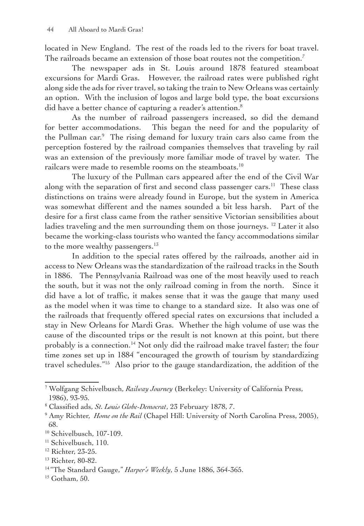located in New England. The rest of the roads led to the rivers for boat travel. The railroads became an extension of those boat routes not the competition.<sup>7</sup>

The newspaper ads in St. Louis around 1878 featured steamboat excursions for Mardi Gras. However, the railroad rates were published right along side the ads for river travel, so taking the train to New Orleans was certainly an option. With the inclusion of logos and large bold type, the boat excursions did have a better chance of capturing a reader's attention.<sup>8</sup>

As the number of railroad passengers increased, so did the demand for better accommodations. This began the need for and the popularity of the Pullman car.<sup>9</sup> The rising demand for luxury train cars also came from the perception fostered by the railroad companies themselves that traveling by rail was an extension of the previously more familiar mode of travel by water. The railcars were made to resemble rooms on the steamboats.<sup>10</sup>

The luxury of the Pullman cars appeared after the end of the Civil War along with the separation of first and second class passenger cars.<sup>11</sup> These class distinctions on trains were already found in Europe, but the system in America was somewhat different and the names sounded a bit less harsh. Part of the desire for a first class came from the rather sensitive Victorian sensibilities about ladies traveling and the men surrounding them on those journeys.<sup>12</sup> Later it also became the working-class tourists who wanted the fancy accommodations similar to the more wealthy passengers.<sup>13</sup>

In addition to the special rates offered by the railroads, another aid in access to New Orleans was the standardization of the railroad tracks in the South in 1886. The Pennsylvania Railroad was one of the most heavily used to reach the south, but it was not the only railroad coming in from the north. Since it did have a lot of traffic, it makes sense that it was the gauge that many used as the model when it was time to change to a standard size. It also was one of the railroads that frequently offered special rates on excursions that included a stay in New Orleans for Mardi Gras. Whether the high volume of use was the cause of the discounted trips or the result is not known at this point, but there probably is a connection.<sup>14</sup> Not only did the railroad make travel faster; the four time zones set up in 1884 "encouraged the growth of tourism by standardizing travel schedules."15 Also prior to the gauge standardization, the addition of the

<sup>7</sup> Wolfgang Schivelbusch, *Railway Journey* (Berkeley: University of California Press, 1986), 93-95.

<sup>8</sup> Classified ads, *St. Louis Globe-Democrat*, 23 February 1878, 7.

<sup>9</sup> Amy Richter, *Home on the Rail* (Chapel Hill: University of North Carolina Press, 2005), 68.

<sup>10</sup> Schivelbusch, 107-109.

<sup>&</sup>lt;sup>11</sup> Schivelbusch, 110.

<sup>&</sup>lt;sup>12</sup> Richter, 23-25.

<sup>13</sup> Richter, 80-82.

<sup>14</sup> "The Standard Gauge," *Harper's Weekly*, 5 June 1886, 364-365.

 $15$  Gotham, 50.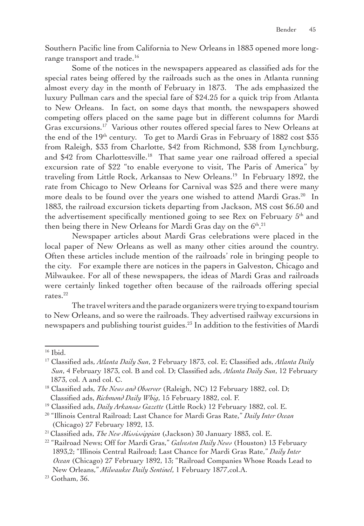Southern Pacific line from California to New Orleans in 1883 opened more longrange transport and trade.<sup>16</sup>

Some of the notices in the newspapers appeared as classified ads for the special rates being offered by the railroads such as the ones in Atlanta running almost every day in the month of February in 1873. The ads emphasized the luxury Pullman cars and the special fare of \$24.25 for a quick trip from Atlanta to New Orleans. In fact, on some days that month, the newspapers showed competing offers placed on the same page but in different columns for Mardi Gras excursions.17 Various other routes offered special fares to New Orleans at the end of the  $19<sup>th</sup>$  century. To get to Mardi Gras in February of 1882 cost \$35 from Raleigh, \$33 from Charlotte, \$42 from Richmond, \$38 from Lynchburg, and \$42 from Charlottesville.<sup>18</sup> That same year one railroad offered a special excursion rate of \$22 "to enable everyone to visit, The Paris of America" by traveling from Little Rock, Arkansas to New Orleans.19 In February 1892, the rate from Chicago to New Orleans for Carnival was \$25 and there were many more deals to be found over the years one wished to attend Mardi Gras.<sup>20</sup> In 1883, the railroad excursion tickets departing from Jackson, MS cost \$6.50 and the advertisement specifically mentioned going to see Rex on February 5th and then being there in New Orleans for Mardi Gras day on the  $6^{\text{th}}$ . $^{21}$ 

Newspaper articles about Mardi Gras celebrations were placed in the local paper of New Orleans as well as many other cities around the country. Often these articles include mention of the railroads' role in bringing people to the city. For example there are notices in the papers in Galveston, Chicago and Milwaukee. For all of these newspapers, the ideas of Mardi Gras and railroads were certainly linked together often because of the railroads offering special rates.<sup>22</sup>

The travel writers and the parade organizers were trying to expand tourism to New Orleans, and so were the railroads. They advertised railway excursions in newspapers and publishing tourist guides.<sup>23</sup> In addition to the festivities of Mardi

<sup>16</sup> Ibid.

<sup>17</sup> Classified ads, *Atlanta Daily Sun*, 2 February 1873, col. E; Classified ads, *Atlanta Daily Sun*, 4 February 1873, col. B and col. D; Classified ads, *Atlanta Daily Sun*, 12 February 1873, col. A and col. C.

<sup>18</sup> Classified ads, *The News and Observer* (Raleigh, NC) 12 February 1882, col. D; Classified ads, *Richmond Daily Whig*, 15 February 1882, col. F.

<sup>19</sup> Classified ads, *Daily Arkansas Gazette* (Little Rock) 12 February 1882, col. E.

<sup>20</sup> "Illinois Central Railroad; Last Chance for Mardi Gras Rate," *Daily Inter Ocean* (Chicago) 27 February 1892, 13.

<sup>21</sup> Classified ads, *The New Mississippian* (Jackson) 30 January 1883, col. E.

<sup>22</sup> "Railroad News; Off for Mardi Gras," *Galveston Daily News* (Houston) 13 February 1893,2; "Illinois Central Railroad; Last Chance for Mardi Gras Rate," *Daily Inter Ocean* (Chicago) 27 February 1892, 13; "Railroad Companies Whose Roads Lead to New Orleans," *Milwaukee Daily Sentinel*, 1 February 1877,col.A.

<sup>23</sup> Gotham, 36.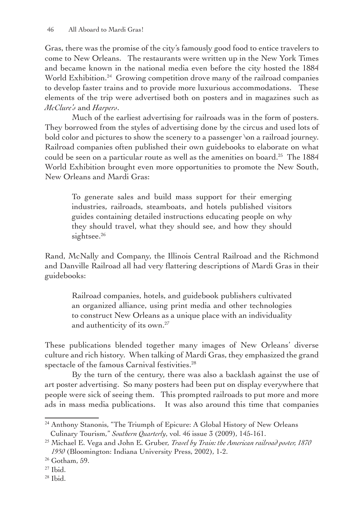Gras, there was the promise of the city's famously good food to entice travelers to come to New Orleans. The restaurants were written up in the New York Times and became known in the national media even before the city hosted the 1884 World Exhibition.<sup>24</sup> Growing competition drove many of the railroad companies to develop faster trains and to provide more luxurious accommodations. These elements of the trip were advertised both on posters and in magazines such as *McClure's* and *Harpers*.

Much of the earliest advertising for railroads was in the form of posters. They borrowed from the styles of advertising done by the circus and used lots of bold color and pictures to show the scenery to a passenger \on a railroad journey. Railroad companies often published their own guidebooks to elaborate on what could be seen on a particular route as well as the amenities on board.<sup>25</sup> The 1884 World Exhibition brought even more opportunities to promote the New South, New Orleans and Mardi Gras:

To generate sales and build mass support for their emerging industries, railroads, steamboats, and hotels published visitors guides containing detailed instructions educating people on why they should travel, what they should see, and how they should sightsee.<sup>26</sup>

Rand, McNally and Company, the Illinois Central Railroad and the Richmond and Danville Railroad all had very flattering descriptions of Mardi Gras in their guidebooks:

Railroad companies, hotels, and guidebook publishers cultivated an organized alliance, using print media and other technologies to construct New Orleans as a unique place with an individuality and authenticity of its own.<sup>27</sup>

These publications blended together many images of New Orleans' diverse culture and rich history. When talking of Mardi Gras, they emphasized the grand spectacle of the famous Carnival festivities.<sup>28</sup>

By the turn of the century, there was also a backlash against the use of art poster advertising. So many posters had been put on display everywhere that people were sick of seeing them. This prompted railroads to put more and more ads in mass media publications. It was also around this time that companies

28 Ibid.

<sup>&</sup>lt;sup>24</sup> Anthony Stanonis, "The Triumph of Epicure: A Global History of New Orleans Culinary Tourism," *Southern Quarterly*, vol. 46 issue 3 (2009), 145-161.

<sup>25</sup> Michael E. Vega and John E. Gruber, *Travel by Train: the American railroad poster, 1870 1950* (Bloomington: Indiana University Press, 2002), 1-2.

<sup>26</sup> Gotham, 59.

 $27$  Ibid.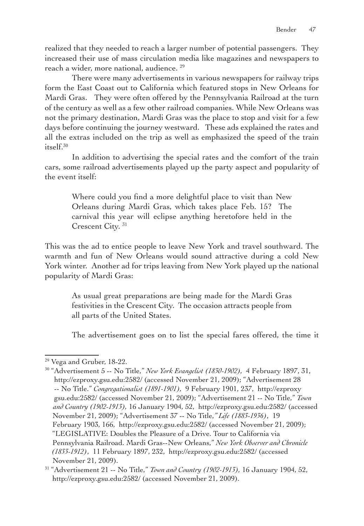realized that they needed to reach a larger number of potential passengers. They increased their use of mass circulation media like magazines and newspapers to reach a wider, more national, audience. 29

There were many advertisements in various newspapers for railway trips form the East Coast out to California which featured stops in New Orleans for Mardi Gras. They were often offered by the Pennsylvania Railroad at the turn of the century as well as a few other railroad companies. While New Orleans was not the primary destination, Mardi Gras was the place to stop and visit for a few days before continuing the journey westward. These ads explained the rates and all the extras included on the trip as well as emphasized the speed of the train  $itself<sup>30</sup>$ 

In addition to advertising the special rates and the comfort of the train cars, some railroad advertisements played up the party aspect and popularity of the event itself:

Where could you find a more delightful place to visit than New Orleans during Mardi Gras, which takes place Feb. 15? The carnival this year will eclipse anything heretofore held in the Crescent City. 31

This was the ad to entice people to leave New York and travel southward. The warmth and fun of New Orleans would sound attractive during a cold New York winter. Another ad for trips leaving from New York played up the national popularity of Mardi Gras:

As usual great preparations are being made for the Mardi Gras festivities in the Crescent City. The occasion attracts people from all parts of the United States.

The advertisement goes on to list the special fares offered, the time it

<sup>29</sup> Vega and Gruber, 18-22.

<sup>30</sup> "Advertisement 5 -- No Title," *New York Evangelist (1830-1902),* 4 February 1897, 31, http://ezproxy.gsu.edu:2582/ (accessed November 21, 2009); "Advertisement 28 -- No Title." *Congregationalist (1891-1901),* 9 February 1901, 237, http://ezproxy gsu.edu:2582/ (accessed November 21, 2009); "Advertisement 21 -- No Title," *Town and Country (1902-1913),* 16 January 1904, 52, http://ezproxy.gsu.edu:2582/ (accessed November 21, 2009); "Advertisement 37 -- No Title,*" Life (1883-1936)*, 19 February 1903, 166, http://ezproxy.gsu.edu:2582/ (accessed November 21, 2009); "LEGISLATIVE: Doubles the Pleasure of a Drive. Tour to California via Pennsylvania Railroad. Mardi Gras--New Orleans," *New York Observer and Chronicle (1833-1912)*, 11 February 1897, 232, http://ezproxy.gsu.edu:2582/ (accessed November 21, 2009).

<sup>31</sup> "Advertisement 21 -- No Title," *Town and Country (1902-1913),* 16 January 1904, 52, http://ezproxy.gsu.edu:2582/ (accessed November 21, 2009).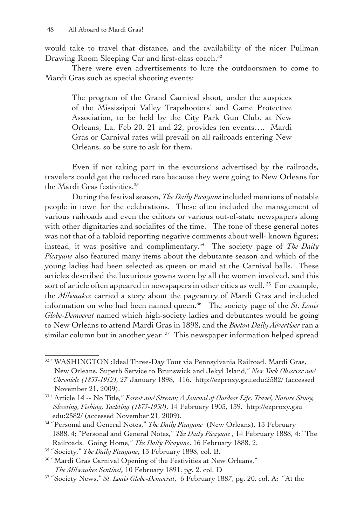would take to travel that distance, and the availability of the nicer Pullman Drawing Room Sleeping Car and first-class coach.<sup>32</sup>

There were even advertisements to lure the outdoorsmen to come to Mardi Gras such as special shooting events:

The program of the Grand Carnival shoot, under the auspices of the Mississippi Valley Trapshooters' and Game Protective Association, to be held by the City Park Gun Club, at New Orleans, La. Feb 20, 21 and 22, provides ten events…. Mardi Gras or Carnival rates will prevail on all railroads entering New Orleans, so be sure to ask for them.

Even if not taking part in the excursions advertised by the railroads, travelers could get the reduced rate because they were going to New Orleans for the Mardi Gras festivities.<sup>33</sup>

During the festival season, *The Daily Picayune* included mentions of notable people in town for the celebrations. These often included the management of various railroads and even the editors or various out-of-state newspapers along with other dignitaries and socialites of the time. The tone of these general notes was not that of a tabloid reporting negative comments about well- known figures; instead, it was positive and complimentary.<sup>34</sup> The society page of *The Daily Picayune* also featured many items about the debutante season and which of the young ladies had been selected as queen or maid at the Carnival balls. These articles described the luxurious gowns worn by all the women involved, and this sort of article often appeared in newspapers in other cities as well.<sup>35</sup> For example, the *Milwaukee* carried a story about the pageantry of Mardi Gras and included information on who had been named queen.36 The society page of the *St. Louis Globe-Democrat* named which high-society ladies and debutantes would be going to New Orleans to attend Mardi Gras in 1898, and the *Boston Daily Advertiser* ran a similar column but in another year.  $57$  This newspaper information helped spread

<sup>32</sup> "WASHINGTON :Ideal Three-Day Tour via Pennsylvania Railroad. Mardi Gras, New Orleans. Superb Service to Brunswick and Jekyl Island," *New York Observer and Chronicle (1833-1912),* 27 January 1898, 116. http://ezproxy.gsu.edu:2582/ (accessed November 21, 2009).

<sup>33</sup> "Article 14 -- No Title," *Forest and Stream; A Journal of Outdoor Life, Travel, Nature Study, Shooting, Fishing, Yachting (1873-1930),* 14 February 1903, 139. http://ezproxy.gsu edu:2582/ (accessed November 21, 2009).

<sup>34</sup> "Personal and General Notes," *The Daily Picayune* (New Orleans), 13 February 1888, 4; "Personal and General Notes," *The Daily Picayune* , 14 February 1888, 4; "The Railroads. Going Home," *The Daily Picayune*, 16 February 1888, 2.

<sup>35</sup> "Society," *The Daily Picayune***,** 13 February 1898, col. B.

<sup>&</sup>lt;sup>36</sup> "Mardi Gras Carnival Opening of the Festivities at New Orleans,"

*The Milwaukee Sentinel,* 10 February 1891, pg. 2, col. D

<sup>37</sup> "Society News," *St. Louis Globe-Democrat*, 6 February 1887, pg. 20, col. A; "At the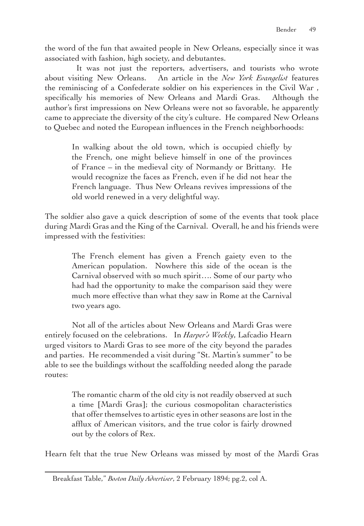the word of the fun that awaited people in New Orleans, especially since it was associated with fashion, high society, and debutantes.

 It was not just the reporters, advertisers, and tourists who wrote about visiting New Orleans. An article in the *New York Evangelist* features the reminiscing of a Confederate soldier on his experiences in the Civil War , specifically his memories of New Orleans and Mardi Gras. Although the author's first impressions on New Orleans were not so favorable, he apparently came to appreciate the diversity of the city's culture. He compared New Orleans to Quebec and noted the European influences in the French neighborhoods:

In walking about the old town, which is occupied chiefly by the French, one might believe himself in one of the provinces of France – in the medieval city of Normandy or Brittany. He would recognize the faces as French, even if he did not hear the French language. Thus New Orleans revives impressions of the old world renewed in a very delightful way.

The soldier also gave a quick description of some of the events that took place during Mardi Gras and the King of the Carnival. Overall, he and his friends were impressed with the festivities:

The French element has given a French gaiety even to the American population. Nowhere this side of the ocean is the Carnival observed with so much spirit…. Some of our party who had had the opportunity to make the comparison said they were much more effective than what they saw in Rome at the Carnival two years ago.

Not all of the articles about New Orleans and Mardi Gras were entirely focused on the celebrations. In *Harper's Weekly*, Lafcadio Hearn urged visitors to Mardi Gras to see more of the city beyond the parades and parties. He recommended a visit during "St. Martin's summer" to be able to see the buildings without the scaffolding needed along the parade routes:

> The romantic charm of the old city is not readily observed at such a time [Mardi Gras]; the curious cosmopolitan characteristics that offer themselves to artistic eyes in other seasons are lost in the afflux of American visitors, and the true color is fairly drowned out by the colors of Rex.

Hearn felt that the true New Orleans was missed by most of the Mardi Gras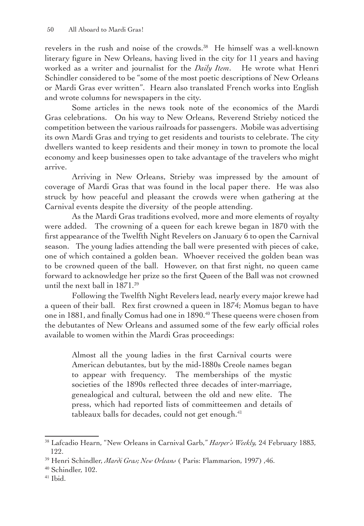revelers in the rush and noise of the crowds.<sup>38</sup> He himself was a well-known literary figure in New Orleans, having lived in the city for 11 years and having worked as a writer and journalist for the *Daily Item*. He wrote what Henri Schindler considered to be "some of the most poetic descriptions of New Orleans or Mardi Gras ever written". Hearn also translated French works into English and wrote columns for newspapers in the city.

Some articles in the news took note of the economics of the Mardi Gras celebrations. On his way to New Orleans, Reverend Strieby noticed the competition between the various railroads for passengers. Mobile was advertising its own Mardi Gras and trying to get residents and tourists to celebrate. The city dwellers wanted to keep residents and their money in town to promote the local economy and keep businesses open to take advantage of the travelers who might arrive.

Arriving in New Orleans, Strieby was impressed by the amount of coverage of Mardi Gras that was found in the local paper there. He was also struck by how peaceful and pleasant the crowds were when gathering at the Carnival events despite the diversity of the people attending.

As the Mardi Gras traditions evolved, more and more elements of royalty were added. The crowning of a queen for each krewe began in 1870 with the first appearance of the Twelfth Night Revelers on January 6 to open the Carnival season. The young ladies attending the ball were presented with pieces of cake, one of which contained a golden bean. Whoever received the golden bean was to be crowned queen of the ball. However, on that first night, no queen came forward to acknowledge her prize so the first Queen of the Ball was not crowned until the next ball in 1871.39

Following the Twelfth Night Revelers lead, nearly every major krewe had a queen of their ball. Rex first crowned a queen in 1874; Momus began to have one in 1881, and finally Comus had one in 1890.40 These queens were chosen from the debutantes of New Orleans and assumed some of the few early official roles available to women within the Mardi Gras proceedings:

Almost all the young ladies in the first Carnival courts were American debutantes, but by the mid-1880s Creole names began to appear with frequency. The memberships of the mystic societies of the 1890s reflected three decades of inter-marriage, genealogical and cultural, between the old and new elite. The press, which had reported lists of committeemen and details of tableaux balls for decades, could not get enough.<sup>41</sup>

<sup>38</sup> Lafcadio Hearn, "New Orleans in Carnival Garb," *Harper's Weekly,* 24 February 1883, 122.

<sup>39</sup> Henri Schindler, *Mardi Gras; New Orleans* ( Paris: Flammarion, 1997) ,46.

<sup>40</sup> Schindler, 102.

 $41$  Ibid.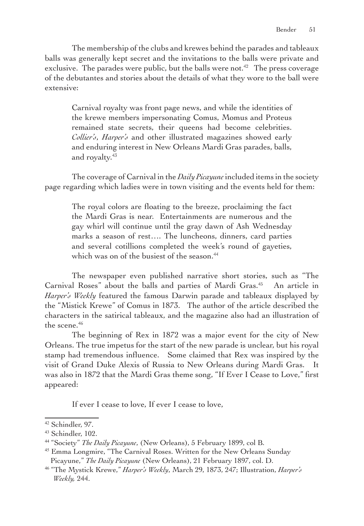The membership of the clubs and krewes behind the parades and tableaux balls was generally kept secret and the invitations to the balls were private and exclusive. The parades were public, but the balls were not.<sup>42</sup> The press coverage of the debutantes and stories about the details of what they wore to the ball were extensive:

Carnival royalty was front page news, and while the identities of the krewe members impersonating Comus, Momus and Proteus remained state secrets, their queens had become celebrities. *Collier's*, *Harper's* and other illustrated magazines showed early and enduring interest in New Orleans Mardi Gras parades, balls, and royalty.<sup>43</sup>

The coverage of Carnival in the *Daily Picayune* included items in the society page regarding which ladies were in town visiting and the events held for them:

The royal colors are floating to the breeze, proclaiming the fact the Mardi Gras is near. Entertainments are numerous and the gay whirl will continue until the gray dawn of Ash Wednesday marks a season of rest…. The luncheons, dinners, card parties and several cotillions completed the week's round of gayeties, which was on of the busiest of the season.<sup>44</sup>

The newspaper even published narrative short stories, such as "The Carnival Roses" about the balls and parties of Mardi Gras.<sup>45</sup> An article in *Harper's Weekly* featured the famous Darwin parade and tableaux displayed by the "Mistick Krewe" of Comus in 1873. The author of the article described the characters in the satirical tableaux, and the magazine also had an illustration of the scene.<sup>46</sup>

The beginning of Rex in 1872 was a major event for the city of New Orleans. The true impetus for the start of the new parade is unclear, but his royal stamp had tremendous influence. Some claimed that Rex was inspired by the visit of Grand Duke Alexis of Russia to New Orleans during Mardi Gras. It was also in 1872 that the Mardi Gras theme song, "If Ever I Cease to Love," first appeared:

If ever I cease to love, If ever I cease to love,

<sup>42</sup> Schindler, 97.

<sup>43</sup> Schindler, 102.

<sup>44</sup> "Society" *The Daily Picayune*, (New Orleans), 5 February 1899, col B.

<sup>&</sup>lt;sup>45</sup> Emma Longmire, "The Carnival Roses. Written for the New Orleans Sunday Picayune," *The Daily Picayune* (New Orleans), 21 February 1897, col. D.

<sup>46</sup> "The Mystick Krewe," *Harper's Weekly*, March 29, 1873, 247; Illustration, *Harper's Weekly,* 244.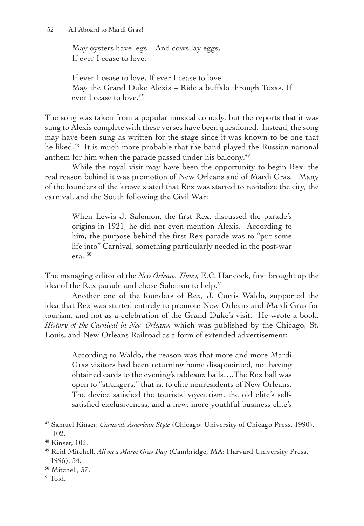May oysters have legs – And cows lay eggs, If ever I cease to love.

If ever I cease to love, If ever I cease to love, May the Grand Duke Alexis – Ride a buffalo through Texas, If ever I cease to love.<sup>47</sup>

The song was taken from a popular musical comedy, but the reports that it was sung to Alexis complete with these verses have been questioned. Instead, the song may have been sung as written for the stage since it was known to be one that he liked.<sup>48</sup> It is much more probable that the band played the Russian national anthem for him when the parade passed under his balcony.<sup>49</sup>

While the royal visit may have been the opportunity to begin Rex, the real reason behind it was promotion of New Orleans and of Mardi Gras. Many of the founders of the krewe stated that Rex was started to revitalize the city, the carnival, and the South following the Civil War:

When Lewis J. Salomon, the first Rex, discussed the parade's origins in 1921, he did not even mention Alexis. According to him, the purpose behind the first Rex parade was to "put some life into" Carnival, something particularly needed in the post-war era.  $50$ 

The managing editor of the *New Orleans Times,* E.C. Hancock, first brought up the idea of the Rex parade and chose Solomon to help.<sup>51</sup>

Another one of the founders of Rex, J. Curtis Waldo, supported the idea that Rex was started entirely to promote New Orleans and Mardi Gras for tourism, and not as a celebration of the Grand Duke's visit. He wrote a book, *History of the Carnival in New Orleans,* which was published by the Chicago, St. Louis, and New Orleans Railroad as a form of extended advertisement:

According to Waldo, the reason was that more and more Mardi Gras visitors had been returning home disappointed, not having obtained cards to the evening's tableaux balls….The Rex ball was open to "strangers," that is, to elite nonresidents of New Orleans. The device satisfied the tourists' voyeurism, the old elite's selfsatisfied exclusiveness, and a new, more youthful business elite's

<sup>47</sup> Samuel Kinser, *Carnival, American Style* (Chicago: University of Chicago Press, 1990), 102.

<sup>48</sup> Kinser, 102.

<sup>49</sup> Reid Mitchell, *All on a Mardi Gras Day* (Cambridge, MA: Harvard University Press, 1995), 54.

<sup>50</sup> Mitchell, 57.

 $51$  Ibid.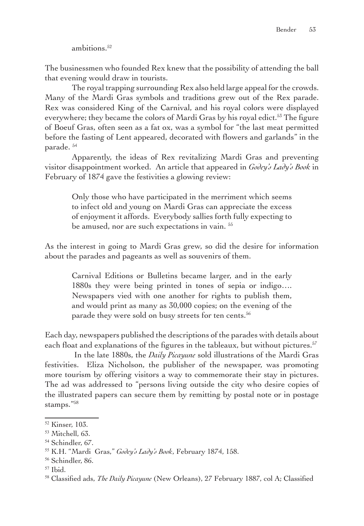ambitions.<sup>52</sup>

The businessmen who founded Rex knew that the possibility of attending the ball that evening would draw in tourists.

The royal trapping surrounding Rex also held large appeal for the crowds. Many of the Mardi Gras symbols and traditions grew out of the Rex parade. Rex was considered King of the Carnival, and his royal colors were displayed everywhere; they became the colors of Mardi Gras by his royal edict.<sup>53</sup> The figure of Boeuf Gras, often seen as a fat ox, was a symbol for "the last meat permitted before the fasting of Lent appeared, decorated with flowers and garlands" in the parade.<sup>54</sup>

Apparently, the ideas of Rex revitalizing Mardi Gras and preventing visitor disappointment worked. An article that appeared in *Godey's Lady's Book* in February of 1874 gave the festivities a glowing review:

Only those who have participated in the merriment which seems to infect old and young on Mardi Gras can appreciate the excess of enjoyment it affords. Everybody sallies forth fully expecting to be amused, nor are such expectations in vain.<sup>55</sup>

As the interest in going to Mardi Gras grew, so did the desire for information about the parades and pageants as well as souvenirs of them.

Carnival Editions or Bulletins became larger, and in the early 1880s they were being printed in tones of sepia or indigo…. Newspapers vied with one another for rights to publish them, and would print as many as 30,000 copies; on the evening of the parade they were sold on busy streets for ten cents.<sup>56</sup>

Each day, newspapers published the descriptions of the parades with details about each float and explanations of the figures in the tableaux, but without pictures.<sup>57</sup>

 In the late 1880s, the *Daily Picayune* sold illustrations of the Mardi Gras festivities. Eliza Nicholson, the publisher of the newspaper, was promoting more tourism by offering visitors a way to commemorate their stay in pictures. The ad was addressed to "persons living outside the city who desire copies of the illustrated papers can secure them by remitting by postal note or in postage stamps."58

<sup>52</sup> Kinser, 103.

<sup>53</sup> Mitchell, 63.

<sup>54</sup> Schindler, 67.

<sup>55</sup> K.H. "Mardi Gras," *Godey's Lady's Book*, February 1874, 158.

<sup>56</sup> Schindler, 86.

<sup>57</sup> Ibid.

<sup>58</sup> Classified ads, *The Daily Picayune* (New Orleans), 27 February 1887, col A; Classified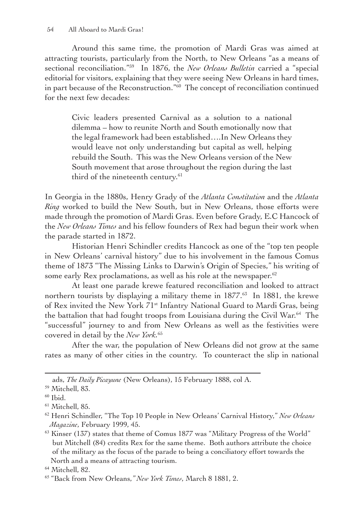Around this same time, the promotion of Mardi Gras was aimed at attracting tourists, particularly from the North, to New Orleans "as a means of sectional reconciliation."59 In 1876, the *New Orleans Bulletin* carried a "special editorial for visitors, explaining that they were seeing New Orleans in hard times, in part because of the Reconstruction."60 The concept of reconciliation continued for the next few decades:

Civic leaders presented Carnival as a solution to a national dilemma – how to reunite North and South emotionally now that the legal framework had been established….In New Orleans they would leave not only understanding but capital as well, helping rebuild the South. This was the New Orleans version of the New South movement that arose throughout the region during the last third of the nineteenth century.<sup>61</sup>

In Georgia in the 1880s, Henry Grady of the *Atlanta Constitution* and the *Atlanta Ring* worked to build the New South, but in New Orleans, those efforts were made through the promotion of Mardi Gras. Even before Grady, E.C Hancock of the *New Orleans Times* and his fellow founders of Rex had begun their work when the parade started in 1872.

Historian Henri Schindler credits Hancock as one of the "top ten people in New Orleans' carnival history" due to his involvement in the famous Comus theme of 1873 "The Missing Links to Darwin's Origin of Species," his writing of some early Rex proclamations, as well as his role at the newspaper.<sup>62</sup>

At least one parade krewe featured reconciliation and looked to attract northern tourists by displaying a military theme in  $1877<sup>63</sup>$  In 1881, the krewe of Rex invited the New York 71st Infantry National Guard to Mardi Gras, being the battalion that had fought troops from Louisiana during the Civil War.64 The "successful" journey to and from New Orleans as well as the festivities were covered in detail by the *New York.*65

After the war, the population of New Orleans did not grow at the same rates as many of other cities in the country. To counteract the slip in national

ads, *The Daily Picayune* (New Orleans), 15 February 1888, col A.

<sup>59</sup> Mitchell, 83.

 $60$  Ibid.

<sup>61</sup> Mitchell, 85.

<sup>62</sup> Henri Schindler, "The Top 10 People in New Orleans' Carnival History," *New Orleans Magazine*, February 1999, 45.

 $63$  Kinser (137) states that theme of Comus 1877 was "Military Progress of the World" but Mitchell (84) credits Rex for the same theme. Both authors attribute the choice of the military as the focus of the parade to being a conciliatory effort towards the North and a means of attracting tourism.

<sup>64</sup> Mitchell, 82.

<sup>65</sup> "Back from New Orleans,*" New York Times*, March 8 1881, 2.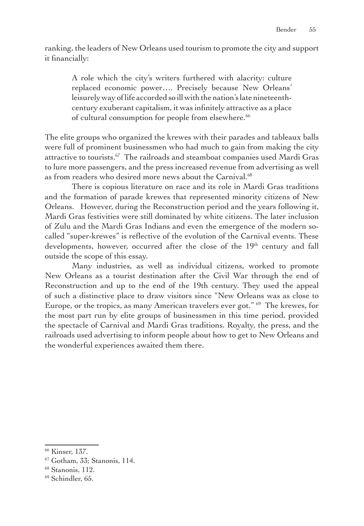ranking, the leaders of New Orleans used tourism to promote the city and support it financially:

A role which the city's writers furthered with alacrity: culture replaced economic power…. Precisely because New Orleans' leisurely way of life accorded so ill with the nation's late nineteenthcentury exuberant capitalism, it was infinitely attractive as a place of cultural consumption for people from elsewhere.<sup>66</sup>

The elite groups who organized the krewes with their parades and tableaux balls were full of prominent businessmen who had much to gain from making the city attractive to tourists.<sup>67</sup> The railroads and steamboat companies used Mardi Gras to lure more passengers, and the press increased revenue from advertising as well as from readers who desired more news about the Carnival.<sup>68</sup>

There is copious literature on race and its role in Mardi Gras traditions and the formation of parade krewes that represented minority citizens of New Orleans. However, during the Reconstruction period and the years following it, Mardi Gras festivities were still dominated by white citizens. The later inclusion of Zulu and the Mardi Gras Indians and even the emergence of the modern socalled "super-krewes" is reflective of the evolution of the Carnival events. These developments, however, occurred after the close of the  $19<sup>th</sup>$  century and fall outside the scope of this essay.

Many industries, as well as individual citizens, worked to promote New Orleans as a tourist destination after the Civil War through the end of Reconstruction and up to the end of the 19th century. They used the appeal of such a distinctive place to draw visitors since "New Orleans was as close to Europe, or the tropics, as many American travelers ever got." 69 The krewes, for the most part run by elite groups of businessmen in this time period, provided the spectacle of Carnival and Mardi Gras traditions. Royalty, the press, and the railroads used advertising to inform people about how to get to New Orleans and the wonderful experiences awaited them there.

<sup>66</sup> Kinser, 137.

<sup>67</sup> Gotham, 33; Stanonis, 114.

<sup>68</sup> Stanonis, 112.

<sup>69</sup> Schindler, 65.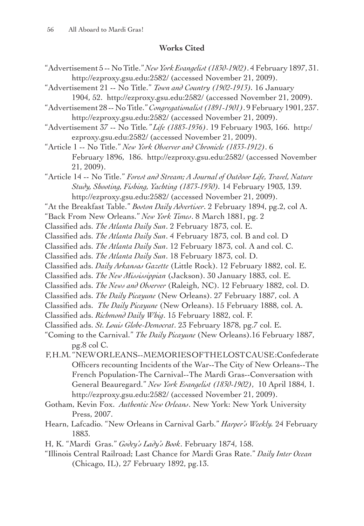# **Works Cited**

- "Advertisement 5 -- No Title." *NewYorkEvangelist (1830-1902)*. 4 February 1897, 31. http://ezproxy.gsu.edu:2582/ (accessed November 21, 2009).
- "Advertisement 21 -- No Title." *Town and Country (1902-1913).* 16 January 1904, 52. http://ezproxy.gsu.edu:2582/ (accessed November 21, 2009).

"Advertisement 28 -- No Title."*Congregationalist (1891-1901)*. 9 February 1901, 237. http://ezproxy.gsu.edu:2582/ (accessed November 21, 2009).

"Advertisement 37 -- No Title*." Life (1883-1936)*. 19 February 1903, 166. http:/ ezproxy.gsu.edu:2582/ (accessed November 21, 2009).

"Article 1 -- No Title." *New York Observer and Chronicle (1833-1912)*. 6 February 1896, 186. http://ezproxy.gsu.edu:2582/ (accessed November 21, 2009).

"Article 14 -- No Title." *Forest and Stream; A Journal of Outdoor Life, Travel, Nature Study, Shooting, Fishing, Yachting (1873-1930).* 14 February 1903, 139. http://ezproxy.gsu.edu:2582/ (accessed November 21, 2009).

- "At the Breakfast Table." *Boston Daily Advertiser*. 2 February 1894, pg.2, col A.
- "Back From New Orleans." *New York Times*. 8 March 1881, pg. 2
- Classified ads. *The Atlanta Daily Sun*. 2 February 1873, col. E.
- Classified ads. *The Atlanta Daily Sun*. 4 February 1873, col. B and col. D
- Classified ads. *The Atlanta Daily Sun*. 12 February 1873, col. A and col. C.
- Classified ads. *The Atlanta Daily Sun*. 18 February 1873, col. D.
- Classified ads. *Daily Arkansas Gazette* (Little Rock). 12 February 1882, col. E.
- Classified ads. *The New Mississippian* (Jackson). 30 January 1883, col. E.
- Classified ads. *The News and Observer* (Raleigh, NC). 12 February 1882, col. D.
- Classified ads. *The Daily Picayune* (New Orleans). 27 February 1887, col. A
- Classified ads. *The Daily Picayune* (New Orleans). 15 February 1888, col. A.
- Classified ads. *Richmond Daily Whig*. 15 February 1882, col. F.
- Classified ads. *St. Louis Globe-Democrat*. 23 February 1878, pg.7 col. E.
- "Coming to the Carnival." *The Daily Picayune* (New Orleans).16 February 1887, pg.8 col C.
- F, H.M. "NEW ORLEANS--MEMORIES OF THE LOST CAUSE:Confederate Officers recounting Incidents of the War--The City of New Orleans--The French Population-The Carnival--The Mardi Gras--Conversation with General Beauregard." *New York Evangelist (1830-1902)*, 10 April 1884, 1. http://ezproxy.gsu.edu:2582/ (accessed November 21, 2009).
- Gotham, Kevin Fox. *Authentic New Orleans*. New York: New York University Press, 2007.
- Hearn, Lafcadio. "New Orleans in Carnival Garb." *Harper's Weekly.* 24 February 1883.
- H, K. "Mardi Gras." *Godey's Lady's Book*. February 1874, 158.
- "Illinois Central Railroad; Last Chance for Mardi Gras Rate." *Daily Inter Ocean* (Chicago, IL), 27 February 1892, pg.13.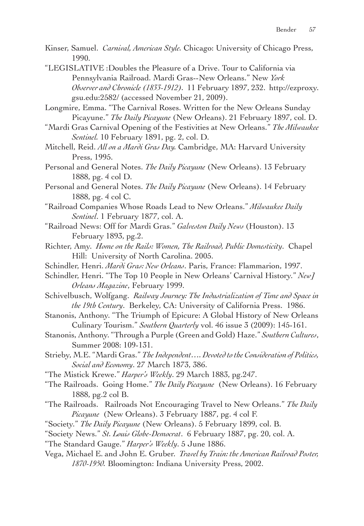- Kinser, Samuel. *Carnival, American Style.* Chicago: University of Chicago Press, 1990.
- "LEGISLATIVE :Doubles the Pleasure of a Drive. Tour to California via Pennsylvania Railroad. Mardi Gras--New Orleans." New *York Observer and Chronicle (1833-1912).* 11 February 1897, 232. http://ezproxy. gsu.edu:2582/ (accessed November 21, 2009).
- Longmire, Emma. "The Carnival Roses. Written for the New Orleans Sunday Picayune." *The Daily Picayune* (New Orleans). 21 February 1897, col. D.
- "Mardi Gras Carnival Opening of the Festivities at New Orleans." *The Milwaukee Sentinel.* 10 February 1891, pg. 2, col. D.
- Mitchell, Reid. *All on a Mardi Gras Day.* Cambridge, MA: Harvard University Press, 1995.
- Personal and General Notes. *The Daily Picayune* (New Orleans). 13 February 1888, pg. 4 col D.
- Personal and General Notes. *The Daily Picayune* (New Orleans). 14 February 1888, pg. 4 col C.
- "Railroad Companies Whose Roads Lead to New Orleans." *Milwaukee Daily Sentinel*. 1 February 1877, col. A.
- "Railroad News: Off for Mardi Gras." *Galveston Daily News* (Houston). 13 February 1893, pg.2.
- Richter, Amy. *Home on the Rails: Women, The Railroad, Public Domesticity*. Chapel Hill: University of North Carolina. 2005.
- Schindler, Henri. *Mardi Gras: New Orleans*. Paris, France: Flammarion, 1997.
- Schindler, Henri. "The Top 10 People in New Orleans' Carnival History." *New*]  *Orleans Magazine*, February 1999.
- Schivelbusch, Wolfgang. *Railway Journey: The Industrialization of Time and Space in the 19th Century*. Berkeley, CA: University of California Press. 1986.
- Stanonis, Anthony. "The Triumph of Epicure: A Global History of New Orleans Culinary Tourism." *Southern Quarterly* vol. 46 issue 3 (2009): 145-161.
- Stanonis, Anthony. "Through a Purple (Green and Gold) Haze." *Southern Cultures*, Summer 2008: 109-131.
- Strieby, M.E. "Mardi Gras." *The Independent…. Devoted tothe Consideration of Politics, Social and Economy*. 27 March 1873, 386.
- "The Mistick Krewe." *Harper's Weekly*. 29 March 1883, pg.247.
- "The Railroads. Going Home." *The Daily Picayune* (New Orleans). 16 February 1888, pg.2 col B.
- "The Railroads. Railroads Not Encouraging Travel to New Orleans." *The Daily Picayune* (New Orleans). 3 February 1887, pg. 4 col F.
- "Society." *The Daily Picayune* (New Orleans). 5 February 1899, col. B.
- "Society News." *St. Louis Globe-Democrat*. 6 February 1887, pg. 20, col. A.
- "The Standard Gauge." *Harper's Weekly*. 5 June 1886.
- Vega, Michael E. and John E. Gruber. *Travel by Train: the American Railroad Poster, 1870-1950.* Bloomington: Indiana University Press, 2002.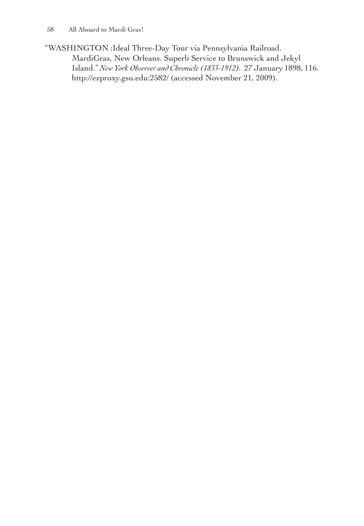"WASHINGTON :Ideal Three-Day Tour via Pennsylvania Railroad. MardiGras, New Orleans. Superb Service to Brunswick and Jekyl Island." *New York Observer and Chronicle (1833-1912).* 27 January 1898, 116. http://ezproxy.gsu.edu:2582/ (accessed November 21, 2009).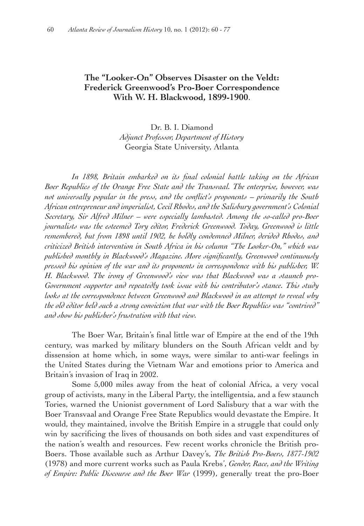# **The "Looker-On" Observes Disaster on the Veldt: Frederick Greenwood's Pro-Boer Correspondence With W. H. Blackwood, 1899-1900**.

## Dr. B. I. Diamond *Adjunct Professor, Department of History* Georgia State University, Atlanta

 *In 1898, Britain embarked on its final colonial battle taking on the African Boer Republics of the Orange Free State and the Transvaal. The enterprise, however, was not universally popular in the press, and the conflict's proponents – primarily the South African entrepreneur and imperialist, Cecil Rhodes, and the Salisbury government's Colonial Secretary, Sir Alfred Milner – were especially lambasted. Among the so-called pro-Boer journalists was the esteemed Tory editor, Frederick Greenwood. Today, Greenwood is little remembered, but from 1898 until 1902, he boldly condemned Milner, derided Rhodes, and criticized British intervention in South Africa in his column "The Looker-On," which was published monthly in Blackwood's Magazine. More significantly, Greenwood continuously pressed his opinion of the war and its proponents in correspondence with his publisher, W. H. Blackwood. The irony of Greenwood's view was that Blackwood was a staunch pro-Government supporter and repeatedly took issue with his contributor's stance. This study looks at the correspondence between Greenwood and Blackwood in an attempt to reveal why the old editor held such a strong conviction that war with the Boer Republics was "contrived" and show his publisher's frustration with that view.*

The Boer War, Britain's final little war of Empire at the end of the 19th century, was marked by military blunders on the South African veldt and by dissension at home which, in some ways, were similar to anti-war feelings in the United States during the Vietnam War and emotions prior to America and Britain's invasion of Iraq in 2002.

Some 5,000 miles away from the heat of colonial Africa, a very vocal group of activists, many in the Liberal Party, the intelligentsia, and a few staunch Tories, warned the Unionist government of Lord Salisbury that a war with the Boer Transvaal and Orange Free State Republics would devastate the Empire. It would, they maintained, involve the British Empire in a struggle that could only win by sacrificing the lives of thousands on both sides and vast expenditures of the nation's wealth and resources. Few recent works chronicle the British pro-Boers. Those available such as Arthur Davey's, *The British Pro-Boers, 1877-1902* (1978) and more current works such as Paula Krebs', *Gender, Race, and the Writing of Empire: Public Discourse and the Boer War* (1999), generally treat the pro-Boer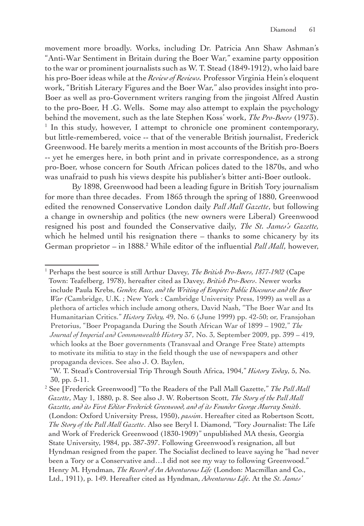movement more broadly. Works, including Dr. Patricia Ann Shaw Ashman's "Anti-War Sentiment in Britain during the Boer War," examine party opposition to the war or prominent journalists such as W. T. Stead (1849-1912), who laid bare his pro-Boer ideas while at the *Review of Reviews.* Professor Virginia Hein's eloquent work, "British Literary Figures and the Boer War," also provides insight into pro-Boer as well as pro-Government writers ranging from the jingoist Alfred Austin to the pro-Boer, H .G. Wells. Some may also attempt to explain the psychology behind the movement, such as the late Stephen Koss' work, *The Pro-Boers* (1973). 1 <sup>1</sup> In this study, however, I attempt to chronicle one prominent contemporary, but little-remembered, voice -- that of the venerable British journalist, Frederick Greenwood. He barely merits a mention in most accounts of the British pro-Boers -- yet he emerges here, in both print and in private correspondence, as a strong pro-Boer, whose concern for South African polices dated to the 1870s, and who was unafraid to push his views despite his publisher's bitter anti-Boer outlook.

By 1898, Greenwood had been a leading figure in British Tory journalism for more than three decades. From 1865 through the spring of 1880, Greenwood edited the renowned Conservative London daily *Pall Mall Gazette*, but following a change in ownership and politics (the new owners were Liberal) Greenwood resigned his post and founded the Conservative daily, *The St. James's Gazette,* which he helmed until his resignation there – thanks to some chicanery by its German proprietor – in 1888.<sup>2</sup> While editor of the influential *Pall Mall*, however,

<sup>1</sup> Perhaps the best source is still Arthur Davey, *The British Pro-Boers, 1877-1902* (Cape Town: Teafelberg, 1978), hereafter cited as Davey, *British Pro-Boers*. Newer works include Paula Krebs, *Gender, Race, and the Writing of Empire: Public Discourse and the Boer War (*Cambridge, U.K. ; New York : Cambridge University Press, 1999) as well as a plethora of articles which include among others, David Nash, "The Boer War and Its Humanitarian Critics." *History Today,* 49, No. 6 (June 1999) pp. 42-50; or, Fransjohan Pretorius, "Boer Propaganda During the South African War of 1899 – 1902," *The Journal of Imperial and Commonwealth History* 37, No. 3, September 2009, pp. 399 – 419, which looks at the Boer governments (Transvaal and Orange Free State) attempts to motivate its militia to stay in the field though the use of newspapers and other propaganda devices. See also J. O. Baylen,

"W. T. Stead's Controversial Trip Through South Africa, 1904," *History Today*, 5, No. 30, pp. 5-11.

<sup>2</sup> See [Frederick Greenwood] "To the Readers of the Pall Mall Gazette," *The Pall Mall Gazette*, May 1, 1880, p. 8. See also J. W. Robertson Scott, *The Story of the Pall Mall Gazette, and its First Editor Frederick Greenwood, and of its Founder George Murray Smith*. (London: Oxford University Press, 1950), *passim*. Hereafter cited as Robertson Scott, *The Story of the Pall Mall Gazette*. Also see Beryl I. Diamond, "Tory Journalist: The Life and Work of Frederick Greenwood (1830-1909)" unpublished MA thesis, Georgia State University, 1984, pp. 387-397. Following Greenwood's resignation, all but Hyndman resigned from the paper. The Socialist declined to leave saying he "had never been a Tory or a Conservative and…I did not see my way to following Greenwood." Henry M. Hyndman, *The Record of An Adventurous Life* (London: Macmillan and Co., Ltd., 1911), p. 149. Hereafter cited as Hyndman, *Adventurous Life*. At the *St. James'*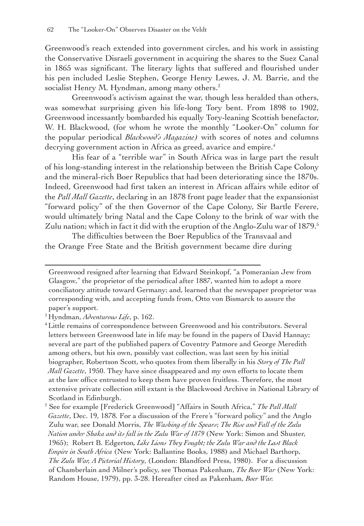Greenwood's reach extended into government circles, and his work in assisting the Conservative Disraeli government in acquiring the shares to the Suez Canal in 1865 was significant. The literary lights that suffered and flourished under his pen included Leslie Stephen, George Henry Lewes, J. M. Barrie, and the socialist Henry M. Hyndman, among many others. $3$ 

Greenwood's activism against the war, though less heralded than others, was somewhat surprising given his life-long Tory bent. From 1898 to 1902, Greenwood incessantly bombarded his equally Tory-leaning Scottish benefactor, W. H. Blackwood, (for whom he wrote the monthly "Looker-On" column for the popular periodical *Blackwood's Magazine)* with scores of notes and columns decrying government action in Africa as greed, avarice and empire.<sup>4</sup>

His fear of a "terrible war" in South Africa was in large part the result of his long-standing interest in the relationship between the British Cape Colony and the mineral-rich Boer Republics that had been deteriorating since the 1870s. Indeed, Greenwood had first taken an interest in African affairs while editor of the *Pall Mall Gazette*, declaring in an 1878 front page leader that the expansionist "forward policy" of the then Governor of the Cape Colony, Sir Bartle Ferere, would ultimately bring Natal and the Cape Colony to the brink of war with the Zulu nation; which in fact it did with the eruption of the Anglo-Zulu war of 1879.<sup>5</sup>

The difficulties between the Boer Republics of the Transvaal and the Orange Free State and the British government became dire during

Greenwood resigned after learning that Edward Steinkopf, "a Pomeranian Jew from Glasgow," the proprietor of the periodical after 1887, wanted him to adopt a more conciliatory attitude toward Germany; and, learned that the newspaper proprietor was corresponding with, and accepting funds from, Otto von Bismarck to assure the paper's support.

<sup>3</sup> Hyndman, *Adventurous Life*, p. 162.

<sup>4</sup>Little remains of correspondence between Greenwood and his contributors. Several letters between Greenwood late in life may be found in the papers of David Hannay; several are part of the published papers of Coventry Patmore and George Meredith among others, but his own, possibly vast collection, was last seen by his initial biographer, Robertson Scott, who quotes from them liberally in his *Story of The Pall Mall Gazette*, 1950. They have since disappeared and my own efforts to locate them at the law office entrusted to keep them have proven fruitless. Therefore, the most extensive private collection still extant is the Blackwood Archive in National Library of Scotland in Edinburgh.

<sup>5</sup> See for example [Frederick Greenwood] "Affairs in South Africa," *The Pall Mall Gazette*, Dec. 19, 1878. For a discussion of the Frere's "forward policy" and the Anglo Zulu war, see Donald Morris, *The Washing of the Spears*; *The Rise and Fall of the Zulu Nation under Shaka and its fall in the Zulu War of 1879* (New York: Simon and Shuster, 1965); Robert B. Edgerton*, Like Lions They Fought; the Zulu War and the Last Black Empire in South Africa* (New York: Ballantine Books, 1988) and Michael Barthorp, *The Zulu War, A Pictorial History*, (London: Blandford Press, 1980). For a discussion of Chamberlain and Milner's policy, see Thomas Pakenham, *The Boer War* (New York: Random House, 1979), pp. 3-28. Hereafter cited as Pakenham, *Boer War.*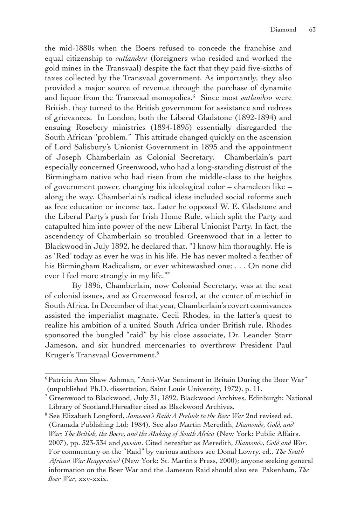the mid-1880s when the Boers refused to concede the franchise and equal citizenship to *outlanders* (foreigners who resided and worked the gold mines in the Transvaal) despite the fact that they paid five-sixths of taxes collected by the Transvaal government. As importantly, they also provided a major source of revenue through the purchase of dynamite and liquor from the Transvaal monopolies.6 Since most *outlanders* were British, they turned to the British government for assistance and redress of grievances. In London, both the Liberal Gladstone (1892-1894) and ensuing Rosebery ministries (1894-1895) essentially disregarded the South African "problem." This attitude changed quickly on the ascension of Lord Salisbury's Unionist Government in 1895 and the appointment of Joseph Chamberlain as Colonial Secretary. Chamberlain's part especially concerned Greenwood, who had a long-standing distrust of the Birmingham native who had risen from the middle-class to the heights of government power, changing his ideological color – chameleon like – along the way. Chamberlain's radical ideas included social reforms such as free education or income tax. Later he opposed W. E. Gladstone and the Liberal Party's push for Irish Home Rule, which split the Party and catapulted him into power of the new Liberal Unionist Party. In fact, the ascendency of Chamberlain so troubled Greenwood that in a letter to Blackwood in July 1892, he declared that, "I know him thoroughly. He is as 'Red' today as ever he was in his life. He has never molted a feather of his Birmingham Radicalism, or ever whitewashed one; . . . On none did ever I feel more strongly in my life."7

By 1895, Chamberlain, now Colonial Secretary, was at the seat of colonial issues, and as Greenwood feared, at the center of mischief in South Africa. In December of that year, Chamberlain's covert connivances assisted the imperialist magnate, Cecil Rhodes, in the latter's quest to realize his ambition of a united South Africa under British rule. Rhodes sponsored the bungled "raid" by his close associate, Dr. Leander Starr Jameson, and six hundred mercenaries to overthrow President Paul Kruger's Transvaal Government.8

<sup>&</sup>lt;sup>6</sup> Patricia Ann Shaw Ashman, "Anti-War Sentiment in Britain During the Boer War" (unpublished Ph.D. dissertation, Saint Louis University, 1972), p. 11.

<sup>7</sup> Greenwood to Blackwood, July 31, 1892, Blackwood Archives, Edinburgh: National Library of Scotland.Hereafter cited as Blackwood Archives.

<sup>8</sup> See Elizabeth Longford, *Jameson's Raid: A Prelude to the Boer War* 2nd revised ed. (Granada Publishing Ltd: 1984), See also Martin Meredith, *Diamonds, Gold, and War: The British, the Boers, and the Making of South Africa* (New York: Public Affairs, 2007), pp. 323-334 and *passim*. Cited hereafter as Meredith, *Diamonds, Gold and War*. For commentary on the "Raid" by various authors see Donal Lowry, ed., *The South African War Reappraised* (New York: St. Martin's Press, 2000); anyone seeking general information on the Boer War and the Jameson Raid should also see Pakenham, *The Boer War*, xxv-xxix.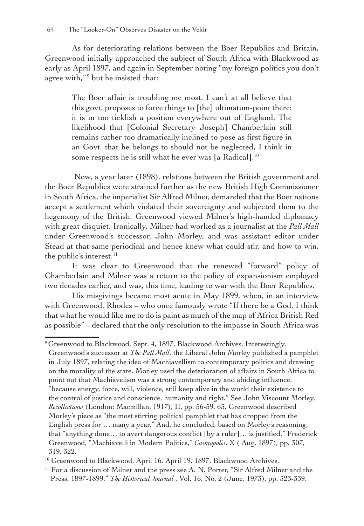As for deteriorating relations between the Boer Republics and Britain, Greenwood initially approached the subject of South Africa with Blackwood as early as April 1897, and again in September noting "my foreign politics you don't agree with,"<sup>9</sup> but he insisted that:

The Boer affair is troubling me most. I can't at all believe that this govt. proposes to force things to [the] ultimatum-point there: it is in too ticklish a position everywhere out of England. The likelihood that [Colonial Secretary Joseph] Chamberlain still remains rather too dramatically inclined to pose as first figure in an Govt. that he belongs to should not be neglected, I think in some respects he is still what he ever was [a Radical].<sup>10</sup>

 Now, a year later (1898), relations between the British government and the Boer Republics were strained further as the new British High Commissioner in South Africa, the imperialist Sir Alfred Milner, demanded that the Boer nations accept a settlement which violated their sovereignty and subjected them to the hegemony of the British. Greenwood viewed Milner's high-handed diplomacy with great disquiet. Ironically, Milner had worked as a journalist at the *Pall Mall* under Greenwood's successor, John Morley, and was assistant editor under Stead at that same periodical and hence knew what could stir, and how to win, the public's interest. $^{11}$ 

It was clear to Greenwood that the renewed "forward" policy of Chamberlain and Milner was a return to the policy of expansionism employed two decades earlier, and was, this time, leading to war with the Boer Republics.

His misgivings became most acute in May 1899, when, in an interview with Greenwood, Rhodes – who once famously wrote "If there be a God, I think that what he would like me to do is paint as much of the map of Africa British Red as possible" – declared that the only resolution to the impasse in South Africa was

<sup>&</sup>lt;sup>9</sup> Greenwood to Blackwood, Sept. 4, 1897, Blackwood Archives. Interestingly, Greenwood's successor at *The Pall Mall*, the Liberal John Morley published a pamphlet in July 1897, relating the idea of Machiavellism to contemporary politics and drawing on the morality of the state. Morley used the deterioration of affairs in South Africa to point out that Machiavelism was a strong contemporary and abiding influence, "because energy, force, will, violence, still keep alive in the world their existence to the control of justice and conscience, humanity and right." See John Viscount Morley, *Recollections* (London: Macmillan, 1917), II, pp. 56-59, 63. Greenwood described Morley's piece as "the most stirring political pamphlet that has dropped from the English press for … many a year." And, he concluded, based on Morley's reasoning, that "anything done… to avert dangerous conflict [by a ruler]… is justified." Frederick Greenwood, "Machiavelli in Modern Politics," *Cosmopolis*, X ( Aug. 1897), pp. 307, 319, 322.

<sup>&</sup>lt;sup>10</sup> Greenwood to Blackwood, April 16, April 19, 1897, Blackwood Archives.

 $11$  For a discussion of Milner and the press see A. N. Porter, "Sir Alfred Milner and the Press, 1897-1899," *The Historical Journal* , Vol. 16, No. 2 (June, 1973), pp. 323-339.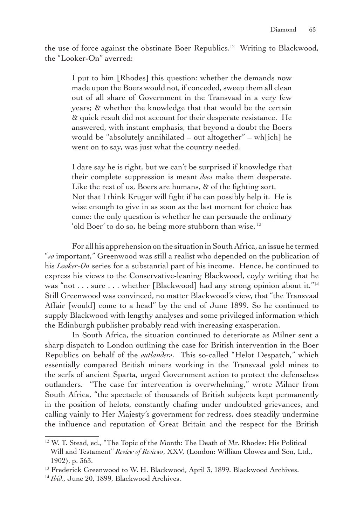the use of force against the obstinate Boer Republics.<sup>12</sup> Writing to Blackwood, the "Looker-On" averred:

I put to him [Rhodes] this question: whether the demands now made upon the Boers would not, if conceded, sweep them all clean out of all share of Government in the Transvaal in a very few years; & whether the knowledge that that would be the certain & quick result did not account for their desperate resistance. He answered, with instant emphasis, that beyond a doubt the Boers would be "absolutely annihilated – out altogether" – wh[ich] he went on to say, was just what the country needed.

I dare say he is right, but we can't be surprised if knowledge that their complete suppression is meant *does* make them desperate. Like the rest of us, Boers are humans, & of the fighting sort. Not that I think Kruger will fight if he can possibly help it. He is wise enough to give in as soon as the last moment for choice has come: the only question is whether he can persuade the ordinary 'old Boer' to do so, he being more stubborn than wise. 13

For all his apprehension on the situation in South Africa, an issue he termed "*so* important," Greenwood was still a realist who depended on the publication of his *Looker-On* series for a substantial part of his income. Hence, he continued to express his views to the Conservative-leaning Blackwood, coyly writing that he was "not . . . sure . . . whether [Blackwood] had any strong opinion about it."<sup>14</sup> Still Greenwood was convinced, no matter Blackwood's view, that "the Transvaal Affair [would] come to a head" by the end of June 1899. So he continued to supply Blackwood with lengthy analyses and some privileged information which the Edinburgh publisher probably read with increasing exasperation.

In South Africa, the situation continued to deteriorate as Milner sent a sharp dispatch to London outlining the case for British intervention in the Boer Republics on behalf of the *outlanders*. This so-called "Helot Despatch," which essentially compared British miners working in the Transvaal gold mines to the serfs of ancient Sparta, urged Government action to protect the defenseless outlanders. "The case for intervention is overwhelming," wrote Milner from South Africa, "the spectacle of thousands of British subjects kept permanently in the position of helots, constantly chafing under undoubted grievances, and calling vainly to Her Majesty's government for redress, does steadily undermine the influence and reputation of Great Britain and the respect for the British

<sup>&</sup>lt;sup>12</sup> W. T. Stead, ed., "The Topic of the Month: The Death of Mr. Rhodes: His Political Will and Testament" *Review of Reviews*, XXV, (London: William Clowes and Son, Ltd., 1902), p. 363.

<sup>&</sup>lt;sup>13</sup> Frederick Greenwood to W. H. Blackwood, April 3, 1899. Blackwood Archives.

<sup>14</sup> *Ibid.*, June 20, 1899, Blackwood Archives.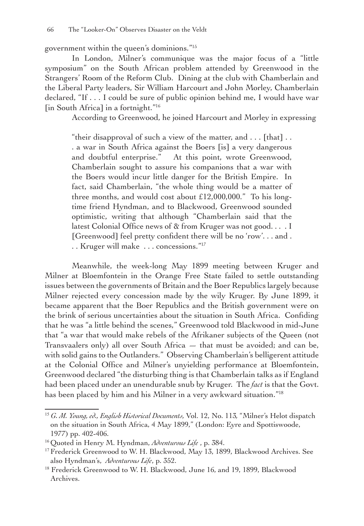government within the queen's dominions."15

In London, Milner's communique was the major focus of a "little symposium" on the South African problem attended by Greenwood in the Strangers' Room of the Reform Club. Dining at the club with Chamberlain and the Liberal Party leaders, Sir William Harcourt and John Morley, Chamberlain declared, "If . . . I could be sure of public opinion behind me, I would have war [in South Africa] in a fortnight."<sup>16</sup>

According to Greenwood, he joined Harcourt and Morley in expressing

"their disapproval of such a view of the matter, and  $\dots$  [that]  $\dots$ . a war in South Africa against the Boers [is] a very dangerous and doubtful enterprise." At this point, wrote Greenwood, Chamberlain sought to assure his companions that a war with the Boers would incur little danger for the British Empire. In fact, said Chamberlain, "the whole thing would be a matter of three months, and would cost about £12,000,000." To his longtime friend Hyndman, and to Blackwood, Greenwood sounded optimistic, writing that although "Chamberlain said that the latest Colonial Office news of & from Kruger was not good. . . . I [Greenwood] feel pretty confident there will be no 'row'... and. . . Kruger will make . . . concessions."17

Meanwhile, the week-long May 1899 meeting between Kruger and Milner at Bloemfontein in the Orange Free State failed to settle outstanding issues between the governments of Britain and the Boer Republics largely because Milner rejected every concession made by the wily Kruger. By June 1899, it became apparent that the Boer Republics and the British government were on the brink of serious uncertainties about the situation in South Africa. Confiding that he was "a little behind the scenes," Greenwood told Blackwood in mid-June that "a war that would make rebels of the Afrikaner subjects of the Queen (not Transvaalers only) all over South Africa  $-$  that must be avoided; and can be, with solid gains to the Outlanders." Observing Chamberlain's belligerent attitude at the Colonial Office and Milner's unyielding performance at Bloemfontein, Greenwood declared "the disturbing thing is that Chamberlain talks as if England had been placed under an unendurable snub by Kruger. The *fact* is that the Govt. has been placed by him and his Milner in a very awkward situation."<sup>18</sup>

<sup>15</sup> *G. M. Young, ed., English Historical Documents,* Vol. 12, No. 113*,* "Milner's Helot dispatch on the situation in South Africa, 4 May 1899," (London: Eyre and Spottiswoode, 1977) pp. 402-406.

<sup>16</sup> Quoted in Henry M. Hyndman, *Adventurous Life* , p. 384.

<sup>&</sup>lt;sup>17</sup> Frederick Greenwood to W. H. Blackwood, May 13, 1899, Blackwood Archives. See also Hyndman's, *Adventurous Life*, p. 352.

<sup>&</sup>lt;sup>18</sup> Frederick Greenwood to W. H. Blackwood, June 16, and 19, 1899, Blackwood Archives.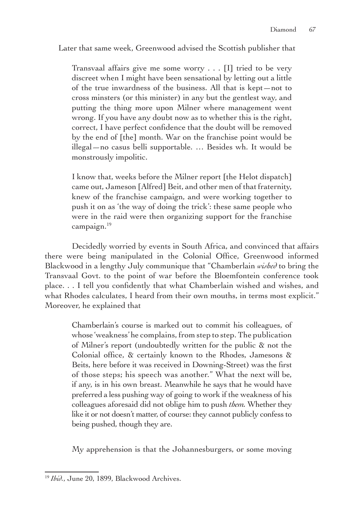Later that same week, Greenwood advised the Scottish publisher that

Transvaal affairs give me some worry . . . [I] tried to be very discreet when I might have been sensational by letting out a little of the true inwardness of the business. All that is kept—not to cross minsters (or this minister) in any but the gentlest way, and putting the thing more upon Milner where management went wrong. If you have any doubt now as to whether this is the right, correct, I have perfect confidence that the doubt will be removed by the end of [the] month. War on the franchise point would be illegal—no casus belli supportable. … Besides wh. It would be monstrously impolitic.

I know that, weeks before the Milner report [the Helot dispatch] came out, Jameson [Alfred] Beit, and other men of that fraternity, knew of the franchise campaign, and were working together to push it on as 'the way of doing the trick': these same people who were in the raid were then organizing support for the franchise campaign.19

Decidedly worried by events in South Africa, and convinced that affairs there were being manipulated in the Colonial Office, Greenwood informed Blackwood in a lengthy July communique that "Chamberlain *wished* to bring the Transvaal Govt. to the point of war before the Bloemfontein conference took place. . . I tell you confidently that what Chamberlain wished and wishes, and what Rhodes calculates, I heard from their own mouths, in terms most explicit." Moreover, he explained that

Chamberlain's course is marked out to commit his colleagues, of whose 'weakness' he complains, from step to step. The publication of Milner's report (undoubtedly written for the public & not the Colonial office, & certainly known to the Rhodes, Jamesons & Beits, here before it was received in Downing-Street) was the first of those steps; his speech was another." What the next will be, if any, is in his own breast. Meanwhile he says that he would have preferred a less pushing way of going to work if the weakness of his colleagues aforesaid did not oblige him to push *them.* Whether they like it or not doesn't matter, of course: they cannot publicly confess to being pushed, though they are.

My apprehension is that the Johannesburgers, or some moving

<sup>&</sup>lt;sup>19</sup> *Ibid.*, June 20, 1899, Blackwood Archives.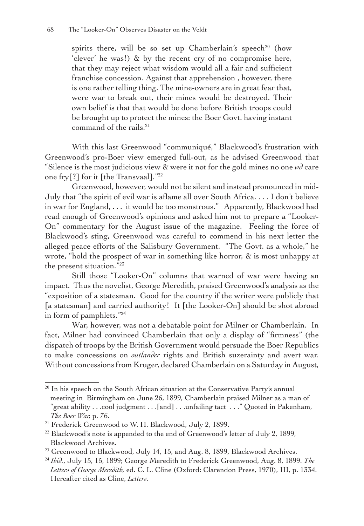spirits there, will be so set up Chamberlain's speech<sup>20</sup> (how 'clever' he was!) & by the recent cry of no compromise here, that they may reject what wisdom would all a fair and sufficient franchise concession. Against that apprehension , however, there is one rather telling thing. The mine-owners are in great fear that, were war to break out, their mines would be destroyed. Their own belief is that that would be done before British troops could be brought up to protect the mines: the Boer Govt. having instant command of the rails.<sup>21</sup>

With this last Greenwood "communiqué," Blackwood's frustration with Greenwood's pro-Boer view emerged full-out, as he advised Greenwood that "Silence is the most judicious view  $\&$  were it not for the gold mines no one  $\omega\partial$  care one fry[?] for it [the Transvaal]."22

Greenwood, however, would not be silent and instead pronounced in mid-July that "the spirit of evil war is aflame all over South Africa. . . . I don't believe in war for England, . . . it would be too monstrous." Apparently, Blackwood had read enough of Greenwood's opinions and asked him not to prepare a "Looker-On" commentary for the August issue of the magazine. Feeling the force of Blackwood's sting, Greenwood was careful to commend in his next letter the alleged peace efforts of the Salisbury Government. "The Govt. as a whole," he wrote, "hold the prospect of war in something like horror, & is most unhappy at the present situation."23

Still those "Looker-On" columns that warned of war were having an impact. Thus the novelist, George Meredith, praised Greenwood's analysis as the "exposition of a statesman. Good for the country if the writer were publicly that [a statesman] and carried authority! It [the Looker-On] should be shot abroad in form of pamphlets."24

War, however, was not a debatable point for Milner or Chamberlain. In fact, Milner had convinced Chamberlain that only a display of "firmness" (the dispatch of troops by the British Government would persuade the Boer Republics to make concessions on *outlander* rights and British suzerainty and avert war. Without concessions from Kruger, declared Chamberlain on a Saturday in August,

 $20$  In his speech on the South African situation at the Conservative Party's annual meeting in Birmingham on June 26, 1899, Chamberlain praised Milner as a man of "great ability . . .cool judgment . . .[and] . . .unfailing tact . . ." Quoted in Pakenham, *The Boer War,* p. 76.

<sup>&</sup>lt;sup>21</sup> Frederick Greenwood to W. H. Blackwood, July 2, 1899.

 $^{22}$  Blackwood's note is appended to the end of Greenwood's letter of July 2, 1899, Blackwood Archives.

<sup>&</sup>lt;sup>23</sup> Greenwood to Blackwood, July 14, 15, and Aug. 8, 1899, Blackwood Archives.

<sup>24</sup> *Ibid.*, July 15, 15, 1899; George Meredith to Frederick Greenwood, Aug. 8, 1899. *The Letters of George Meredith,* ed. C. L. Cline (Oxford: Clarendon Press, 1970), III, p. 1334. Hereafter cited as Cline, *Letters*.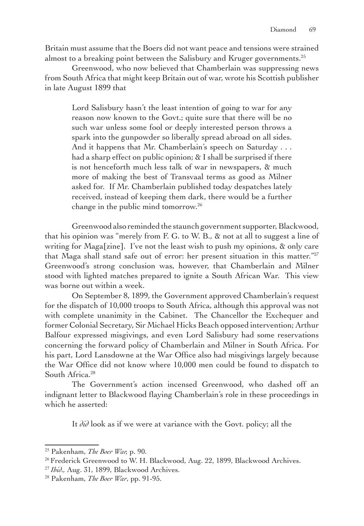Britain must assume that the Boers did not want peace and tensions were strained almost to a breaking point between the Salisbury and Kruger governments.<sup>25</sup>

Greenwood, who now believed that Chamberlain was suppressing news from South Africa that might keep Britain out of war, wrote his Scottish publisher in late August 1899 that

Lord Salisbury hasn't the least intention of going to war for any reason now known to the Govt.; quite sure that there will be no such war unless some fool or deeply interested person throws a spark into the gunpowder so liberally spread abroad on all sides. And it happens that Mr. Chamberlain's speech on Saturday . . . had a sharp effect on public opinion; & I shall be surprised if there is not henceforth much less talk of war in newspapers, & much more of making the best of Transvaal terms as good as Milner asked for. If Mr. Chamberlain published today despatches lately received, instead of keeping them dark, there would be a further change in the public mind tomorrow.26

Greenwood also reminded the staunch government supporter, Blackwood, that his opinion was "merely from F. G. to W. B., & not at all to suggest a line of writing for Maga[zine]. I've not the least wish to push my opinions, & only care that Maga shall stand safe out of error: her present situation in this matter."<sup>27</sup> Greenwood's strong conclusion was, however, that Chamberlain and Milner stood with lighted matches prepared to ignite a South African War. This view was borne out within a week.

On September 8, 1899, the Government approved Chamberlain's request for the dispatch of 10,000 troops to South Africa, although this approval was not with complete unanimity in the Cabinet. The Chancellor the Exchequer and former Colonial Secretary, Sir Michael Hicks Beach opposed intervention; Arthur Balfour expressed misgivings, and even Lord Salisbury had some reservations concerning the forward policy of Chamberlain and Milner in South Africa. For his part, Lord Lansdowne at the War Office also had misgivings largely because the War Office did not know where 10,000 men could be found to dispatch to South Africa.<sup>28</sup>

The Government's action incensed Greenwood, who dashed off an indignant letter to Blackwood flaying Chamberlain's role in these proceedings in which he asserted:

It *did* look as if we were at variance with the Govt. policy; all the

<sup>25</sup> Pakenham, *The Boer War,* p. 90.

<sup>&</sup>lt;sup>26</sup> Frederick Greenwood to W. H. Blackwood, Aug. 22, 1899, Blackwood Archives.

<sup>27</sup> *Ibid.,* Aug. 31, 1899, Blackwood Archives.

<sup>28</sup> Pakenham, *The Boer War*, pp. 91-95.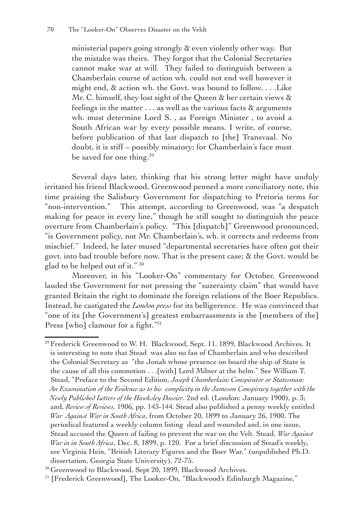ministerial papers going strongly & even violently other way. But the mistake was theirs. They forgot that the Colonial Secretaries cannot make war at will. They failed to distinguish between a Chamberlain course of action wh. could not end well however it might end, & action wh. the Govt. was bound to follow. . . .Like Mr. C. himself, they lost sight of the Queen & her certain views & feelings in the matter  $\dots$  as well as the various facts  $\alpha$  arguments wh. must determine Lord S. , as Foreign Minister , to avoid a South African war by every possible means. I write, of course, before publication of that last dispatch to [the] Transvaal. No doubt, it is stiff – possibly minatory; for Chamberlain's face must be saved for one thing.<sup>29</sup>

Several days later, thinking that his strong letter might have unduly irritated his friend Blackwood, Greenwood penned a more conciliatory note, this time praising the Salisbury Government for dispatching to Pretoria terms for "non-intervention." This attempt, according to Greenwood, was "a despatch making for peace in every line," though he still sought to distinguish the peace overture from Chamberlain's policy. "This [dispatch]" Greenwood pronounced, "is Government policy, not Mr. Chamberlain's, wh. it corrects and redeems from mischief." Indeed, he later mused "departmental secretaries have often got their govt. into bad trouble before now. That is the present case; & the Govt. would be glad to be helped out of it." 30

Moreover, in his "Looker-On" commentary for October, Greenwood lauded the Government for not pressing the "suzerainty claim" that would have granted Britain the right to dominate the foreign relations of the Boer Republics. Instead, he castigated the *London press* for its belligerence. He was convinced that "one of its [the Government's] greatest embarrassments is the [members of the] Press [who] clamour for a fight."<sup>31</sup>

<sup>&</sup>lt;sup>29</sup> Frederick Greenwood to W. H. Blackwood, Sept. 11, 1899, Blackwood Archives. It is interesting to note that Stead was also no fan of Chamberlain and who described the Colonial Secretary as "the Jonah whose presence on board the ship of State is the cause of all this commotion . . .[with] Lord Milner at the helm." See William T. Stead, "Preface to the Second Edition, *Joseph Chamberlain: Conspirator or Statesman: An Examination of the Evidence as to his complicity in the Jameson Conspiracy together with the Newly Published Letters of the Hawksley Dossier*. 2nd ed. (London: January 1900), p. 3; and, *Review of Reviews,* 1906, pp. 143-144*.* Stead also published a penny weekly entitled  *War Against War in South Africa*, from October 20, 1899 to January 26, 1900. The periodical featured a weekly column listing dead and wounded and, in one issue, Stead accused the Queen of failing to prevent the war on the Velt. Stead, *War Against War in in South Africa*, Dec. 8, 1899, p. 120. For a brief discussion of Stead's weekly, see Virginia Hein, "British Literary Figures and the Boer War," (unpublished Ph.D. dissertation, Georgia State University), 72-75.

<sup>&</sup>lt;sup>30</sup> Greenwood to Blackwood, Sept 20, 1899, Blackwood Archives.

<sup>31</sup> [Frederick Greenwood], The Looker-On, "Blackwood's Edinburgh Magazine,"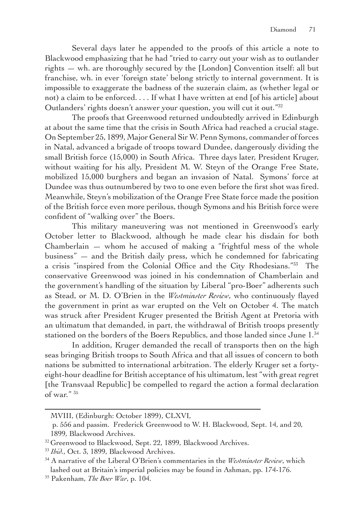Several days later he appended to the proofs of this article a note to Blackwood emphasizing that he had "tried to carry out your wish as to outlander rights — wh. are thoroughly secured by the [London] Convention itself: all but franchise, wh. in ever 'foreign state' belong strictly to internal government. It is impossible to exaggerate the badness of the suzerain claim, as (whether legal or not) a claim to be enforced. . . . If what I have written at end [of his article] about Outlanders' rights doesn't answer your question, you will cut it out."32

The proofs that Greenwood returned undoubtedly arrived in Edinburgh at about the same time that the crisis in South Africa had reached a crucial stage. On September 25, 1899, Major General Sir W. Penn Symons, commander of forces in Natal, advanced a brigade of troops toward Dundee, dangerously dividing the small British force (15,000) in South Africa. Three days later, President Kruger, without waiting for his ally, President M. W. Steyn of the Orange Free State, mobilized 15,000 burghers and began an invasion of Natal. Symons' force at Dundee was thus outnumbered by two to one even before the first shot was fired. Meanwhile, Steyn's mobilization of the Orange Free State force made the position of the British force even more perilous, though Symons and his British force were confident of "walking over" the Boers.

This military maneuvering was not mentioned in Greenwood's early October letter to Blackwood, although he made clear his disdain for both Chamberlain  $-$  whom he accused of making a "frightful mess of the whole business" — and the British daily press, which he condemned for fabricating a crisis "inspired from the Colonial Office and the City Rhodesians."33 The conservative Greenwood was joined in his condemnation of Chamberlain and the government's handling of the situation by Liberal "pro-Boer" adherents such as Stead, or M. D. O'Brien in the *Westminster Review*, who continuously flayed the government in print as war erupted on the Velt on October 4. The match was struck after President Kruger presented the British Agent at Pretoria with an ultimatum that demanded, in part, the withdrawal of British troops presently stationed on the borders of the Boers Republics, and those landed since June 1.34

In addition, Kruger demanded the recall of transports then on the high seas bringing British troops to South Africa and that all issues of concern to both nations be submitted to international arbitration. The elderly Kruger set a fortyeight-hour deadline for British acceptance of his ultimatum, lest "with great regret [the Transvaal Republic] be compelled to regard the action a formal declaration of war." 35

MVIII, (Edinburgh: October 1899), CLXVI,

p. 556 and passim. Frederick Greenwood to W. H. Blackwood, Sept. 14, and 20, 1899, Blackwood Archives.

<sup>&</sup>lt;sup>32</sup> Greenwood to Blackwood, Sept. 22, 1899, Blackwood Archives.

<sup>33</sup> *Ibid.*, Oct. 3, 1899, Blackwood Archives.

<sup>34</sup> A narrative of the Liberal O'Brien's commentaries in the *Westminster Review*, which lashed out at Britain's imperial policies may be found in Ashman, pp. 174-176.

<sup>35</sup> Pakenham, *The Boer War*, p. 104.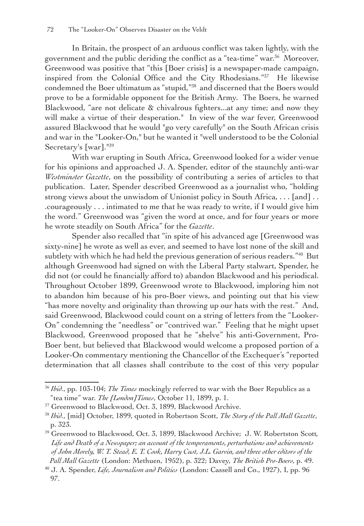In Britain, the prospect of an arduous conflict was taken lightly, with the government and the public deriding the conflict as a "tea-time" war.<sup>36</sup> Moreover, Greenwood was positive that "this [Boer crisis] is a newspaper-made campaign, inspired from the Colonial Office and the City Rhodesians."37 He likewise condemned the Boer ultimatum as "stupid,"38 and discerned that the Boers would prove to be a formidable opponent for the British Army. The Boers, he warned Blackwood, "are not delicate & chivalrous fighters...at any time; and now they will make a virtue of their desperation." In view of the war fever, Greenwood assured Blackwood that he would "go very carefully" on the South African crisis and war in the "Looker-On," but he wanted it "well understood to be the Colonial Secretary's [war].<sup>"39</sup>

With war erupting in South Africa, Greenwood looked for a wider venue for his opinions and approached J. A. Spender, editor of the staunchly anti-war *Westminster Gazette*, on the possibility of contributing a series of articles to that publication. Later, Spender described Greenwood as a journalist who, "holding strong views about the unwisdom of Unionist policy in South Africa, . . . [and] . . .courageously . . . intimated to me that he was ready to write, if I would give him the word." Greenwood was "given the word at once, and for four years or more he wrote steadily on South Africa" for the *Gazette*.

Spender also recalled that "in spite of his advanced age [Greenwood was sixty-nine] he wrote as well as ever, and seemed to have lost none of the skill and subtlety with which he had held the previous generation of serious readers."<sup>40</sup> But although Greenwood had signed on with the Liberal Party stalwart, Spender, he did not (or could he financially afford to) abandon Blackwood and his periodical. Throughout October 1899, Greenwood wrote to Blackwood, imploring him not to abandon him because of his pro-Boer views, and pointing out that his view "has more novelty and originality than throwing up our hats with the rest." And, said Greenwood, Blackwood could count on a string of letters from the "Looker-On" condemning the "needless" or "contrived war." Feeling that he might upset Blackwood, Greenwood proposed that he "shelve" his anti-Government, Pro-Boer bent, but believed that Blackwood would welcome a proposed portion of a Looker-On commentary mentioning the Chancellor of the Exchequer's "reported determination that all classes shall contribute to the cost of this very popular

<sup>36</sup> *Ibid.*, pp. 103-104; *The Times* mockingly referred to war with the Boer Republics as a "tea time" war. *The [London]Times*, October 11, 1899, p. 1.

<sup>&</sup>lt;sup>37</sup> Greenwood to Blackwood, Oct. 3, 1899, Blackwood Archive.

<sup>38</sup> *Ibid.*, [mid] October, 1899, quoted in Robertson Scott, *The Story of the Pall Mall Gazette*, p. 323.

<sup>39</sup> Greenwood to Blackwood, Oct. 3, 1899, Blackwood Archive; J. W. Robertston Scott*, Life and Death of a Newspaper; an account of the temperaments, perturbations and achievements* of John Morely, W. T. Stead, E. T. Cook, Harry Cust, J.L. Garvin, and three other editors of the  *Pall Mall Gazette* (London: Methuen, 1952), p. 322; Davey, *The British Pro-Boers,* p. 49.

<sup>40</sup> J. A. Spender, *Life, Journalism and Politics* (London: Cassell and Co., 1927), I, pp. 96 97.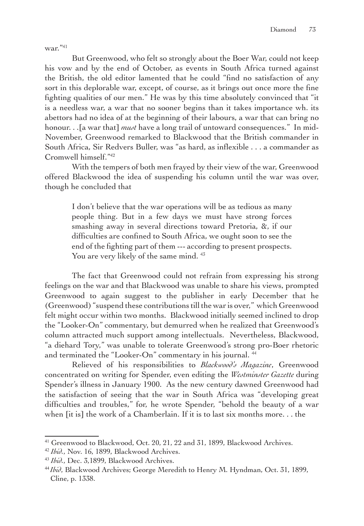war."41

But Greenwood, who felt so strongly about the Boer War, could not keep his vow and by the end of October, as events in South Africa turned against the British, the old editor lamented that he could "find no satisfaction of any sort in this deplorable war, except, of course, as it brings out once more the fine fighting qualities of our men." He was by this time absolutely convinced that "it is a needless war, a war that no sooner begins than it takes importance wh. its abettors had no idea of at the beginning of their labours, a war that can bring no honour. . .[a war that] *must* have a long trail of untoward consequences." In mid-November, Greenwood remarked to Blackwood that the British commander in South Africa, Sir Redvers Buller, was "as hard, as inflexible . . . a commander as Cromwell himself."42

With the tempers of both men frayed by their view of the war, Greenwood offered Blackwood the idea of suspending his column until the war was over, though he concluded that

I don't believe that the war operations will be as tedious as many people thing. But in a few days we must have strong forces smashing away in several directions toward Pretoria, &, if our difficulties are confined to South Africa, we ought soon to see the end of the fighting part of them --- according to present prospects. You are very likely of the same mind. <sup>43</sup>

The fact that Greenwood could not refrain from expressing his strong feelings on the war and that Blackwood was unable to share his views, prompted Greenwood to again suggest to the publisher in early December that he (Greenwood) "suspend these contributions till the war is over," which Greenwood felt might occur within two months. Blackwood initially seemed inclined to drop the "Looker-On" commentary, but demurred when he realized that Greenwood's column attracted much support among intellectuals. Nevertheless, Blackwood, "a diehard Tory," was unable to tolerate Greenwood's strong pro-Boer rhetoric and terminated the "Looker-On" commentary in his journal.<sup>44</sup>

Relieved of his responsibilities to *Blackwood's Magazine*, Greenwood concentrated on writing for Spender, even editing the *Westminster Gazette* during Spender's illness in January 1900. As the new century dawned Greenwood had the satisfaction of seeing that the war in South Africa was "developing great difficulties and troubles," for, he wrote Spender, "behold the beauty of a war when [it is] the work of a Chamberlain. If it is to last six months more. . . the

<sup>&</sup>lt;sup>41</sup> Greenwood to Blackwood, Oct. 20, 21, 22 and 31, 1899, Blackwood Archives.

<sup>42</sup> *Ibid.*, Nov. 16, 1899, Blackwood Archives.

<sup>43</sup> *Ibid.*, Dec. 3,1899, Blackwood Archives.

<sup>44</sup> *Ibid*, Blackwood Archives; George Meredith to Henry M. Hyndman, Oct. 31, 1899, Cline, p. 1338.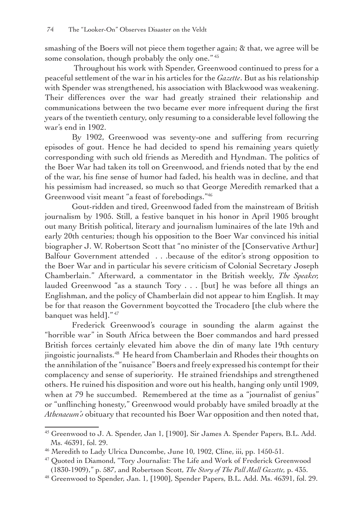smashing of the Boers will not piece them together again; & that, we agree will be some consolation, though probably the only one."<sup>45</sup>

 Throughout his work with Spender, Greenwood continued to press for a peaceful settlement of the war in his articles for the *Gazette*. But as his relationship with Spender was strengthened, his association with Blackwood was weakening. Their differences over the war had greatly strained their relationship and communications between the two became ever more infrequent during the first years of the twentieth century, only resuming to a considerable level following the war's end in 1902.

By 1902, Greenwood was seventy-one and suffering from recurring episodes of gout. Hence he had decided to spend his remaining years quietly corresponding with such old friends as Meredith and Hyndman. The politics of the Boer War had taken its toll on Greenwood, and friends noted that by the end of the war, his fine sense of humor had faded, his health was in decline, and that his pessimism had increased, so much so that George Meredith remarked that a Greenwood visit meant "a feast of forebodings."46

Gout-ridden and tired, Greenwood faded from the mainstream of British journalism by 1905. Still, a festive banquet in his honor in April 1905 brought out many British political, literary and journalism luminaires of the late 19th and early 20th centuries; though his opposition to the Boer War convinced his initial biographer J. W. Robertson Scott that "no minister of the [Conservative Arthur] Balfour Government attended . . .because of the editor's strong opposition to the Boer War and in particular his severe criticism of Colonial Secretary Joseph Chamberlain." Afterward, a commentator in the British weekly, *The Speaker,* lauded Greenwood "as a staunch Tory . . . [but] he was before all things an Englishman, and the policy of Chamberlain did not appear to him English. It may be for that reason the Government boycotted the Trocadero [the club where the banquet was held]." 47

Frederick Greenwood's courage in sounding the alarm against the "horrible war" in South Africa between the Boer commandos and hard pressed British forces certainly elevated him above the din of many late 19th century jingoistic journalists.48 He heard from Chamberlain and Rhodes their thoughts on the annihilation of the "nuisance" Boers and freely expressed his contempt for their complacency and sense of superiority. He strained friendships and strengthened others. He ruined his disposition and wore out his health, hanging only until 1909, when at 79 he succumbed. Remembered at the time as a "journalist of genius" or "unflinching honesty," Greenwood would probably have smiled broadly at the *Athenaeum's* obituary that recounted his Boer War opposition and then noted that,

<sup>45</sup> Greenwood to J. A. Spender, Jan 1, [1900], Sir James A. Spender Papers, B.L. Add. Ms. 46391, fol. 29.

<sup>&</sup>lt;sup>46</sup> Meredith to Lady Ulrica Duncombe, June 10, 1902, Cline, iii, pp. 1450-51.

<sup>47</sup> Quoted in Diamond, "Tory Journalist: The Life and Work of Frederick Greenwood (1830-1909)," p. 587, and Robertson Scott, *The Story of The Pall Mall Gazette,* p. 435.

<sup>48</sup> Greenwood to Spender, Jan. 1, [1900], Spender Papers, B.L. Add. Ms. 46391, fol. 29.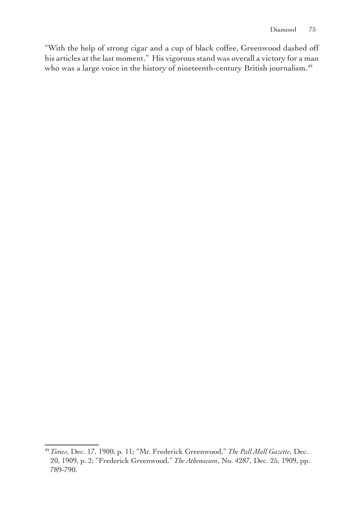"With the help of strong cigar and a cup of black coffee, Greenwood dashed off his articles at the last moment." His vigorous stand was overall a victory for a man who was a large voice in the history of nineteenth-century British journalism.<sup>49</sup>

<sup>49</sup>*Times*, Dec. 17, 1900, p. 11; "Mr. Frederick Greenwood," *The Pall Mall Gazette*, Dec. 20, 1909, p. 2; "Frederick Greenwood," *The Athenaeum*, No. 4287, Dec. 25, 1909, pp. 789-790.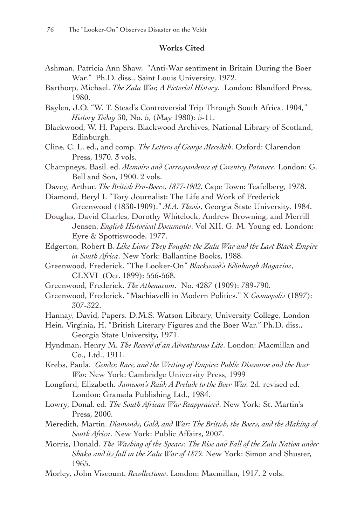## **Works Cited**

- Ashman, Patricia Ann Shaw. "Anti-War sentiment in Britain During the Boer War." Ph.D. diss., Saint Louis University, 1972.
- Barthorp, Michael. *The Zulu War, A Pictorial History*. London: Blandford Press, 1980.
- Baylen, J.O. "W. T. Stead's Controversial Trip Through South Africa, 1904," *History Today* 30, No. 5, (May 1980): 5-11.
- Blackwood, W. H. Papers. Blackwood Archives, National Library of Scotland, Edinburgh.
- Cline, C. L. ed., and comp. *The Letters of George Meredith*. Oxford: Clarendon Press, 1970. 3 vols.
- Champneys, Basil. ed. *Memoirs and Correspondence of Coventry Patmore*. London: G. Bell and Son, 1900. 2 vols.
- Davey, Arthur. *The British Pro-Boers, 1877-1902*. Cape Town: Teafelberg, 1978.
- Diamond, Beryl I. "Tory Journalist: The Life and Work of Frederick Greenwood (1830-1909)." *M.A. Thesis*, Georgia State University, 1984.
- Douglas, David Charles, Dorothy Whitelock, Andrew Browning, and Merrill Jensen. *English Historical Documents*. Vol XII. G. M. Young ed. London: Eyre & Spottiswoode, 1977.
- Edgerton, Robert B. *Like Lions They Fought: the Zulu War and the Last Black Empire in South Africa*. New York: Ballantine Books, 1988.
- Greenwood, Frederick. "The Looker-On" *Blackwood's Edinburgh Magazine*, CLXVI (Oct. 1899): 556-568.
- Greenwood, Frederick. *The Athenaeum*. No. 4287 (1909): 789-790.
- Greenwood, Frederick. "Machiavelli in Modern Politics." X *Cosmopolis* (1897): 307-322.
- Hannay, David, Papers. D.M.S. Watson Library, University College, London
- Hein, Virginia, H. "British Literary Figures and the Boer War." Ph.D. diss., Georgia State University, 1971.
- Hyndman, Henry M. *The Record of an Adventurous Life*. London: Macmillan and Co., Ltd., 1911.
- Krebs, Paula. *Gender, Race, and the Writing of Empire: Public Discourse and the Boer War.* New York: Cambridge University Press, 1999
- Longford, Elizabeth. *Jameson's Raid: A Prelude to the Boer War.* 2d. revised ed. London: Granada Publishing Ltd., 1984.
- Lowry, Donal. ed. *The South African War Reappraised*. New York: St. Martin's Press, 2000.
- Meredith, Martin. *Diamonds, Gold, and War: The British, the Boers, and the Making of South Africa*. New York: Public Affairs, 2007.
- Morris, Donald. *The Washing of the Spears*: *The Rise and Fall of the Zulu Nation under Shaka and its fall in the Zulu War of 1879.* New York: Simon and Shuster, 1965.
- Morley, John Viscount. *Recollections*. London: Macmillan, 1917. 2 vols.